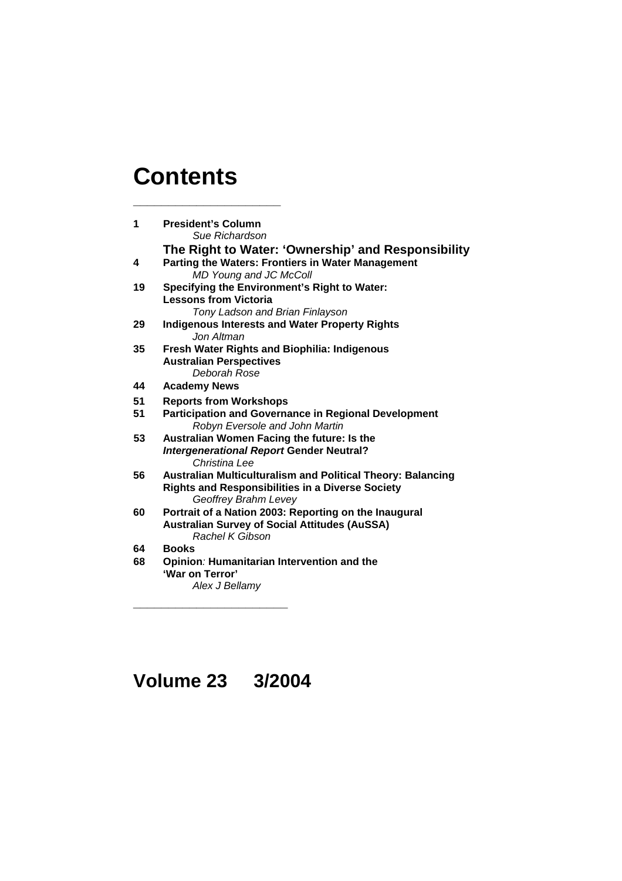# **Contents**

**\_\_\_\_\_\_\_\_\_\_\_\_\_\_\_\_\_\_\_\_\_**

| 1  | <b>President's Column</b><br>Sue Richardson                                            |
|----|----------------------------------------------------------------------------------------|
|    | The Right to Water: 'Ownership' and Responsibility                                     |
| 4  | Parting the Waters: Frontiers in Water Management<br>MD Young and JC McColl            |
| 19 | Specifying the Environment's Right to Water:                                           |
|    | <b>Lessons from Victoria</b>                                                           |
|    | Tony Ladson and Brian Finlayson                                                        |
| 29 | <b>Indigenous Interests and Water Property Rights</b><br>Jon Altman                    |
| 35 | <b>Fresh Water Rights and Biophilia: Indigenous</b>                                    |
|    | <b>Australian Perspectives</b>                                                         |
|    | Deborah Rose                                                                           |
| 44 | <b>Academy News</b>                                                                    |
| 51 | <b>Reports from Workshops</b>                                                          |
| 51 | Participation and Governance in Regional Development<br>Robyn Eversole and John Martin |
| 53 | Australian Women Facing the future: Is the                                             |
|    | <b>Intergenerational Report Gender Neutral?</b><br>Christina Lee                       |
| 56 | <b>Australian Multiculturalism and Political Theory: Balancing</b>                     |
|    | <b>Rights and Responsibilities in a Diverse Society</b>                                |
|    | Geoffrey Brahm Levey                                                                   |
| 60 | Portrait of a Nation 2003: Reporting on the Inaugural                                  |
|    | <b>Australian Survey of Social Attitudes (AuSSA)</b><br>Rachel K Gibson                |
| 64 | <b>Books</b>                                                                           |
| 68 | Opinion: Humanitarian Intervention and the<br>'War on Terror'                          |
|    | Alex J Bellamy                                                                         |

# **Volume 23 3/2004**

**\_\_\_\_\_\_\_\_\_\_\_\_\_\_\_\_\_\_\_\_\_\_**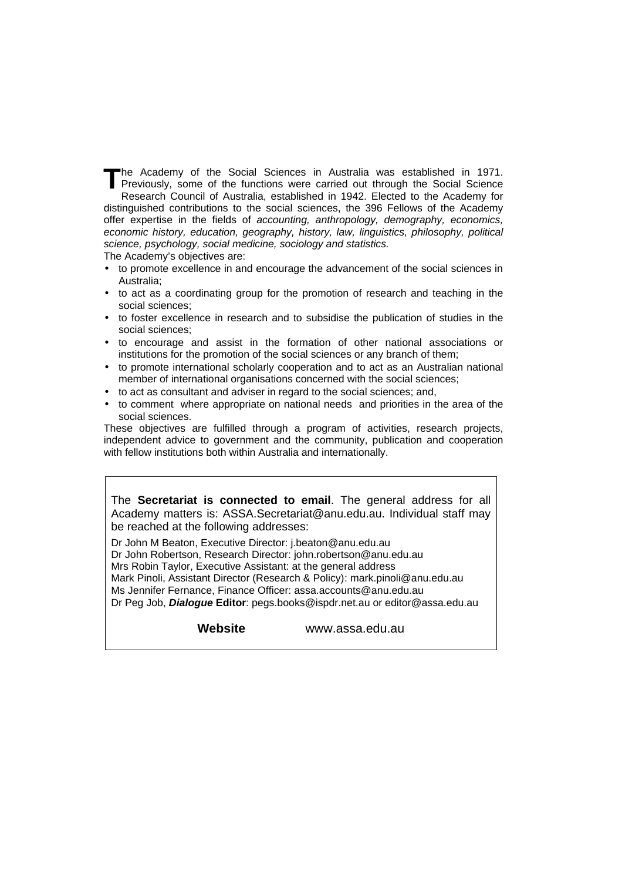he Academy of the Social Sciences in Australia was established in 1971. The Academy of the Social Sciences in Australia was established in 1971.<br>Previously, some of the functions were carried out through the Social Science Research Council of Australia, established in 1942. Elected to the Academy for distinguished contributions to the social sciences, the 396 Fellows of the Academy offer expertise in the fields of *accounting, anthropology, demography, economics, economic history, education, geography, history, law, linguistics, philosophy, political science, psychology, social medicine, sociology and statistics.* The Academy's objectives are:

- to promote excellence in and encourage the advancement of the social sciences in Australia;
- to act as a coordinating group for the promotion of research and teaching in the social sciences;
- to foster excellence in research and to subsidise the publication of studies in the social sciences;
- to encourage and assist in the formation of other national associations or institutions for the promotion of the social sciences or any branch of them;
- to promote international scholarly cooperation and to act as an Australian national member of international organisations concerned with the social sciences;
- to act as consultant and adviser in regard to the social sciences; and,
- to comment where appropriate on national needs and priorities in the area of the social sciences.

These objectives are fulfilled through a program of activities, research projects, independent advice to government and the community, publication and cooperation with fellow institutions both within Australia and internationally.

The **Secretariat is connected to email**. The general address for all Academy matters is: ASSA.Secretariat@anu.edu.au. Individual staff may be reached at the following addresses:

Dr John M Beaton, Executive Director: j.beaton@anu.edu.au Dr John Robertson, Research Director: john.robertson@anu.edu.au Mrs Robin Taylor, Executive Assistant: at the general address Mark Pinoli, Assistant Director (Research & Policy): mark.pinoli@anu.edu.au Ms Jennifer Fernance, Finance Officer: assa.accounts@anu.edu.au Dr Peg Job, *Dialogue* **Editor**: pegs.books@ispdr.net.au or editor@assa.edu.au

**Website** www.assa.edu.au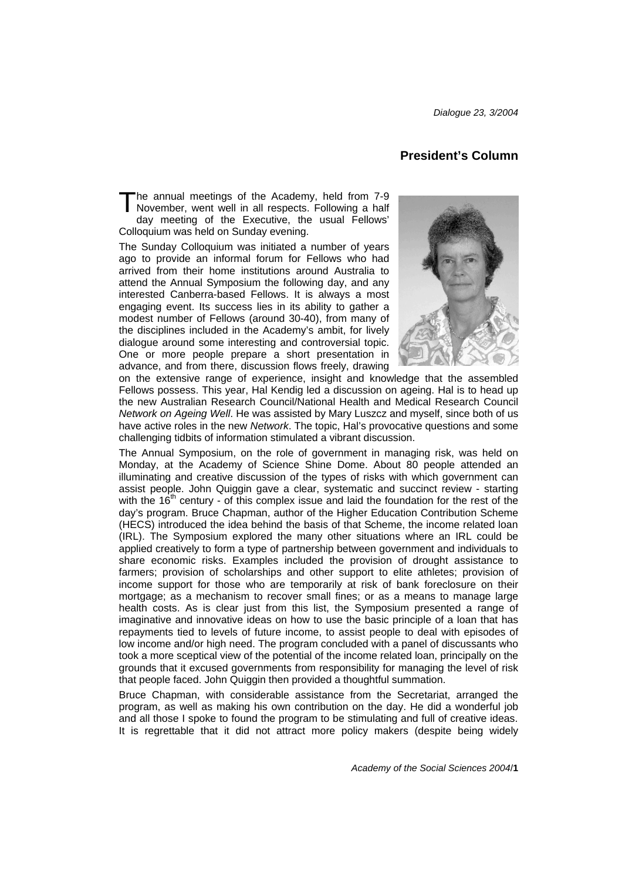### **President's Column**

he annual meetings of the Academy, held from 7-9 The annual meetings of the Academy, held from 7-9<br>November, went well in all respects. Following a half day meeting of the Executive, the usual Fellows' Colloquium was held on Sunday evening.

The Sunday Colloquium was initiated a number of years ago to provide an informal forum for Fellows who had arrived from their home institutions around Australia to attend the Annual Symposium the following day, and any interested Canberra-based Fellows. It is always a most engaging event. Its success lies in its ability to gather a modest number of Fellows (around 30-40), from many of the disciplines included in the Academy's ambit, for lively dialogue around some interesting and controversial topic. One or more people prepare a short presentation in advance, and from there, discussion flows freely, drawing



on the extensive range of experience, insight and knowledge that the assembled Fellows possess. This year, Hal Kendig led a discussion on ageing. Hal is to head up the new Australian Research Council/National Health and Medical Research Council *Network on Ageing Well*. He was assisted by Mary Luszcz and myself, since both of us have active roles in the new *Network*. The topic, Hal's provocative questions and some challenging tidbits of information stimulated a vibrant discussion.

The Annual Symposium, on the role of government in managing risk, was held on Monday, at the Academy of Science Shine Dome. About 80 people attended an illuminating and creative discussion of the types of risks with which government can assist people. John Quiggin gave a clear, systematic and succinct review - starting with the 16<sup>th</sup> century - of this complex issue and laid the foundation for the rest of the day's program. Bruce Chapman, author of the Higher Education Contribution Scheme (HECS) introduced the idea behind the basis of that Scheme, the income related loan (IRL). The Symposium explored the many other situations where an IRL could be applied creatively to form a type of partnership between government and individuals to share economic risks. Examples included the provision of drought assistance to farmers; provision of scholarships and other support to elite athletes; provision of income support for those who are temporarily at risk of bank foreclosure on their mortgage; as a mechanism to recover small fines; or as a means to manage large health costs. As is clear just from this list, the Symposium presented a range of imaginative and innovative ideas on how to use the basic principle of a loan that has repayments tied to levels of future income, to assist people to deal with episodes of low income and/or high need. The program concluded with a panel of discussants who took a more sceptical view of the potential of the income related loan, principally on the grounds that it excused governments from responsibility for managing the level of risk that people faced. John Quiggin then provided a thoughtful summation.

Bruce Chapman, with considerable assistance from the Secretariat, arranged the program, as well as making his own contribution on the day. He did a wonderful job and all those I spoke to found the program to be stimulating and full of creative ideas. It is regrettable that it did not attract more policy makers (despite being widely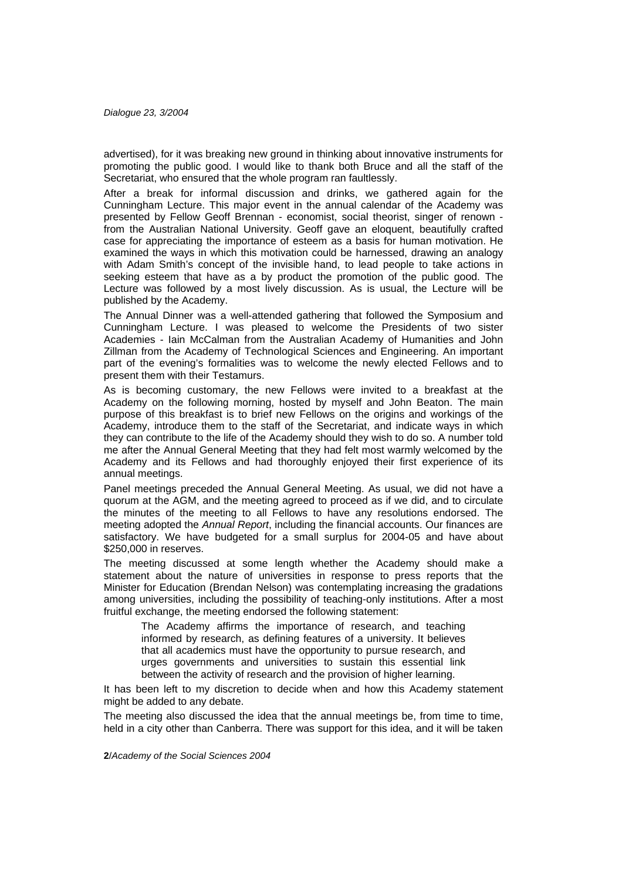advertised), for it was breaking new ground in thinking about innovative instruments for promoting the public good. I would like to thank both Bruce and all the staff of the Secretariat, who ensured that the whole program ran faultlessly.

After a break for informal discussion and drinks, we gathered again for the Cunningham Lecture. This major event in the annual calendar of the Academy was presented by Fellow Geoff Brennan - economist, social theorist, singer of renown from the Australian National University. Geoff gave an eloquent, beautifully crafted case for appreciating the importance of esteem as a basis for human motivation. He examined the ways in which this motivation could be harnessed, drawing an analogy with Adam Smith's concept of the invisible hand, to lead people to take actions in seeking esteem that have as a by product the promotion of the public good. The Lecture was followed by a most lively discussion. As is usual, the Lecture will be published by the Academy.

The Annual Dinner was a well-attended gathering that followed the Symposium and Cunningham Lecture. I was pleased to welcome the Presidents of two sister Academies - Iain McCalman from the Australian Academy of Humanities and John Zillman from the Academy of Technological Sciences and Engineering. An important part of the evening's formalities was to welcome the newly elected Fellows and to present them with their Testamurs.

As is becoming customary, the new Fellows were invited to a breakfast at the Academy on the following morning, hosted by myself and John Beaton. The main purpose of this breakfast is to brief new Fellows on the origins and workings of the Academy, introduce them to the staff of the Secretariat, and indicate ways in which they can contribute to the life of the Academy should they wish to do so. A number told me after the Annual General Meeting that they had felt most warmly welcomed by the Academy and its Fellows and had thoroughly enjoyed their first experience of its annual meetings.

Panel meetings preceded the Annual General Meeting. As usual, we did not have a quorum at the AGM, and the meeting agreed to proceed as if we did, and to circulate the minutes of the meeting to all Fellows to have any resolutions endorsed. The meeting adopted the *Annual Report*, including the financial accounts. Our finances are satisfactory. We have budgeted for a small surplus for 2004-05 and have about \$250,000 in reserves.

The meeting discussed at some length whether the Academy should make a statement about the nature of universities in response to press reports that the Minister for Education (Brendan Nelson) was contemplating increasing the gradations among universities, including the possibility of teaching-only institutions. After a most fruitful exchange, the meeting endorsed the following statement:

The Academy affirms the importance of research, and teaching informed by research, as defining features of a university. It believes that all academics must have the opportunity to pursue research, and urges governments and universities to sustain this essential link between the activity of research and the provision of higher learning.

It has been left to my discretion to decide when and how this Academy statement might be added to any debate.

The meeting also discussed the idea that the annual meetings be, from time to time, held in a city other than Canberra. There was support for this idea, and it will be taken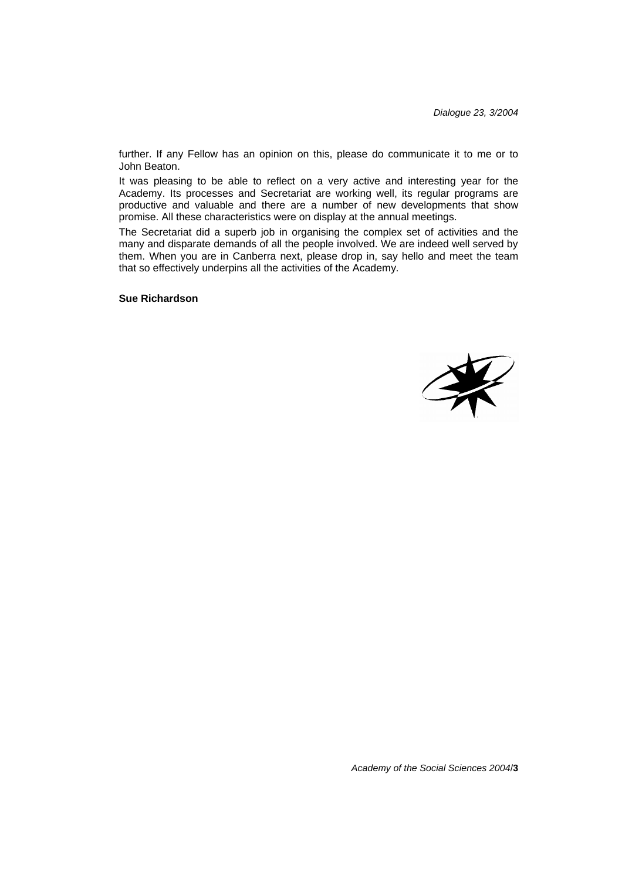further. If any Fellow has an opinion on this, please do communicate it to me or to John Beaton.

It was pleasing to be able to reflect on a very active and interesting year for the Academy. Its processes and Secretariat are working well, its regular programs are productive and valuable and there are a number of new developments that show promise. All these characteristics were on display at the annual meetings.

The Secretariat did a superb job in organising the complex set of activities and the many and disparate demands of all the people involved. We are indeed well served by them. When you are in Canberra next, please drop in, say hello and meet the team that so effectively underpins all the activities of the Academy.

#### **Sue Richardson**



*Academy of the Social Sciences 2004*/**3**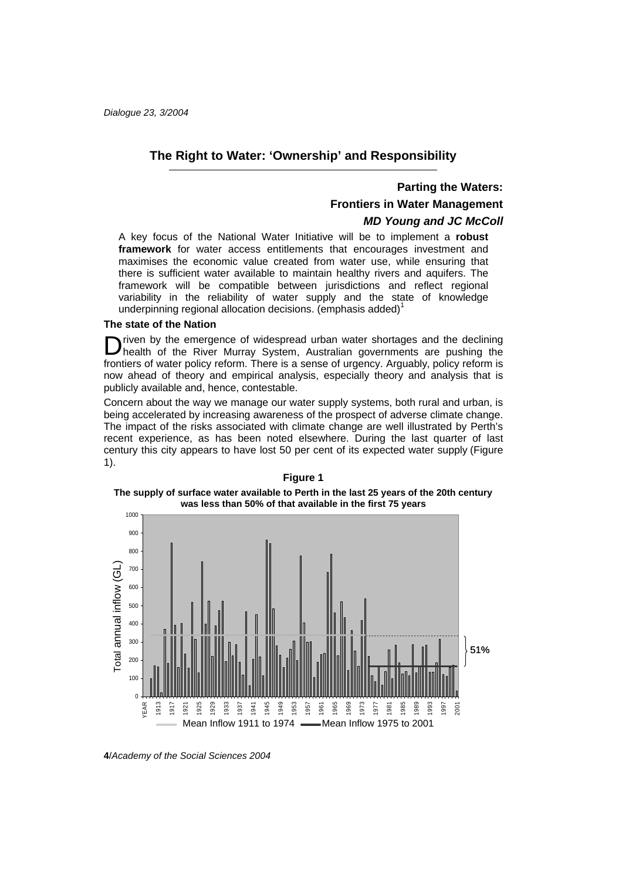## **The Right to Water: 'Ownership' and Responsibility**

# **Parting the Waters: Frontiers in Water Management**

### *MD Young and JC McColl*

A key focus of the National Water Initiative will be to implement a **robust framework** for water access entitlements that encourages investment and maximises the economic value created from water use, while ensuring that there is sufficient water available to maintain healthy rivers and aquifers. The framework will be compatible between jurisdictions and reflect regional variability in the reliability of water supply and the state of knowledge underpinning regional allocation decisions. (emphasis added)<sup>1</sup>

#### **The state of the Nation**

riven by the emergence of widespread urban water shortages and the declining health of the River Murray System, Australian governments are pushing the frontiers of water policy reform. There is a sense of urgency. Arguably, policy reform is now ahead of theory and empirical analysis, especially theory and analysis that is publicly available and, hence, contestable. D

Concern about the way we manage our water supply systems, both rural and urban, is being accelerated by increasing awareness of the prospect of adverse climate change. The impact of the risks associated with climate change are well illustrated by Perth's recent experience, as has been noted elsewhere. During the last quarter of last century this city appears to have lost 50 per cent of its expected water supply (Figure 1).



#### **Figure 1**

**The supply of surface water available to Perth in the last 25 years of the 20th century** 

**<sup>4</sup>**/*Academy of the Social Sciences 2004*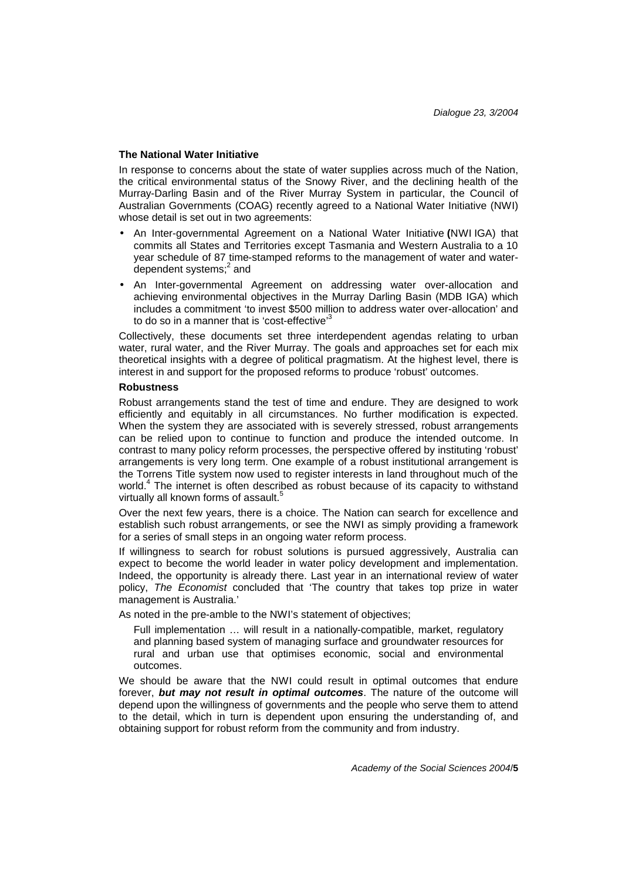#### **The National Water Initiative**

In response to concerns about the state of water supplies across much of the Nation, the critical environmental status of the Snowy River, and the declining health of the Murray-Darling Basin and of the River Murray System in particular, the Council of Australian Governments (COAG) recently agreed to a National Water Initiative (NWI) whose detail is set out in two agreements:

- An Inter-governmental Agreement on a National Water Initiative **(**NWI IGA) that commits all States and Territories except Tasmania and Western Australia to a 10 year schedule of 87 time-stamped reforms to the management of water and waterdependent systems; $^2$  and
- An Inter-governmental Agreement on addressing water over-allocation and achieving environmental objectives in the Murray Darling Basin (MDB IGA) which includes a commitment 'to invest \$500 million to address water over-allocation' and to do so in a manner that is 'cost-effective'<sup>3</sup>

Collectively, these documents set three interdependent agendas relating to urban water, rural water, and the River Murray. The goals and approaches set for each mix theoretical insights with a degree of political pragmatism. At the highest level, there is interest in and support for the proposed reforms to produce 'robust' outcomes.

#### **Robustness**

Robust arrangements stand the test of time and endure. They are designed to work efficiently and equitably in all circumstances. No further modification is expected. When the system they are associated with is severely stressed, robust arrangements can be relied upon to continue to function and produce the intended outcome. In contrast to many policy reform processes, the perspective offered by instituting 'robust' arrangements is very long term. One example of a robust institutional arrangement is the Torrens Title system now used to register interests in land throughout much of the world.<sup>4</sup> The internet is often described as robust because of its capacity to withstand virtually all known forms of assault. 5

Over the next few years, there is a choice. The Nation can search for excellence and establish such robust arrangements, or see the NWI as simply providing a framework for a series of small steps in an ongoing water reform process.

If willingness to search for robust solutions is pursued aggressively, Australia can expect to become the world leader in water policy development and implementation. Indeed, the opportunity is already there. Last year in an international review of water policy, *The Economist* concluded that 'The country that takes top prize in water management is Australia.'

As noted in the pre-amble to the NWI's statement of objectives;

Full implementation … will result in a nationally-compatible, market, regulatory and planning based system of managing surface and groundwater resources for rural and urban use that optimises economic, social and environmental outcomes.

We should be aware that the NWI could result in optimal outcomes that endure forever, *but may not result in optimal outcomes*. The nature of the outcome will depend upon the willingness of governments and the people who serve them to attend to the detail, which in turn is dependent upon ensuring the understanding of, and obtaining support for robust reform from the community and from industry.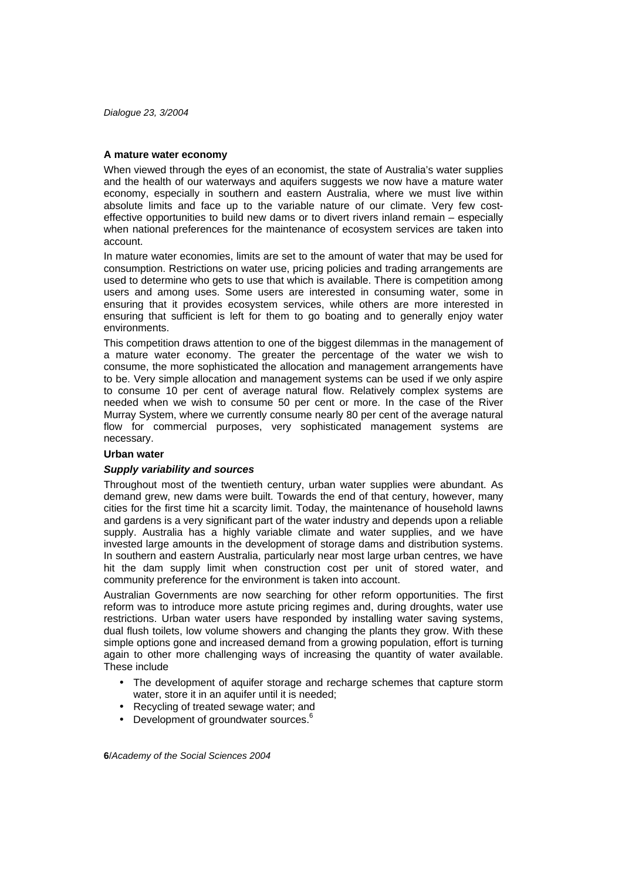#### **A mature water economy**

When viewed through the eyes of an economist, the state of Australia's water supplies and the health of our waterways and aquifers suggests we now have a mature water economy, especially in southern and eastern Australia, where we must live within absolute limits and face up to the variable nature of our climate. Very few costeffective opportunities to build new dams or to divert rivers inland remain – especially when national preferences for the maintenance of ecosystem services are taken into account.

In mature water economies, limits are set to the amount of water that may be used for consumption. Restrictions on water use, pricing policies and trading arrangements are used to determine who gets to use that which is available. There is competition among users and among uses. Some users are interested in consuming water, some in ensuring that it provides ecosystem services, while others are more interested in ensuring that sufficient is left for them to go boating and to generally enjoy water environments.

This competition draws attention to one of the biggest dilemmas in the management of a mature water economy. The greater the percentage of the water we wish to consume, the more sophisticated the allocation and management arrangements have to be. Very simple allocation and management systems can be used if we only aspire to consume 10 per cent of average natural flow. Relatively complex systems are needed when we wish to consume 50 per cent or more. In the case of the River Murray System, where we currently consume nearly 80 per cent of the average natural flow for commercial purposes, very sophisticated management systems are necessary.

#### **Urban water**

#### *Supply variability and sources*

Throughout most of the twentieth century, urban water supplies were abundant. As demand grew, new dams were built. Towards the end of that century, however, many cities for the first time hit a scarcity limit. Today, the maintenance of household lawns and gardens is a very significant part of the water industry and depends upon a reliable supply. Australia has a highly variable climate and water supplies, and we have invested large amounts in the development of storage dams and distribution systems. In southern and eastern Australia, particularly near most large urban centres, we have hit the dam supply limit when construction cost per unit of stored water, and community preference for the environment is taken into account.

Australian Governments are now searching for other reform opportunities. The first reform was to introduce more astute pricing regimes and, during droughts, water use restrictions. Urban water users have responded by installing water saving systems, dual flush toilets, low volume showers and changing the plants they grow. With these simple options gone and increased demand from a growing population, effort is turning again to other more challenging ways of increasing the quantity of water available. These include

- The development of aquifer storage and recharge schemes that capture storm water, store it in an aquifer until it is needed;
- Recycling of treated sewage water; and
- Development of groundwater sources.<sup>6</sup>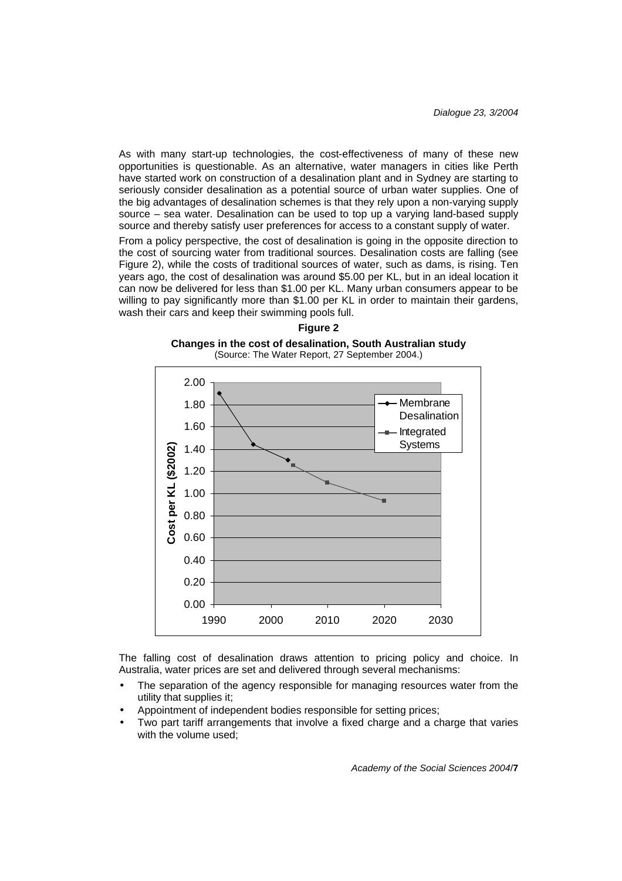As with many start-up technologies, the cost-effectiveness of many of these new opportunities is questionable. As an alternative, water managers in cities like Perth have started work on construction of a desalination plant and in Sydney are starting to seriously consider desalination as a potential source of urban water supplies. One of the big advantages of desalination schemes is that they rely upon a non-varying supply source – sea water. Desalination can be used to top up a varying land-based supply source and thereby satisfy user preferences for access to a constant supply of water. From a policy perspective, the cost of desalination is going in the opposite direction to the cost of sourcing water from traditional sources. Desalination costs are falling (see Figure 2), while the costs of traditional sources of water, such as dams, is rising. Ten years ago, the cost of desalination was around \$5.00 per KL, but in an ideal location it can now be delivered for less than \$1.00 per KL. Many urban consumers appear to be willing to pay significantly more than \$1.00 per KL in order to maintain their gardens, wash their cars and keep their swimming pools full.





The falling cost of desalination draws attention to pricing policy and choice. In Australia, water prices are set and delivered through several mechanisms:

- The separation of the agency responsible for managing resources water from the utility that supplies it;
- Appointment of independent bodies responsible for setting prices;
- Two part tariff arrangements that involve a fixed charge and a charge that varies with the volume used:

*Academy of the Social Sciences 2004*/**7**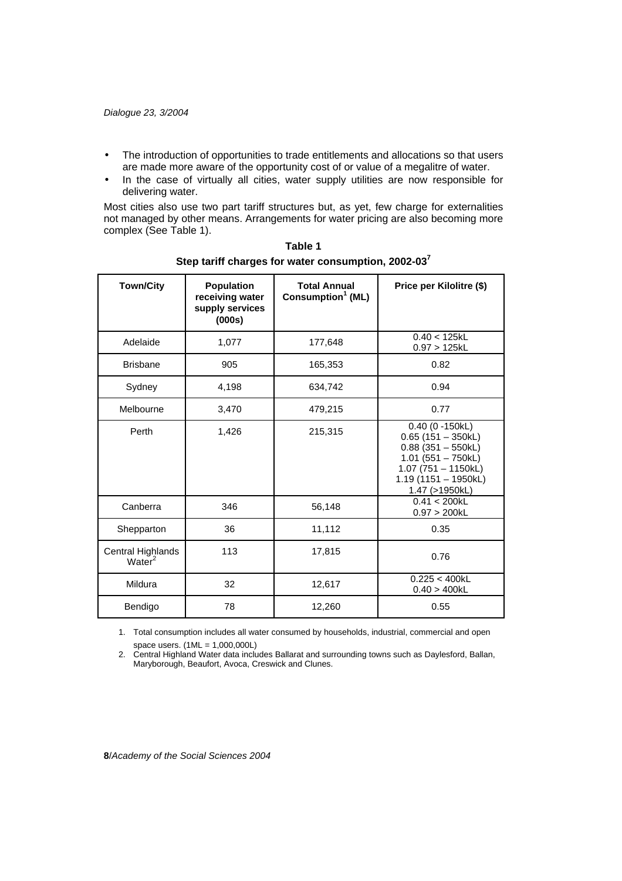- The introduction of opportunities to trade entitlements and allocations so that users are made more aware of the opportunity cost of or value of a megalitre of water.
- In the case of virtually all cities, water supply utilities are now responsible for delivering water.

Most cities also use two part tariff structures but, as yet, few charge for externalities not managed by other means. Arrangements for water pricing are also becoming more complex (See Table 1).

| <b>Town/City</b>                        | <b>Population</b><br>receiving water<br>supply services<br>(000s) | <b>Total Annual</b><br>Consumption <sup>1</sup> (ML) | Price per Kilolitre (\$)                                                                                                                                    |
|-----------------------------------------|-------------------------------------------------------------------|------------------------------------------------------|-------------------------------------------------------------------------------------------------------------------------------------------------------------|
| Adelaide                                | 1,077                                                             | 177,648                                              | $0.40 < 125$ kL<br>$0.97 > 125$ kL                                                                                                                          |
| <b>Brisbane</b>                         | 905                                                               | 165,353                                              | 0.82                                                                                                                                                        |
| Sydney                                  | 4,198                                                             | 634,742                                              | 0.94                                                                                                                                                        |
| Melbourne                               | 3,470                                                             | 479,215                                              | 0.77                                                                                                                                                        |
| Perth                                   | 1,426                                                             | 215,315                                              | $0.40(0 - 150kL)$<br>$0.65$ (151 - 350kL)<br>$0.88$ (351 - 550kL)<br>$1.01$ (551 - 750kL)<br>$1.07(751 - 1150kL)$<br>$1.19(1151 - 1950k)$<br>1.47 (>1950kL) |
| Canberra                                | 346                                                               | 56,148                                               | $0.41 < 200$ kL<br>0.97 > 200 kL                                                                                                                            |
| Shepparton                              | 36                                                                | 11,112                                               | 0.35                                                                                                                                                        |
| Central Highlands<br>Water <sup>2</sup> | 113                                                               | 17,815                                               | 0.76                                                                                                                                                        |
| Mildura                                 | 32                                                                | 12,617                                               | $0.225 < 400$ kL<br>$0.40 > 400$ kL                                                                                                                         |
| Bendigo                                 | 78                                                                | 12,260                                               | 0.55                                                                                                                                                        |

**Table 1 Step tariff charges for water consumption, 2002-03<sup>7</sup>**

1. Total consumption includes all water consumed by households, industrial, commercial and open space users. (1ML = 1,000,000L)

2. Central Highland Water data includes Ballarat and surrounding towns such as Daylesford, Ballan, Maryborough, Beaufort, Avoca, Creswick and Clunes.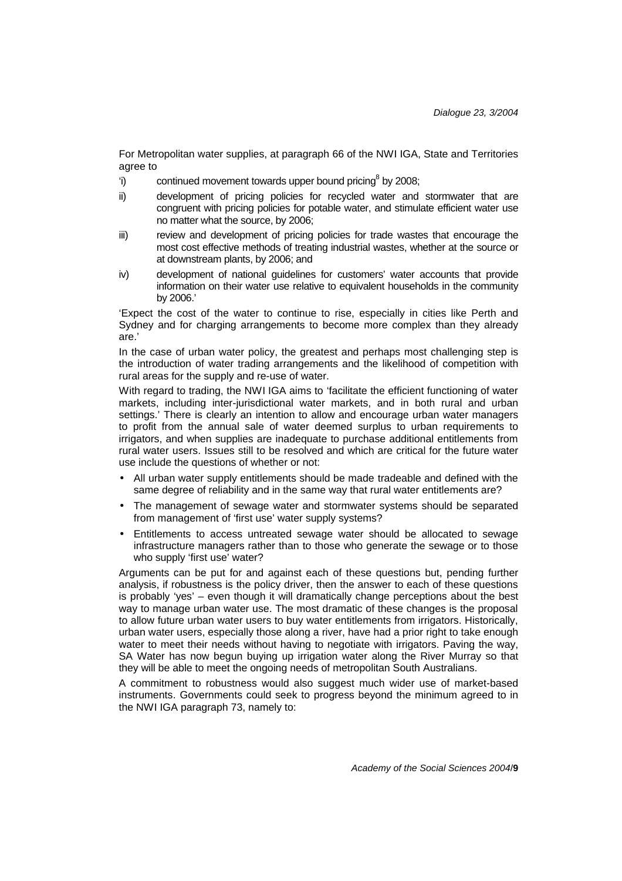For Metropolitan water supplies, at paragraph 66 of the NWI IGA, State and Territories agree to

- 'i) continued movement towards upper bound pricing<sup>8</sup> by 2008;
- ii) development of pricing policies for recycled water and stormwater that are congruent with pricing policies for potable water, and stimulate efficient water use no matter what the source, by 2006;
- iii) review and development of pricing policies for trade wastes that encourage the most cost effective methods of treating industrial wastes, whether at the source or at downstream plants, by 2006; and
- iv) development of national guidelines for customers' water accounts that provide information on their water use relative to equivalent households in the community by 2006.'

'Expect the cost of the water to continue to rise, especially in cities like Perth and Sydney and for charging arrangements to become more complex than they already are.'

In the case of urban water policy, the greatest and perhaps most challenging step is the introduction of water trading arrangements and the likelihood of competition with rural areas for the supply and re-use of water.

With regard to trading, the NWI IGA aims to 'facilitate the efficient functioning of water markets, including inter-jurisdictional water markets, and in both rural and urban settings.' There is clearly an intention to allow and encourage urban water managers to profit from the annual sale of water deemed surplus to urban requirements to irrigators, and when supplies are inadequate to purchase additional entitlements from rural water users. Issues still to be resolved and which are critical for the future water use include the questions of whether or not:

- All urban water supply entitlements should be made tradeable and defined with the same degree of reliability and in the same way that rural water entitlements are?
- The management of sewage water and stormwater systems should be separated from management of 'first use' water supply systems?
- Entitlements to access untreated sewage water should be allocated to sewage infrastructure managers rather than to those who generate the sewage or to those who supply 'first use' water?

Arguments can be put for and against each of these questions but, pending further analysis, if robustness is the policy driver, then the answer to each of these questions is probably 'yes' – even though it will dramatically change perceptions about the best way to manage urban water use. The most dramatic of these changes is the proposal to allow future urban water users to buy water entitlements from irrigators. Historically, urban water users, especially those along a river, have had a prior right to take enough water to meet their needs without having to negotiate with irrigators. Paving the way, SA Water has now begun buying up irrigation water along the River Murray so that they will be able to meet the ongoing needs of metropolitan South Australians.

A commitment to robustness would also suggest much wider use of market-based instruments. Governments could seek to progress beyond the minimum agreed to in the NWI IGA paragraph 73, namely to: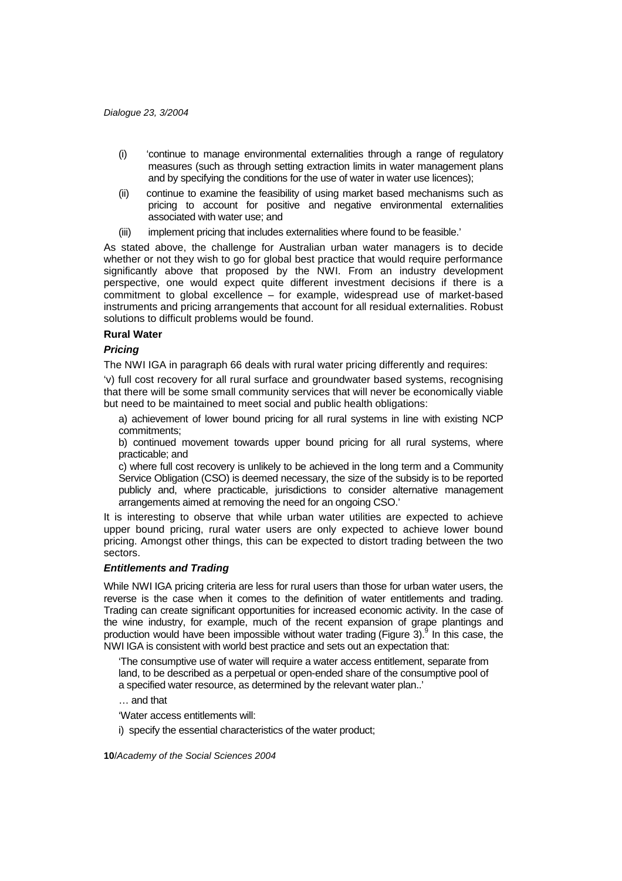- (i) 'continue to manage environmental externalities through a range of regulatory measures (such as through setting extraction limits in water management plans and by specifying the conditions for the use of water in water use licences);
- (ii) continue to examine the feasibility of using market based mechanisms such as pricing to account for positive and negative environmental externalities associated with water use; and
- (iii) implement pricing that includes externalities where found to be feasible.'

As stated above, the challenge for Australian urban water managers is to decide whether or not they wish to go for global best practice that would require performance significantly above that proposed by the NWI. From an industry development perspective, one would expect quite different investment decisions if there is a commitment to global excellence – for example, widespread use of market-based instruments and pricing arrangements that account for all residual externalities. Robust solutions to difficult problems would be found.

#### **Rural Water**

#### *Pricing*

The NWI IGA in paragraph 66 deals with rural water pricing differently and requires:

'v) full cost recovery for all rural surface and groundwater based systems, recognising that there will be some small community services that will never be economically viable but need to be maintained to meet social and public health obligations:

a) achievement of lower bound pricing for all rural systems in line with existing NCP commitments;

b) continued movement towards upper bound pricing for all rural systems, where practicable; and

c) where full cost recovery is unlikely to be achieved in the long term and a Community Service Obligation (CSO) is deemed necessary, the size of the subsidy is to be reported publicly and, where practicable, jurisdictions to consider alternative management arrangements aimed at removing the need for an ongoing CSO.'

It is interesting to observe that while urban water utilities are expected to achieve upper bound pricing, rural water users are only expected to achieve lower bound pricing. Amongst other things, this can be expected to distort trading between the two sectors.

#### *Entitlements and Trading*

While NWI IGA pricing criteria are less for rural users than those for urban water users, the reverse is the case when it comes to the definition of water entitlements and trading. Trading can create significant opportunities for increased economic activity. In the case of the wine industry, for example, much of the recent expansion of grape plantings and production would have been impossible without water trading (Figure 3).<sup>9</sup> In this case, the NWI IGA is consistent with world best practice and sets out an expectation that:

'The consumptive use of water will require a water access entitlement, separate from land, to be described as a perpetual or open-ended share of the consumptive pool of a specified water resource, as determined by the relevant water plan..'

… and that

'Water access entitlements will:

i) specify the essential characteristics of the water product;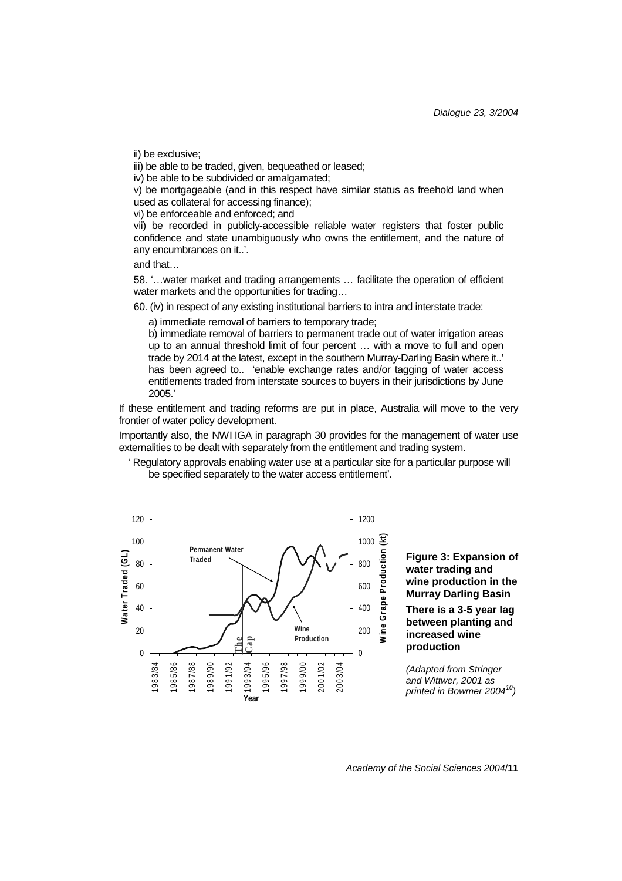ii) be exclusive;

iii) be able to be traded, given, bequeathed or leased;

iv) be able to be subdivided or amalgamated;

v) be mortgageable (and in this respect have similar status as freehold land when used as collateral for accessing finance);

vi) be enforceable and enforced; and

vii) be recorded in publicly-accessible reliable water registers that foster public confidence and state unambiguously who owns the entitlement, and the nature of any encumbrances on it..'.

and that…

58. '…water market and trading arrangements … facilitate the operation of efficient water markets and the opportunities for trading…

60. (iv) in respect of any existing institutional barriers to intra and interstate trade:

a) immediate removal of barriers to temporary trade;

b) immediate removal of barriers to permanent trade out of water irrigation areas up to an annual threshold limit of four percent … with a move to full and open trade by 2014 at the latest, except in the southern Murray-Darling Basin where it..' has been agreed to.. 'enable exchange rates and/or tagging of water access entitlements traded from interstate sources to buyers in their jurisdictions by June 2005.'

If these entitlement and trading reforms are put in place, Australia will move to the very frontier of water policy development.

Importantly also, the NWI IGA in paragraph 30 provides for the management of water use externalities to be dealt with separately from the entitlement and trading system.

' Regulatory approvals enabling water use at a particular site for a particular purpose will be specified separately to the water access entitlement'.



**Figure 3: Expansion of water trading and wine production in the Murray Darling Basin**

#### **There is a 3-5 year lag between planting and increased wine production**

*(Adapted from Stringer and Wittwer, 2001 as printed in Bowmer 2004<sup>10</sup>)*

*Academy of the Social Sciences 2004*/**11**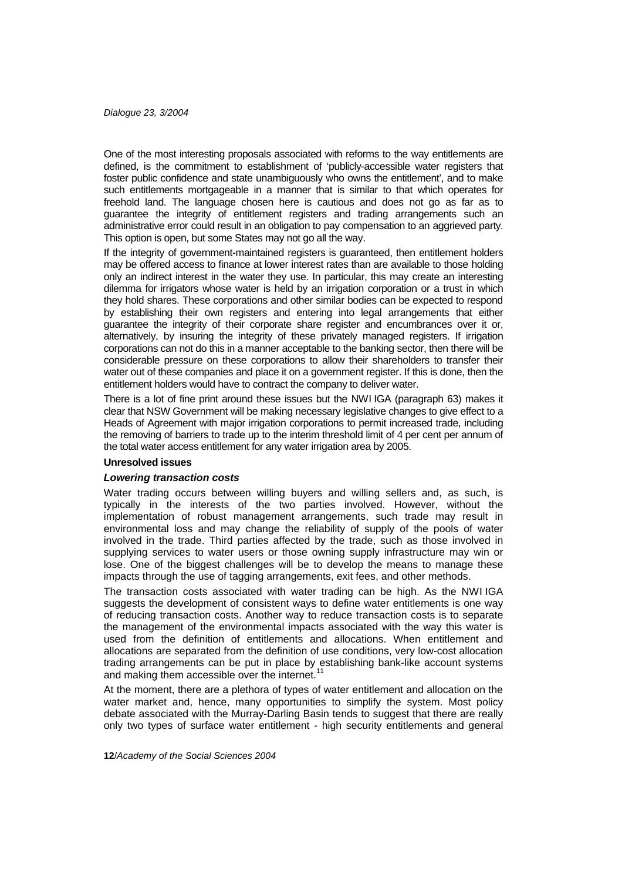One of the most interesting proposals associated with reforms to the way entitlements are defined, is the commitment to establishment of 'publicly-accessible water registers that foster public confidence and state unambiguously who owns the entitlement', and to make such entitlements mortgageable in a manner that is similar to that which operates for freehold land. The language chosen here is cautious and does not go as far as to guarantee the integrity of entitlement registers and trading arrangements such an administrative error could result in an obligation to pay compensation to an aggrieved party. This option is open, but some States may not go all the way.

If the integrity of government-maintained registers is guaranteed, then entitlement holders may be offered access to finance at lower interest rates than are available to those holding only an indirect interest in the water they use. In particular, this may create an interesting dilemma for irrigators whose water is held by an irrigation corporation or a trust in which they hold shares. These corporations and other similar bodies can be expected to respond by establishing their own registers and entering into legal arrangements that either guarantee the integrity of their corporate share register and encumbrances over it or, alternatively, by insuring the integrity of these privately managed registers. If irrigation corporations can not do this in a manner acceptable to the banking sector, then there will be considerable pressure on these corporations to allow their shareholders to transfer their water out of these companies and place it on a government register. If this is done, then the entitlement holders would have to contract the company to deliver water.

There is a lot of fine print around these issues but the NWI IGA (paragraph 63) makes it clear that NSW Government will be making necessary legislative changes to give effect to a Heads of Agreement with major irrigation corporations to permit increased trade, including the removing of barriers to trade up to the interim threshold limit of 4 per cent per annum of the total water access entitlement for any water irrigation area by 2005.

#### **Unresolved issues**

#### *Lowering transaction costs*

Water trading occurs between willing buyers and willing sellers and, as such, is typically in the interests of the two parties involved. However, without the implementation of robust management arrangements, such trade may result in environmental loss and may change the reliability of supply of the pools of water involved in the trade. Third parties affected by the trade, such as those involved in supplying services to water users or those owning supply infrastructure may win or lose. One of the biggest challenges will be to develop the means to manage these impacts through the use of tagging arrangements, exit fees, and other methods.

The transaction costs associated with water trading can be high. As the NWI IGA suggests the development of consistent ways to define water entitlements is one way of reducing transaction costs. Another way to reduce transaction costs is to separate the management of the environmental impacts associated with the way this water is used from the definition of entitlements and allocations. When entitlement and allocations are separated from the definition of use conditions, very low-cost allocation trading arrangements can be put in place by establishing bank-like account systems and making them accessible over the internet.<sup>11</sup>

At the moment, there are a plethora of types of water entitlement and allocation on the water market and, hence, many opportunities to simplify the system. Most policy debate associated with the Murray-Darling Basin tends to suggest that there are really only two types of surface water entitlement - high security entitlements and general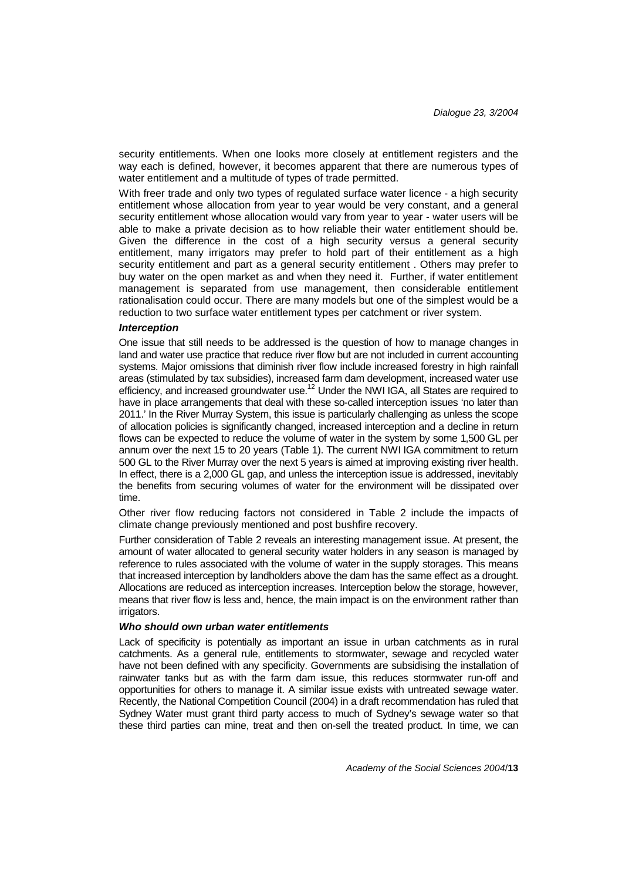security entitlements. When one looks more closely at entitlement registers and the way each is defined, however, it becomes apparent that there are numerous types of water entitlement and a multitude of types of trade permitted.

With freer trade and only two types of regulated surface water licence - a high security entitlement whose allocation from year to year would be very constant, and a general security entitlement whose allocation would vary from year to year - water users will be able to make a private decision as to how reliable their water entitlement should be. Given the difference in the cost of a high security versus a general security entitlement, many irrigators may prefer to hold part of their entitlement as a high security entitlement and part as a general security entitlement . Others may prefer to buy water on the open market as and when they need it. Further, if water entitlement management is separated from use management, then considerable entitlement rationalisation could occur. There are many models but one of the simplest would be a reduction to two surface water entitlement types per catchment or river system.

#### *Interception*

One issue that still needs to be addressed is the question of how to manage changes in land and water use practice that reduce river flow but are not included in current accounting systems. Major omissions that diminish river flow include increased forestry in high rainfall areas (stimulated by tax subsidies), increased farm dam development, increased water use efficiency, and increased groundwater use.<sup>12</sup> Under the NWI IGA, all States are required to have in place arrangements that deal with these so-called interception issues 'no later than 2011.' In the River Murray System, this issue is particularly challenging as unless the scope of allocation policies is significantly changed, increased interception and a decline in return flows can be expected to reduce the volume of water in the system by some 1,500 GL per annum over the next 15 to 20 years (Table 1). The current NWI IGA commitment to return 500 GL to the River Murray over the next 5 years is aimed at improving existing river health. In effect, there is a 2,000 GL gap, and unless the interception issue is addressed, inevitably the benefits from securing volumes of water for the environment will be dissipated over time.

Other river flow reducing factors not considered in Table 2 include the impacts of climate change previously mentioned and post bushfire recovery.

Further consideration of Table 2 reveals an interesting management issue. At present, the amount of water allocated to general security water holders in any season is managed by reference to rules associated with the volume of water in the supply storages. This means that increased interception by landholders above the dam has the same effect as a drought. Allocations are reduced as interception increases. Interception below the storage, however, means that river flow is less and, hence, the main impact is on the environment rather than irrigators.

#### *Who should own urban water entitlements*

Lack of specificity is potentially as important an issue in urban catchments as in rural catchments. As a general rule, entitlements to stormwater, sewage and recycled water have not been defined with any specificity. Governments are subsidising the installation of rainwater tanks but as with the farm dam issue, this reduces stormwater run-off and opportunities for others to manage it. A similar issue exists with untreated sewage water. Recently, the National Competition Council (2004) in a draft recommendation has ruled that Sydney Water must grant third party access to much of Sydney's sewage water so that these third parties can mine, treat and then on-sell the treated product. In time, we can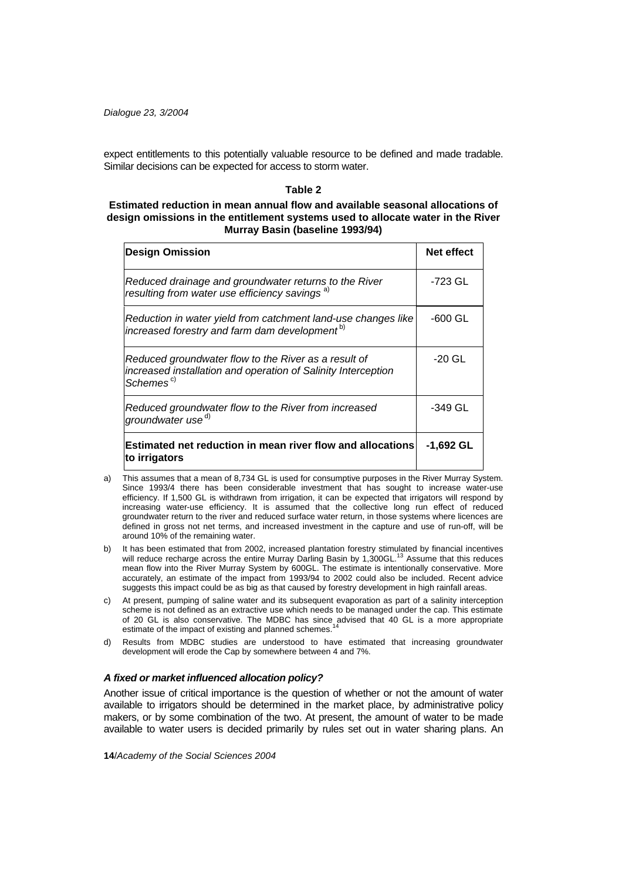expect entitlements to this potentially valuable resource to be defined and made tradable. Similar decisions can be expected for access to storm water.

#### **Table 2**

#### **Estimated reduction in mean annual flow and available seasonal allocations of design omissions in the entitlement systems used to allocate water in the River Murray Basin (baseline 1993/94)**

| <b>Design Omission</b>                                                                                                                         | Net effect |
|------------------------------------------------------------------------------------------------------------------------------------------------|------------|
| Reduced drainage and groundwater returns to the River<br>resulting from water use efficiency savings <sup>a)</sup>                             | -723 GL    |
| Reduction in water yield from catchment land-use changes like<br>increased forestry and farm dam development <sup>b)</sup>                     | -600 GL    |
| Reduced groundwater flow to the River as a result of<br>increased installation and operation of Salinity Interception<br>Schemes <sup>c)</sup> | -20 GL     |
| Reduced groundwater flow to the River from increased<br>groundwater use <sup>d)</sup>                                                          | -349 GL    |
| Estimated net reduction in mean river flow and allocations<br>to irrigators                                                                    | -1.692 GL  |

- a) This assumes that a mean of 8,734 GL is used for consumptive purposes in the River Murray System. Since 1993/4 there has been considerable investment that has sought to increase water-use efficiency. If 1,500 GL is withdrawn from irrigation, it can be expected that irrigators will respond by increasing water-use efficiency. It is assumed that the collective long run effect of reduced groundwater return to the river and reduced surface water return, in those systems where licences are defined in gross not net terms, and increased investment in the capture and use of run-off, will be around 10% of the remaining water.
- b) It has been estimated that from 2002, increased plantation forestry stimulated by financial incentives will reduce recharge across the entire Murray Darling Basin by 1,300GL.<sup>13</sup> Assume that this reduces mean flow into the River Murray System by 600GL. The estimate is intentionally conservative. More accurately, an estimate of the impact from 1993/94 to 2002 could also be included. Recent advice suggests this impact could be as big as that caused by forestry development in high rainfall areas.
- c) At present, pumping of saline water and its subsequent evaporation as part of a salinity interception scheme is not defined as an extractive use which needs to be managed under the cap. This estimate of 20 GL is also conservative. The MDBC has since advised that 40 GL is a more appropriate<br>estimate of the impact of existing and planned schemes.<sup>14</sup>
- d) Results from MDBC studies are understood to have estimated that increasing groundwater development will erode the Cap by somewhere between 4 and 7%.

#### *A fixed or market influenced allocation policy?*

Another issue of critical importance is the question of whether or not the amount of water available to irrigators should be determined in the market place, by administrative policy makers, or by some combination of the two. At present, the amount of water to be made available to water users is decided primarily by rules set out in water sharing plans. An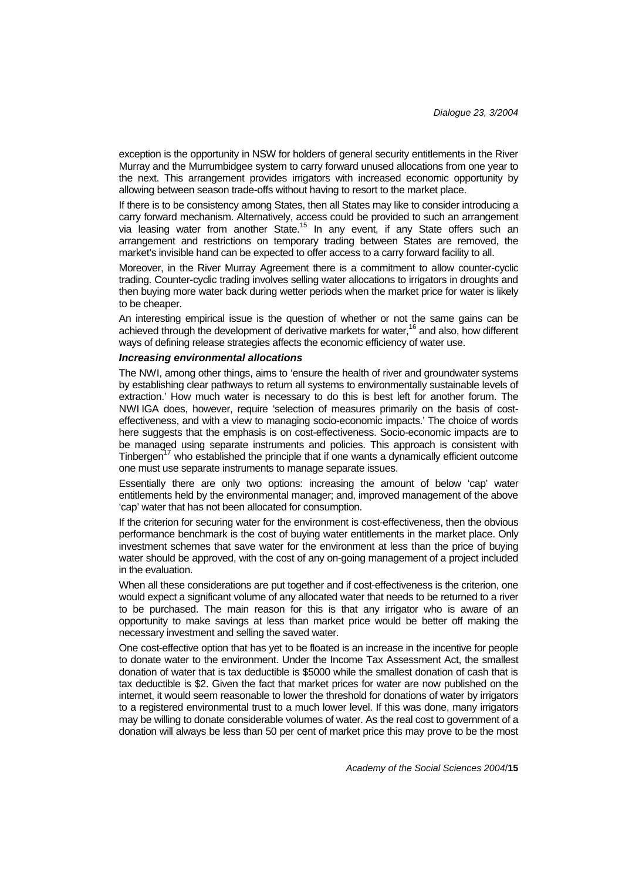exception is the opportunity in NSW for holders of general security entitlements in the River Murray and the Murrumbidgee system to carry forward unused allocations from one year to the next. This arrangement provides irrigators with increased economic opportunity by allowing between season trade-offs without having to resort to the market place.

If there is to be consistency among States, then all States may like to consider introducing a carry forward mechanism. Alternatively, access could be provided to such an arrangement via leasing water from another State.<sup>15</sup> In any event, if any State offers such an arrangement and restrictions on temporary trading between States are removed, the market's invisible hand can be expected to offer access to a carry forward facility to all.

Moreover, in the River Murray Agreement there is a commitment to allow counter-cyclic trading. Counter-cyclic trading involves selling water allocations to irrigators in droughts and then buying more water back during wetter periods when the market price for water is likely to be cheaper.

An interesting empirical issue is the question of whether or not the same gains can be achieved through the development of derivative markets for water,<sup>16</sup> and also, how different ways of defining release strategies affects the economic efficiency of water use.

#### *Increasing environmental allocations*

The NWI, among other things, aims to 'ensure the health of river and groundwater systems by establishing clear pathways to return all systems to environmentally sustainable levels of extraction.' How much water is necessary to do this is best left for another forum. The NWI IGA does, however, require 'selection of measures primarily on the basis of costeffectiveness, and with a view to managing socio-economic impacts.' The choice of words here suggests that the emphasis is on cost-effectiveness. Socio-economic impacts are to be managed using separate instruments and policies. This approach is consistent with Tinbergen<sup>17</sup> who established the principle that if one wants a dynamically efficient outcome one must use separate instruments to manage separate issues.

Essentially there are only two options: increasing the amount of below 'cap' water entitlements held by the environmental manager; and, improved management of the above 'cap' water that has not been allocated for consumption.

If the criterion for securing water for the environment is cost-effectiveness, then the obvious performance benchmark is the cost of buying water entitlements in the market place. Only investment schemes that save water for the environment at less than the price of buying water should be approved, with the cost of any on-going management of a project included in the evaluation.

When all these considerations are put together and if cost-effectiveness is the criterion, one would expect a significant volume of any allocated water that needs to be returned to a river to be purchased. The main reason for this is that any irrigator who is aware of an opportunity to make savings at less than market price would be better off making the necessary investment and selling the saved water.

One cost-effective option that has yet to be floated is an increase in the incentive for people to donate water to the environment. Under the Income Tax Assessment Act, the smallest donation of water that is tax deductible is \$5000 while the smallest donation of cash that is tax deductible is \$2. Given the fact that market prices for water are now published on the internet, it would seem reasonable to lower the threshold for donations of water by irrigators to a registered environmental trust to a much lower level. If this was done, many irrigators may be willing to donate considerable volumes of water. As the real cost to government of a donation will always be less than 50 per cent of market price this may prove to be the most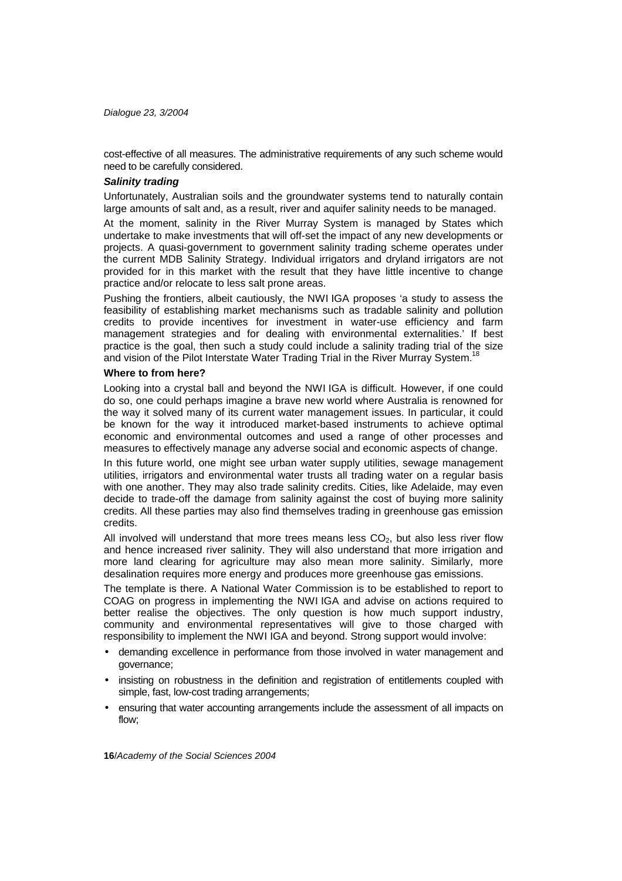cost-effective of all measures. The administrative requirements of any such scheme would need to be carefully considered.

#### *Salinity trading*

Unfortunately, Australian soils and the groundwater systems tend to naturally contain large amounts of salt and, as a result, river and aquifer salinity needs to be managed.

At the moment, salinity in the River Murray System is managed by States which undertake to make investments that will off-set the impact of any new developments or projects. A quasi-government to government salinity trading scheme operates under the current MDB Salinity Strategy. Individual irrigators and dryland irrigators are not provided for in this market with the result that they have little incentive to change practice and/or relocate to less salt prone areas.

Pushing the frontiers, albeit cautiously, the NWI IGA proposes 'a study to assess the feasibility of establishing market mechanisms such as tradable salinity and pollution credits to provide incentives for investment in water-use efficiency and farm management strategies and for dealing with environmental externalities.' If best practice is the goal, then such a study could include a salinity trading trial of the size and vision of the Pilot Interstate Water Trading Trial in the River Murray System.

#### **Where to from here?**

Looking into a crystal ball and beyond the NWI IGA is difficult. However, if one could do so, one could perhaps imagine a brave new world where Australia is renowned for the way it solved many of its current water management issues. In particular, it could be known for the way it introduced market-based instruments to achieve optimal economic and environmental outcomes and used a range of other processes and measures to effectively manage any adverse social and economic aspects of change.

In this future world, one might see urban water supply utilities, sewage management utilities, irrigators and environmental water trusts all trading water on a regular basis with one another. They may also trade salinity credits. Cities, like Adelaide, may even decide to trade-off the damage from salinity against the cost of buying more salinity credits. All these parties may also find themselves trading in greenhouse gas emission credits.

All involved will understand that more trees means less  $CO<sub>2</sub>$ , but also less river flow and hence increased river salinity. They will also understand that more irrigation and more land clearing for agriculture may also mean more salinity. Similarly, more desalination requires more energy and produces more greenhouse gas emissions.

The template is there. A National Water Commission is to be established to report to COAG on progress in implementing the NWI IGA and advise on actions required to better realise the objectives. The only question is how much support industry, community and environmental representatives will give to those charged with responsibility to implement the NWI IGA and beyond. Strong support would involve:

- demanding excellence in performance from those involved in water management and governance;
- insisting on robustness in the definition and registration of entitlements coupled with simple, fast, low-cost trading arrangements;
- ensuring that water accounting arrangements include the assessment of all impacts on flow;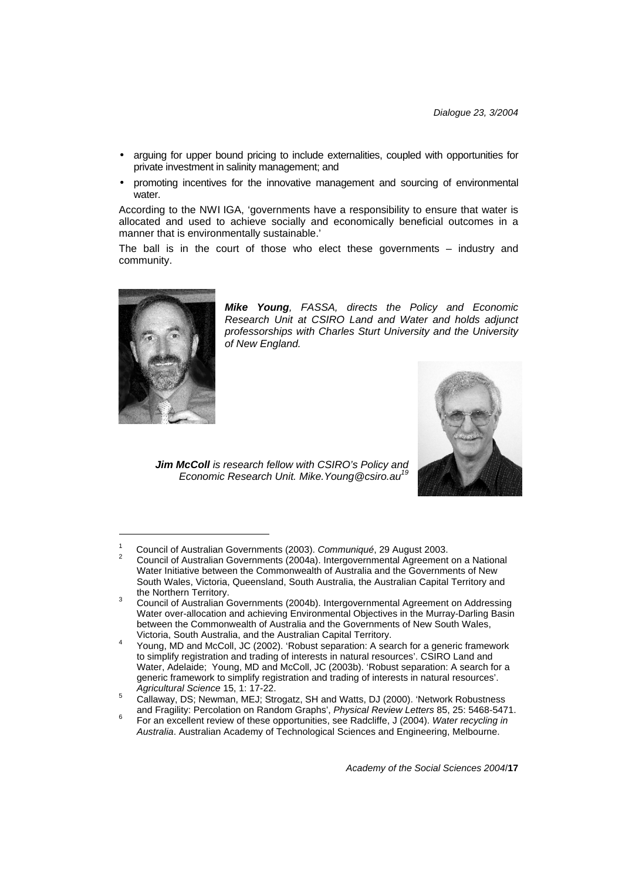- arguing for upper bound pricing to include externalities, coupled with opportunities for private investment in salinity management; and
- promoting incentives for the innovative management and sourcing of environmental water.

According to the NWI IGA, 'governments have a responsibility to ensure that water is allocated and used to achieve socially and economically beneficial outcomes in a manner that is environmentally sustainable.'

The ball is in the court of those who elect these governments  $-$  industry and community.



l

*Mike Young, FASSA, directs the Policy and Economic Research Unit at CSIRO Land and Water and holds adjunct professorships with Charles Sturt University and the University of New England.* 



*Jim McColl is research fellow with CSIRO's Policy and Economic Research Unit. Mike.Young@csiro.au<sup>19</sup>*

<sup>1</sup> Council of Australian Governments (2003). *Communiqué*, 29 August 2003.

<sup>2</sup> Council of Australian Governments (2004a). Intergovernmental Agreement on a National Water Initiative between the Commonwealth of Australia and the Governments of New South Wales, Victoria, Queensland, South Australia, the Australian Capital Territory and the Northern Territory.

<sup>3</sup> Council of Australian Governments (2004b). Intergovernmental Agreement on Addressing Water over-allocation and achieving Environmental Objectives in the Murray-Darling Basin between the Commonwealth of Australia and the Governments of New South Wales, Victoria, South Australia, and the Australian Capital Territory.

<sup>4</sup> Young, MD and McColl, JC (2002). 'Robust separation: A search for a generic framework to simplify registration and trading of interests in natural resources'. CSIRO Land and Water, Adelaide; Young, MD and McColl, JC (2003b). 'Robust separation: A search for a generic framework to simplify registration and trading of interests in natural resources'. *Agricultural Science* 15, 1: 17-22.

<sup>5</sup> Callaway, DS; Newman, MEJ; Strogatz, SH and Watts, DJ (2000). 'Network Robustness and Fragility: Percolation on Random Graphs', *Physical Review Letters* 85, 25: 5468-5471.

<sup>6</sup> For an excellent review of these opportunities, see Radcliffe, J (2004). *Water recycling in Australia*. Australian Academy of Technological Sciences and Engineering, Melbourne.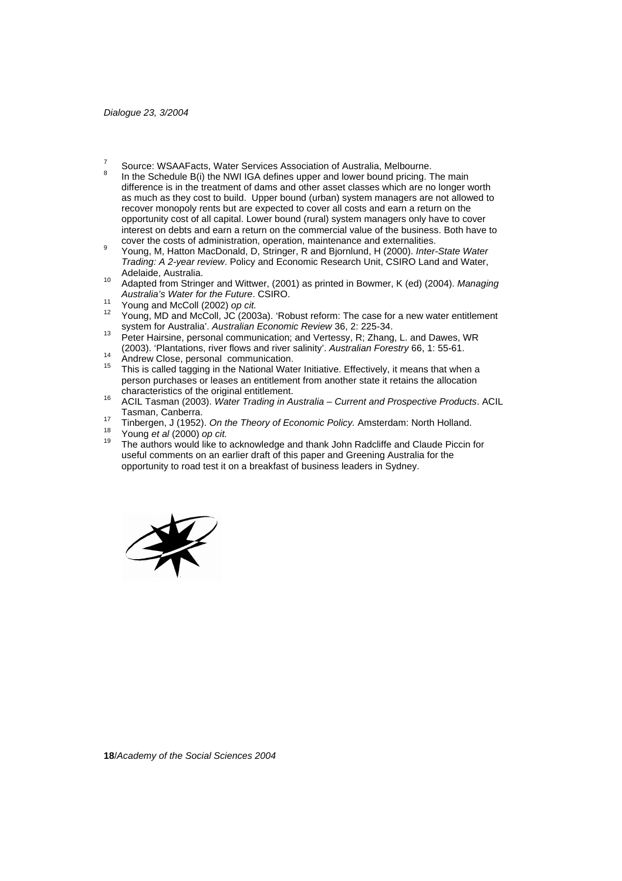- 7 Source: WSAAFacts, Water Services Association of Australia, Melbourne.
- 8 In the Schedule B(i) the NWI IGA defines upper and lower bound pricing. The main difference is in the treatment of dams and other asset classes which are no longer worth as much as they cost to build. Upper bound (urban) system managers are not allowed to recover monopoly rents but are expected to cover all costs and earn a return on the opportunity cost of all capital. Lower bound (rural) system managers only have to cover interest on debts and earn a return on the commercial value of the business. Both have to cover the costs of administration, operation, maintenance and externalities.
- 9 Young, M, Hatton MacDonald, D, Stringer, R and Bjornlund, H (2000). *Inter-State Water Trading: A 2-year review*. Policy and Economic Research Unit, CSIRO Land and Water, Adelaide, Australia.
- 10 Adapted from Stringer and Wittwer, (2001) as printed in Bowmer, K (ed) (2004). *Managing Australia's Water for the Future*. CSIRO.
- <sup>11</sup> Young and McColl (2002) *op cit.*
- 12 Young, MD and McColl, JC (2003a). 'Robust reform: The case for a new water entitlement system for Australia'. *Australian Economic Review* 36, 2: 225-34.
- 13 Peter Hairsine, personal communication; and Vertessy, R; Zhang, L. and Dawes, WR (2003). 'Plantations, river flows and river salinity'. *Australian Forestry* 66, 1: 55-61.
- 14  $^{14}$  Andrew Close, personal communication.
- This is called tagging in the National Water Initiative. Effectively, it means that when a person purchases or leases an entitlement from another state it retains the allocation characteristics of the original entitlement.
- 16 ACIL Tasman (2003). *Water Trading in Australia – Current and Prospective Products*. ACIL Tasman, Canberra.
- 17 Tinbergen, J (1952). On the Theory of Economic Policy. Amsterdam: North Holland.<br><sup>18</sup> Navarrow March 2000). The *State of Linear State March 2000*
- <sup>18</sup> Young *et al* (2000) *op cit.*
- <sup>19</sup> The authors would like to acknowledge and thank John Radcliffe and Claude Piccin for useful comments on an earlier draft of this paper and Greening Australia for the opportunity to road test it on a breakfast of business leaders in Sydney.

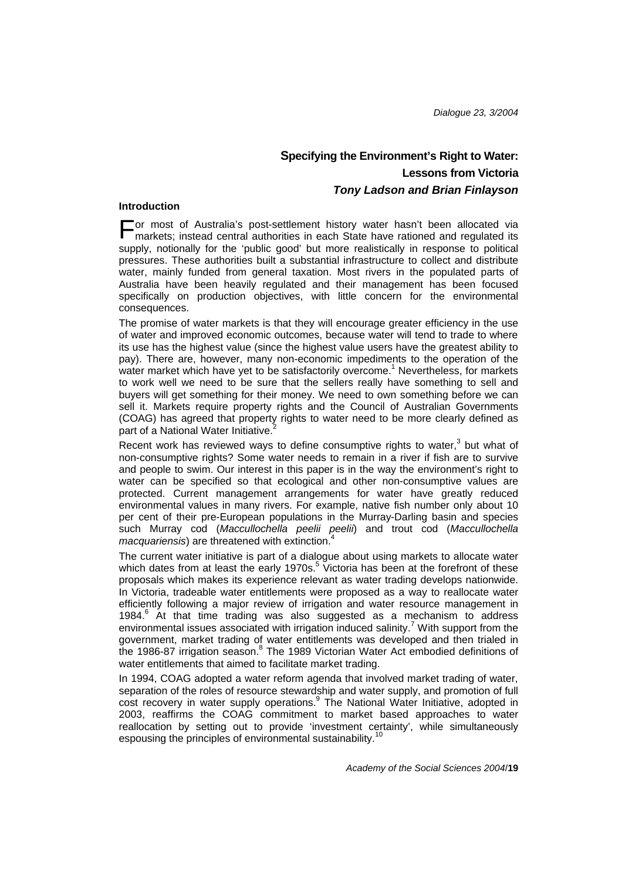# **Specifying the Environment's Right to Water: Lessons from Victoria** *Tony Ladson and Brian Finlayson*

#### **Introduction**

For most of Australia's post-settlement history water hasn't been allocated via<br>markets; instead central authorities in each State have rationed and regulated its markets; instead central authorities in each State have rationed and regulated its supply, notionally for the 'public good' but more realistically in response to political pressures. These authorities built a substantial infrastructure to collect and distribute water, mainly funded from general taxation. Most rivers in the populated parts of Australia have been heavily regulated and their management has been focused specifically on production objectives, with little concern for the environmental consequences.

The promise of water markets is that they will encourage greater efficiency in the use of water and improved economic outcomes, because water will tend to trade to where its use has the highest value (since the highest value users have the greatest ability to pay). There are, however, many non-economic impediments to the operation of the water market which have yet to be satisfactorily overcome.<sup>1</sup> Nevertheless, for markets to work well we need to be sure that the sellers really have something to sell and buyers will get something for their money. We need to own something before we can sell it. Markets require property rights and the Council of Australian Governments (COAG) has agreed that property rights to water need to be more clearly defined as part of a National Water Initiative.<sup>2</sup>

Recent work has reviewed ways to define consumptive rights to water, $3$  but what of non-consumptive rights? Some water needs to remain in a river if fish are to survive and people to swim. Our interest in this paper is in the way the environment's right to water can be specified so that ecological and other non-consumptive values are protected. Current management arrangements for water have greatly reduced environmental values in many rivers. For example, native fish number only about 10 per cent of their pre-European populations in the Murray-Darling basin and species such Murray cod (*Maccullochella peelii peelii*) and trout cod (*Maccullochella macquariensis*) are threatened with extinction.

The current water initiative is part of a dialogue about using markets to allocate water which dates from at least the early 1970s.<sup>5</sup> Victoria has been at the forefront of these proposals which makes its experience relevant as water trading develops nationwide. In Victoria, tradeable water entitlements were proposed as a way to reallocate water efficiently following a major review of irrigation and water resource management in 1984.<sup>6</sup> At that time trading was also suggested as a mechanism to address environmental issues associated with irrigation induced salinity.<sup>7</sup> With support from the government, market trading of water entitlements was developed and then trialed in the 1986-87 irrigation season.<sup>8</sup> The 1989 Victorian Water Act embodied definitions of water entitlements that aimed to facilitate market trading.

In 1994, COAG adopted a water reform agenda that involved market trading of water, separation of the roles of resource stewardship and water supply, and promotion of full cost recovery in water supply operations.<sup>9</sup> The National Water Initiative, adopted in 2003, reaffirms the COAG commitment to market based approaches to water reallocation by setting out to provide 'investment certainty', while simultaneously espousing the principles of environmental sustainability.<sup>10</sup>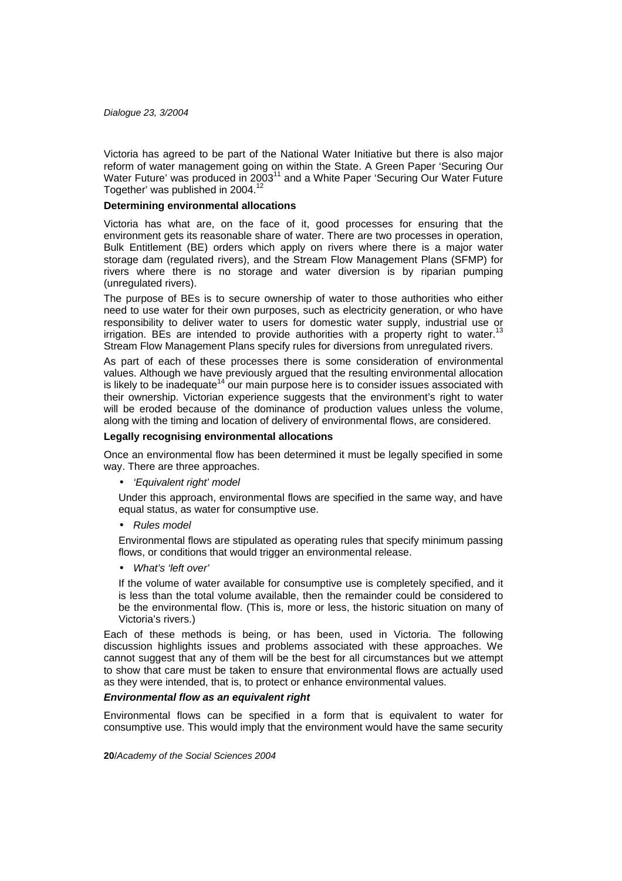Victoria has agreed to be part of the National Water Initiative but there is also major reform of water management going on within the State. A Green Paper 'Securing Our Water Future' was produced in 2003<sup>11</sup> and a White Paper 'Securing Our Water Future Together' was published in 2004.<sup>12</sup>

#### **Determining environmental allocations**

Victoria has what are, on the face of it, good processes for ensuring that the environment gets its reasonable share of water. There are two processes in operation, Bulk Entitlement (BE) orders which apply on rivers where there is a major water storage dam (regulated rivers), and the Stream Flow Management Plans (SFMP) for rivers where there is no storage and water diversion is by riparian pumping (unregulated rivers).

The purpose of BEs is to secure ownership of water to those authorities who either need to use water for their own purposes, such as electricity generation, or who have responsibility to deliver water to users for domestic water supply, industrial use or irrigation. BEs are intended to provide authorities with a property right to water.<sup>13</sup> Stream Flow Management Plans specify rules for diversions from unregulated rivers.

As part of each of these processes there is some consideration of environmental values. Although we have previously argued that the resulting environmental allocation is likely to be inadequate<sup>14</sup> our main purpose here is to consider issues associated with their ownership. Victorian experience suggests that the environment's right to water will be eroded because of the dominance of production values unless the volume, along with the timing and location of delivery of environmental flows, are considered.

#### **Legally recognising environmental allocations**

Once an environmental flow has been determined it must be legally specified in some way. There are three approaches.

• *'Equivalent right' model*

Under this approach, environmental flows are specified in the same way, and have equal status, as water for consumptive use.

• *Rules model*

Environmental flows are stipulated as operating rules that specify minimum passing flows, or conditions that would trigger an environmental release.

• *What's 'left over'*

If the volume of water available for consumptive use is completely specified, and it is less than the total volume available, then the remainder could be considered to be the environmental flow. (This is, more or less, the historic situation on many of Victoria's rivers.)

Each of these methods is being, or has been, used in Victoria. The following discussion highlights issues and problems associated with these approaches. We cannot suggest that any of them will be the best for all circumstances but we attempt to show that care must be taken to ensure that environmental flows are actually used as they were intended, that is, to protect or enhance environmental values.

#### *Environmental flow as an equivalent right*

Environmental flows can be specified in a form that is equivalent to water for consumptive use. This would imply that the environment would have the same security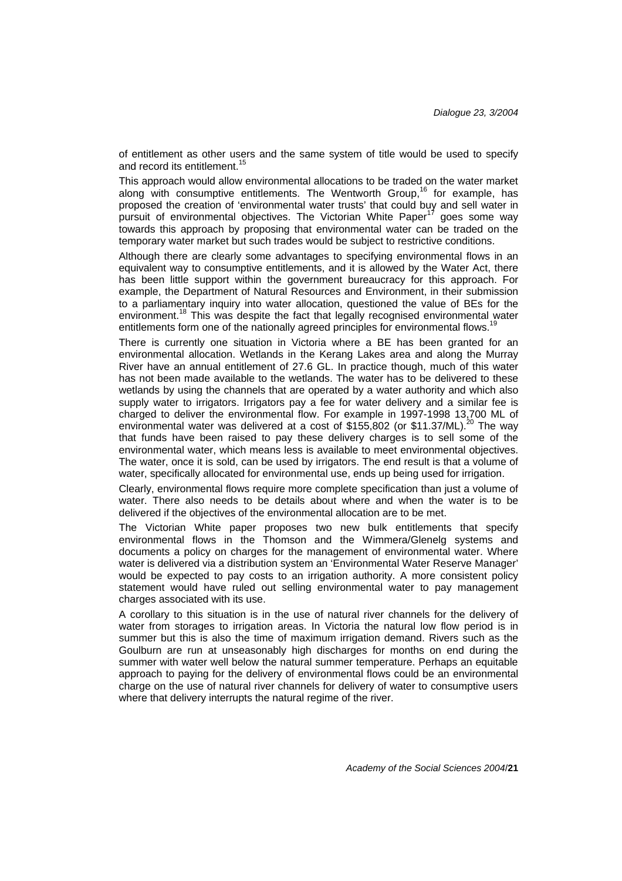of entitlement as other users and the same system of title would be used to specify and record its entitlement.<sup>15</sup>

This approach would allow environmental allocations to be traded on the water market along with consumptive entitlements. The Wentworth Group,<sup>16</sup> for example, has proposed the creation of 'environmental water trusts' that could buy and sell water in proposed the creation of christmicties have there was come  $\frac{1}{2}$  goes some way towards this approach by proposing that environmental water can be traded on the temporary water market but such trades would be subject to restrictive conditions.

Although there are clearly some advantages to specifying environmental flows in an equivalent way to consumptive entitlements, and it is allowed by the Water Act, there has been little support within the government bureaucracy for this approach. For example, the Department of Natural Resources and Environment, in their submission to a parliamentary inquiry into water allocation, questioned the value of BEs for the environment.<sup>18</sup> This was despite the fact that legally recognised environmental water entitlements form one of the nationally agreed principles for environmental flows.<sup>19</sup>

There is currently one situation in Victoria where a BE has been granted for an environmental allocation. Wetlands in the Kerang Lakes area and along the Murray River have an annual entitlement of 27.6 GL. In practice though, much of this water has not been made available to the wetlands. The water has to be delivered to these wetlands by using the channels that are operated by a water authority and which also supply water to irrigators. Irrigators pay a fee for water delivery and a similar fee is charged to deliver the environmental flow. For example in 1997-1998 13,700 ML of environmental water was delivered at a cost of \$155,802 (or \$11.37/ML).<sup>20</sup> The way that funds have been raised to pay these delivery charges is to sell some of the environmental water, which means less is available to meet environmental objectives. The water, once it is sold, can be used by irrigators. The end result is that a volume of water, specifically allocated for environmental use, ends up being used for irrigation.

Clearly, environmental flows require more complete specification than just a volume of water. There also needs to be details about where and when the water is to be delivered if the objectives of the environmental allocation are to be met.

The Victorian White paper proposes two new bulk entitlements that specify environmental flows in the Thomson and the Wimmera/Glenelg systems and documents a policy on charges for the management of environmental water. Where water is delivered via a distribution system an 'Environmental Water Reserve Manager' would be expected to pay costs to an irrigation authority. A more consistent policy statement would have ruled out selling environmental water to pay management charges associated with its use.

A corollary to this situation is in the use of natural river channels for the delivery of water from storages to irrigation areas. In Victoria the natural low flow period is in summer but this is also the time of maximum irrigation demand. Rivers such as the Goulburn are run at unseasonably high discharges for months on end during the summer with water well below the natural summer temperature. Perhaps an equitable approach to paying for the delivery of environmental flows could be an environmental charge on the use of natural river channels for delivery of water to consumptive users where that delivery interrupts the natural regime of the river.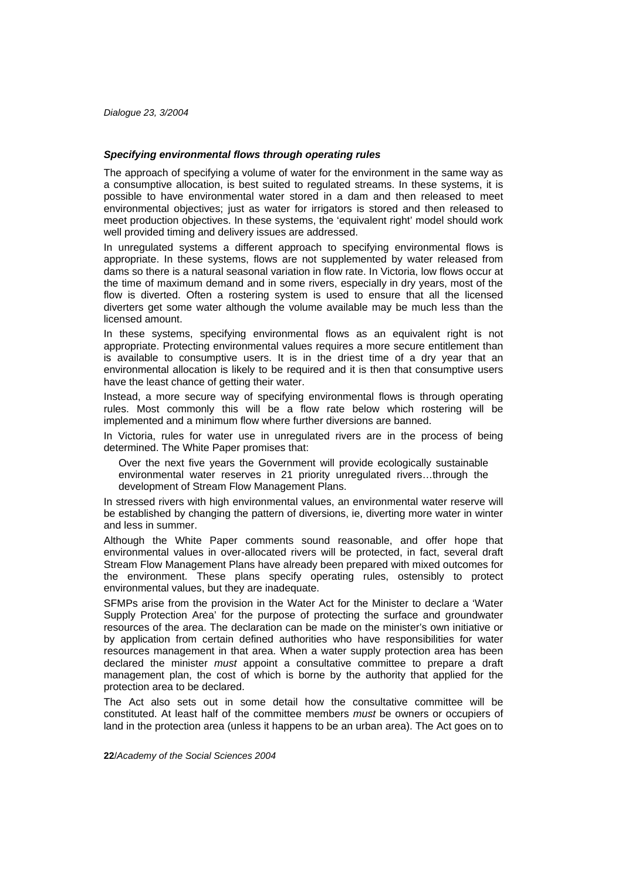#### *Specifying environmental flows through operating rules*

The approach of specifying a volume of water for the environment in the same way as a consumptive allocation, is best suited to regulated streams. In these systems, it is possible to have environmental water stored in a dam and then released to meet environmental objectives; just as water for irrigators is stored and then released to meet production objectives. In these systems, the 'equivalent right' model should work well provided timing and delivery issues are addressed.

In unregulated systems a different approach to specifying environmental flows is appropriate. In these systems, flows are not supplemented by water released from dams so there is a natural seasonal variation in flow rate. In Victoria, low flows occur at the time of maximum demand and in some rivers, especially in dry years, most of the flow is diverted. Often a rostering system is used to ensure that all the licensed diverters get some water although the volume available may be much less than the licensed amount.

In these systems, specifying environmental flows as an equivalent right is not appropriate. Protecting environmental values requires a more secure entitlement than is available to consumptive users. It is in the driest time of a dry year that an environmental allocation is likely to be required and it is then that consumptive users have the least chance of getting their water.

Instead, a more secure way of specifying environmental flows is through operating rules. Most commonly this will be a flow rate below which rostering will be implemented and a minimum flow where further diversions are banned.

In Victoria, rules for water use in unregulated rivers are in the process of being determined. The White Paper promises that:

Over the next five years the Government will provide ecologically sustainable environmental water reserves in 21 priority unregulated rivers…through the development of Stream Flow Management Plans.

In stressed rivers with high environmental values, an environmental water reserve will be established by changing the pattern of diversions, ie, diverting more water in winter and less in summer.

Although the White Paper comments sound reasonable, and offer hope that environmental values in over-allocated rivers will be protected, in fact, several draft Stream Flow Management Plans have already been prepared with mixed outcomes for the environment. These plans specify operating rules, ostensibly to protect environmental values, but they are inadequate.

SFMPs arise from the provision in the Water Act for the Minister to declare a 'Water Supply Protection Area' for the purpose of protecting the surface and groundwater resources of the area. The declaration can be made on the minister's own initiative or by application from certain defined authorities who have responsibilities for water resources management in that area. When a water supply protection area has been declared the minister *must* appoint a consultative committee to prepare a draft management plan, the cost of which is borne by the authority that applied for the protection area to be declared.

The Act also sets out in some detail how the consultative committee will be constituted. At least half of the committee members *must* be owners or occupiers of land in the protection area (unless it happens to be an urban area). The Act goes on to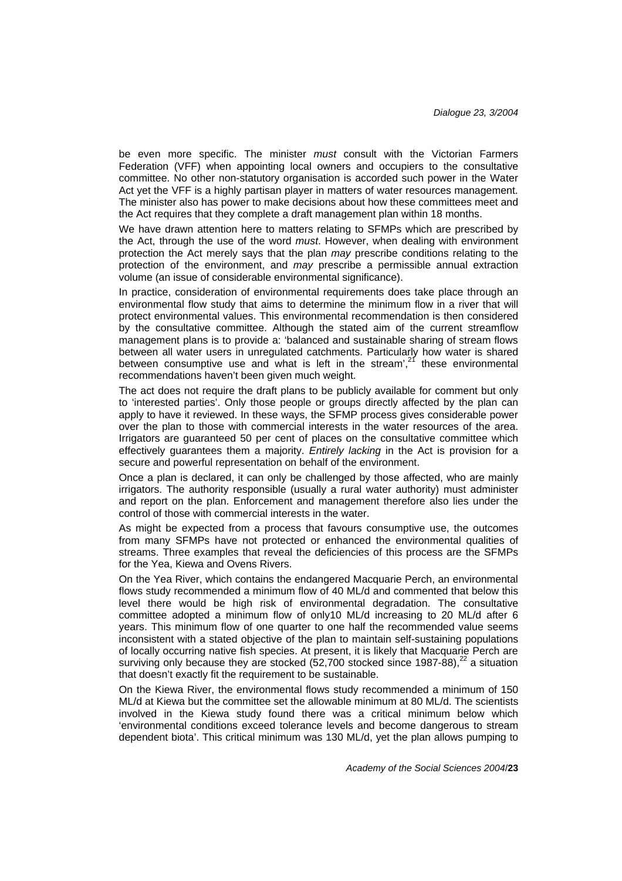be even more specific. The minister *must* consult with the Victorian Farmers Federation (VFF) when appointing local owners and occupiers to the consultative committee. No other non-statutory organisation is accorded such power in the Water Act yet the VFF is a highly partisan player in matters of water resources management. The minister also has power to make decisions about how these committees meet and the Act requires that they complete a draft management plan within 18 months.

We have drawn attention here to matters relating to SFMPs which are prescribed by the Act, through the use of the word *must*. However, when dealing with environment protection the Act merely says that the plan *may* prescribe conditions relating to the protection of the environment, and *may* prescribe a permissible annual extraction volume (an issue of considerable environmental significance).

In practice, consideration of environmental requirements does take place through an environmental flow study that aims to determine the minimum flow in a river that will protect environmental values. This environmental recommendation is then considered by the consultative committee. Although the stated aim of the current streamflow management plans is to provide a: 'balanced and sustainable sharing of stream flows between all water users in unregulated catchments. Particularly how water is shared between consumptive use and what is left in the stream'.<sup>21</sup> these environmental recommendations haven't been given much weight.

The act does not require the draft plans to be publicly available for comment but only to 'interested parties'. Only those people or groups directly affected by the plan can apply to have it reviewed. In these ways, the SFMP process gives considerable power over the plan to those with commercial interests in the water resources of the area. Irrigators are guaranteed 50 per cent of places on the consultative committee which effectively guarantees them a majority. *Entirely lacking* in the Act is provision for a secure and powerful representation on behalf of the environment.

Once a plan is declared, it can only be challenged by those affected, who are mainly irrigators. The authority responsible (usually a rural water authority) must administer and report on the plan. Enforcement and management therefore also lies under the control of those with commercial interests in the water.

As might be expected from a process that favours consumptive use, the outcomes from many SFMPs have not protected or enhanced the environmental qualities of streams. Three examples that reveal the deficiencies of this process are the SFMPs for the Yea, Kiewa and Ovens Rivers.

On the Yea River, which contains the endangered Macquarie Perch, an environmental flows study recommended a minimum flow of 40 ML/d and commented that below this level there would be high risk of environmental degradation. The consultative committee adopted a minimum flow of only10 ML/d increasing to 20 ML/d after 6 years. This minimum flow of one quarter to one half the recommended value seems inconsistent with a stated objective of the plan to maintain self-sustaining populations of locally occurring native fish species. At present, it is likely that Macquarie Perch are surviving only because they are stocked (52,700 stocked since 1987-88), $^{22}$  a situation that doesn't exactly fit the requirement to be sustainable.

On the Kiewa River, the environmental flows study recommended a minimum of 150 ML/d at Kiewa but the committee set the allowable minimum at 80 ML/d. The scientists involved in the Kiewa study found there was a critical minimum below which 'environmental conditions exceed tolerance levels and become dangerous to stream dependent biota'. This critical minimum was 130 ML/d, yet the plan allows pumping to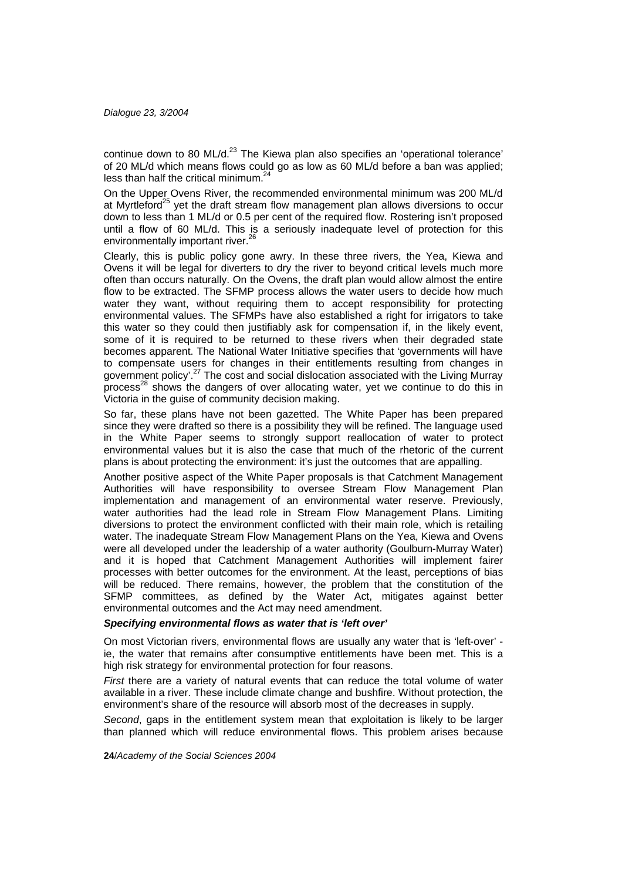continue down to 80 ML/d. $^{23}$  The Kiewa plan also specifies an 'operational tolerance' of 20 ML/d which means flows could go as low as 60 ML/d before a ban was applied; less than half the critical minimum.<sup>24</sup>

On the Upper Ovens River, the recommended environmental minimum was 200 ML/d at Myrtleford<sup>25</sup> yet the draft stream flow management plan allows diversions to occur down to less than 1 ML/d or 0.5 per cent of the required flow. Rostering isn't proposed until a flow of 60 ML/d. This is a seriously inadequate level of protection for this environmentally important river.<sup>26</sup>

Clearly, this is public policy gone awry. In these three rivers, the Yea, Kiewa and Ovens it will be legal for diverters to dry the river to beyond critical levels much more often than occurs naturally. On the Ovens, the draft plan would allow almost the entire flow to be extracted. The SFMP process allows the water users to decide how much water they want, without requiring them to accept responsibility for protecting environmental values. The SFMPs have also established a right for irrigators to take this water so they could then justifiably ask for compensation if, in the likely event, some of it is required to be returned to these rivers when their degraded state becomes apparent. The National Water Initiative specifies that 'governments will have to compensate users for changes in their entitlements resulting from changes in government policy'.<sup>27</sup> The cost and social dislocation associated with the Living Murray process<sup>28</sup> shows the dangers of over allocating water, yet we continue to do this in Victoria in the guise of community decision making.

So far, these plans have not been gazetted. The White Paper has been prepared since they were drafted so there is a possibility they will be refined. The language used in the White Paper seems to strongly support reallocation of water to protect environmental values but it is also the case that much of the rhetoric of the current plans is about protecting the environment: it's just the outcomes that are appalling.

Another positive aspect of the White Paper proposals is that Catchment Management Authorities will have responsibility to oversee Stream Flow Management Plan implementation and management of an environmental water reserve. Previously, water authorities had the lead role in Stream Flow Management Plans. Limiting diversions to protect the environment conflicted with their main role, which is retailing water. The inadequate Stream Flow Management Plans on the Yea, Kiewa and Ovens were all developed under the leadership of a water authority (Goulburn-Murray Water) and it is hoped that Catchment Management Authorities will implement fairer processes with better outcomes for the environment. At the least, perceptions of bias will be reduced. There remains, however, the problem that the constitution of the SFMP committees, as defined by the Water Act, mitigates against better environmental outcomes and the Act may need amendment.

#### *Specifying environmental flows as water that is 'left over'*

On most Victorian rivers, environmental flows are usually any water that is 'left-over' ie, the water that remains after consumptive entitlements have been met. This is a high risk strategy for environmental protection for four reasons.

*First* there are a variety of natural events that can reduce the total volume of water available in a river. These include climate change and bushfire. Without protection, the environment's share of the resource will absorb most of the decreases in supply.

*Second*, gaps in the entitlement system mean that exploitation is likely to be larger than planned which will reduce environmental flows. This problem arises because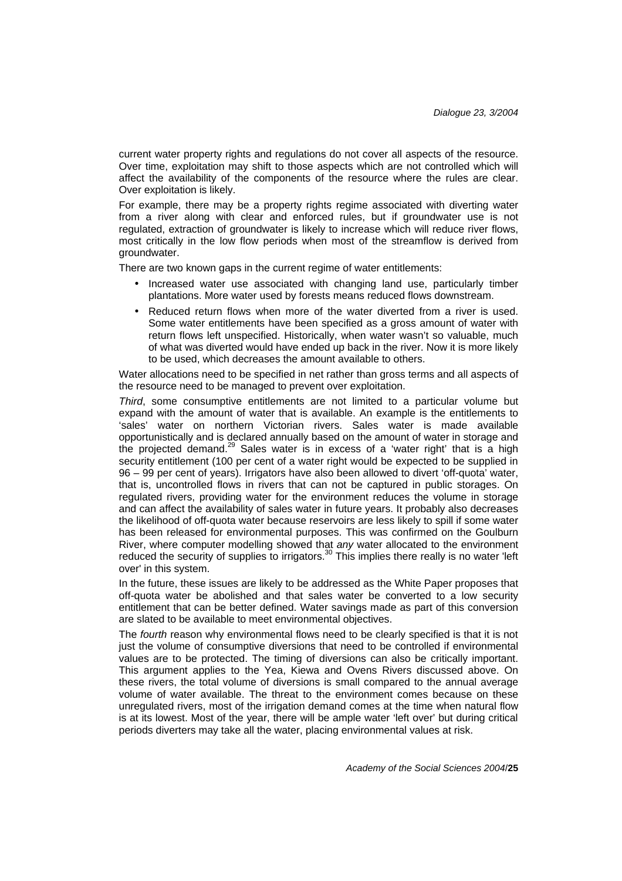current water property rights and regulations do not cover all aspects of the resource. Over time, exploitation may shift to those aspects which are not controlled which will affect the availability of the components of the resource where the rules are clear. Over exploitation is likely.

For example, there may be a property rights regime associated with diverting water from a river along with clear and enforced rules, but if groundwater use is not regulated, extraction of groundwater is likely to increase which will reduce river flows, most critically in the low flow periods when most of the streamflow is derived from groundwater.

There are two known gaps in the current regime of water entitlements:

- Increased water use associated with changing land use, particularly timber plantations. More water used by forests means reduced flows downstream.
- Reduced return flows when more of the water diverted from a river is used. Some water entitlements have been specified as a gross amount of water with return flows left unspecified. Historically, when water wasn't so valuable, much of what was diverted would have ended up back in the river. Now it is more likely to be used, which decreases the amount available to others.

Water allocations need to be specified in net rather than gross terms and all aspects of the resource need to be managed to prevent over exploitation.

*Third*, some consumptive entitlements are not limited to a particular volume but expand with the amount of water that is available. An example is the entitlements to 'sales' water on northern Victorian rivers. Sales water is made available opportunistically and is declared annually based on the amount of water in storage and the projected demand.<sup>29</sup> Sales water is in excess of a 'water right' that is a high security entitlement (100 per cent of a water right would be expected to be supplied in 96 – 99 per cent of years). Irrigators have also been allowed to divert 'off-quota' water, that is, uncontrolled flows in rivers that can not be captured in public storages. On regulated rivers, providing water for the environment reduces the volume in storage and can affect the availability of sales water in future years. It probably also decreases the likelihood of off-quota water because reservoirs are less likely to spill if some water has been released for environmental purposes. This was confirmed on the Goulburn River, where computer modelling showed that *any* water allocated to the environment reduced the security of supplies to irrigators.<sup>30</sup> This implies there really is no water 'left' over' in this system.

In the future, these issues are likely to be addressed as the White Paper proposes that off-quota water be abolished and that sales water be converted to a low security entitlement that can be better defined. Water savings made as part of this conversion are slated to be available to meet environmental objectives.

The *fourth* reason why environmental flows need to be clearly specified is that it is not just the volume of consumptive diversions that need to be controlled if environmental values are to be protected. The timing of diversions can also be critically important. This argument applies to the Yea, Kiewa and Ovens Rivers discussed above. On these rivers, the total volume of diversions is small compared to the annual average volume of water available. The threat to the environment comes because on these unregulated rivers, most of the irrigation demand comes at the time when natural flow is at its lowest. Most of the year, there will be ample water 'left over' but during critical periods diverters may take all the water, placing environmental values at risk.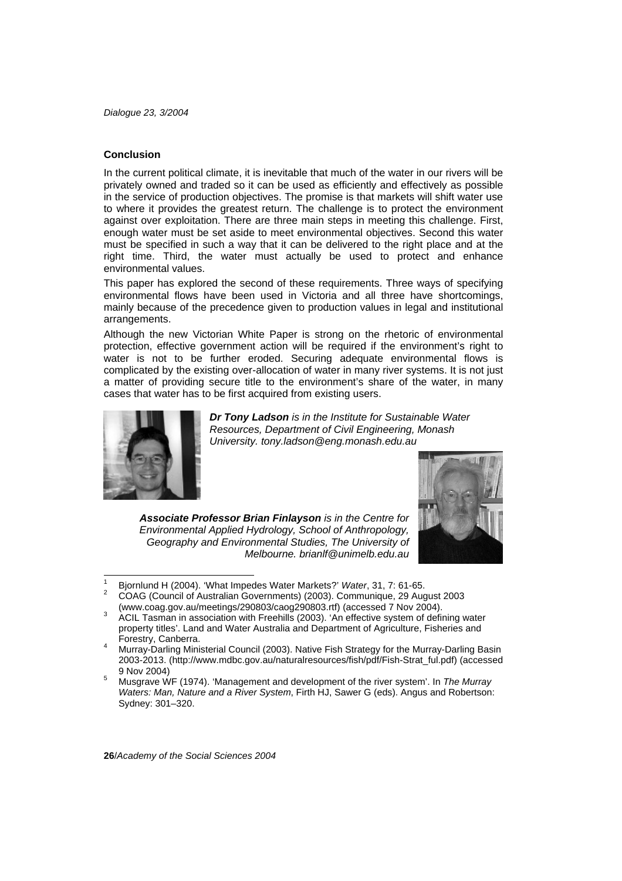#### **Conclusion**

In the current political climate, it is inevitable that much of the water in our rivers will be privately owned and traded so it can be used as efficiently and effectively as possible in the service of production objectives. The promise is that markets will shift water use to where it provides the greatest return. The challenge is to protect the environment against over exploitation. There are three main steps in meeting this challenge. First, enough water must be set aside to meet environmental objectives. Second this water must be specified in such a way that it can be delivered to the right place and at the right time. Third, the water must actually be used to protect and enhance environmental values.

This paper has explored the second of these requirements. Three ways of specifying environmental flows have been used in Victoria and all three have shortcomings, mainly because of the precedence given to production values in legal and institutional arrangements.

Although the new Victorian White Paper is strong on the rhetoric of environmental protection, effective government action will be required if the environment's right to water is not to be further eroded. Securing adequate environmental flows is complicated by the existing over-allocation of water in many river systems. It is not just a matter of providing secure title to the environment's share of the water, in many cases that water has to be first acquired from existing users.



*Dr Tony Ladson is in the Institute for Sustainable Water Resources, Department of Civil Engineering, Monash University. tony.ladson@eng.monash.edu.au*

*Associate Professor Brian Finlayson is in the Centre for Environmental Applied Hydrology, School of Anthropology, Geography and Environmental Studies, The University of Melbourne. brianlf@unimelb.edu.au*



l 1 Bjornlund H (2004). 'What Impedes Water Markets?' *Water*, 31, 7: 61-65.

<sup>2</sup> COAG (Council of Australian Governments) (2003). Communique, 29 August 2003 (www.coag.gov.au/meetings/290803/caog290803.rtf) (accessed 7 Nov 2004).

<sup>3</sup> ACIL Tasman in association with Freehills (2003). 'An effective system of defining water property titles'. Land and Water Australia and Department of Agriculture, Fisheries and Forestry, Canberra.

<sup>4</sup> Murray-Darling Ministerial Council (2003). Native Fish Strategy for the Murray-Darling Basin 2003-2013. (http://www.mdbc.gov.au/naturalresources/fish/pdf/Fish-Strat\_ful.pdf) (accessed 9 Nov 2004)

<sup>5</sup> Musgrave WF (1974). 'Management and development of the river system'. In *The Murray Waters: Man, Nature and a River System*, Firth HJ, Sawer G (eds). Angus and Robertson: Sydney: 301–320.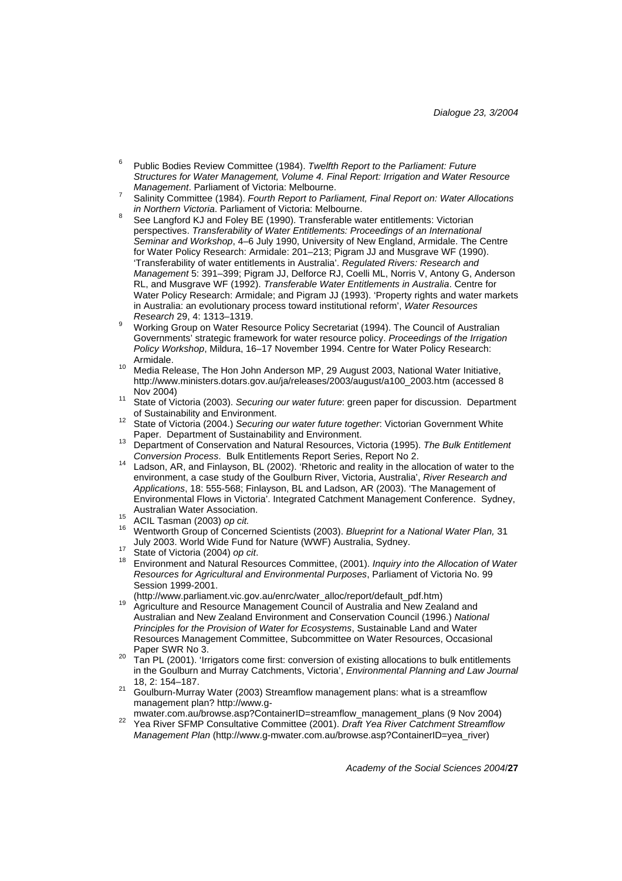- 6 Public Bodies Review Committee (1984). *Twelfth Report to the Parliament: Future Structures for Water Management, Volume 4. Final Report: Irrigation and Water Resource Management*. Parliament of Victoria: Melbourne.
- 7 Salinity Committee (1984). *Fourth Report to Parliament, Final Report on: Water Allocations in Northern Victoria*. Parliament of Victoria: Melbourne.
- 8 See Langford KJ and Foley BE (1990). Transferable water entitlements: Victorian perspectives. *Transferability of Water Entitlements: Proceedings of an International Seminar and Workshop*, 4–6 July 1990, University of New England, Armidale. The Centre for Water Policy Research: Armidale: 201–213; Pigram JJ and Musgrave WF (1990). 'Transferability of water entitlements in Australia'. *Regulated Rivers: Research and Management* 5: 391–399; Pigram JJ, Delforce RJ, Coelli ML, Norris V, Antony G, Anderson RL, and Musgrave WF (1992). *Transferable Water Entitlements in Australia*. Centre for Water Policy Research: Armidale; and Pigram JJ (1993). 'Property rights and water markets in Australia: an evolutionary process toward institutional reform', *Water Resources Research* 29, 4: 1313–1319.
- <sup>9</sup> Working Group on Water Resource Policy Secretariat (1994). The Council of Australian Governments' strategic framework for water resource policy. *Proceedings of the Irrigation Policy Workshop*, Mildura, 16–17 November 1994. Centre for Water Policy Research: Armidale.
- <sup>10</sup> Media Release, The Hon John Anderson MP, 29 August 2003, National Water Initiative, http://www.ministers.dotars.gov.au/ja/releases/2003/august/a100\_2003.htm (accessed 8 Nov 2004)
- <sup>11</sup> State of Victoria (2003). *Securing our water future*: green paper for discussion. Department of Sustainability and Environment.
- <sup>12</sup> State of Victoria (2004.) *Securing our water future together*: Victorian Government White Paper. Department of Sustainability and Environment.
- <sup>13</sup> Department of Conservation and Natural Resources, Victoria (1995). *The Bulk Entitlement Conversion Process*. Bulk Entitlements Report Series, Report No 2.
- <sup>14</sup> Ladson, AR, and Finlayson, BL (2002). 'Rhetoric and reality in the allocation of water to the environment, a case study of the Goulburn River, Victoria, Australia', *River Research and Applications*, 18: 555-568; Finlayson, BL and Ladson, AR (2003). 'The Management of Environmental Flows in Victoria'. Integrated Catchment Management Conference. Sydney, Australian Water Association.
- <sup>15</sup> ACIL Tasman (2003) *op cit.*
- <sup>16</sup> Wentworth Group of Concerned Scientists (2003). *Blueprint for a National Water Plan,* 31 July 2003. World Wide Fund for Nature (WWF) Australia, Sydney.
- <sup>17</sup> State of Victoria (2004) *op cit*.
- <sup>18</sup> Environment and Natural Resources Committee, (2001). *Inquiry into the Allocation of Water Resources for Agricultural and Environmental Purposes*, Parliament of Victoria No. 99 Session 1999-2001.
- (http://www.parliament.vic.gov.au/enrc/water\_alloc/report/default\_pdf.htm)
- Agriculture and Resource Management Council of Australia and New Zealand and Australian and New Zealand Environment and Conservation Council (1996.) *National Principles for the Provision of Water for Ecosystems*, Sustainable Land and Water Resources Management Committee, Subcommittee on Water Resources, Occasional Paper SWR No 3.
- <sup>20</sup> Tan PL (2001). 'Irrigators come first: conversion of existing allocations to bulk entitlements in the Goulburn and Murray Catchments, Victoria', *Environmental Planning and Law Journal*  18, 2: 154–187.
- <sup>21</sup> Goulburn-Murray Water (2003) Streamflow management plans: what is a streamflow management plan? http://www.g-
- mwater.com.au/browse.asp?ContainerID=streamflow\_management\_plans (9 Nov 2004) 22 Yea River SFMP Consultative Committee (2001). *Draft Yea River Catchment Streamflow Management Plan* (http://www.g-mwater.com.au/browse.asp?ContainerID=yea\_river)

*Academy of the Social Sciences 2004*/**27**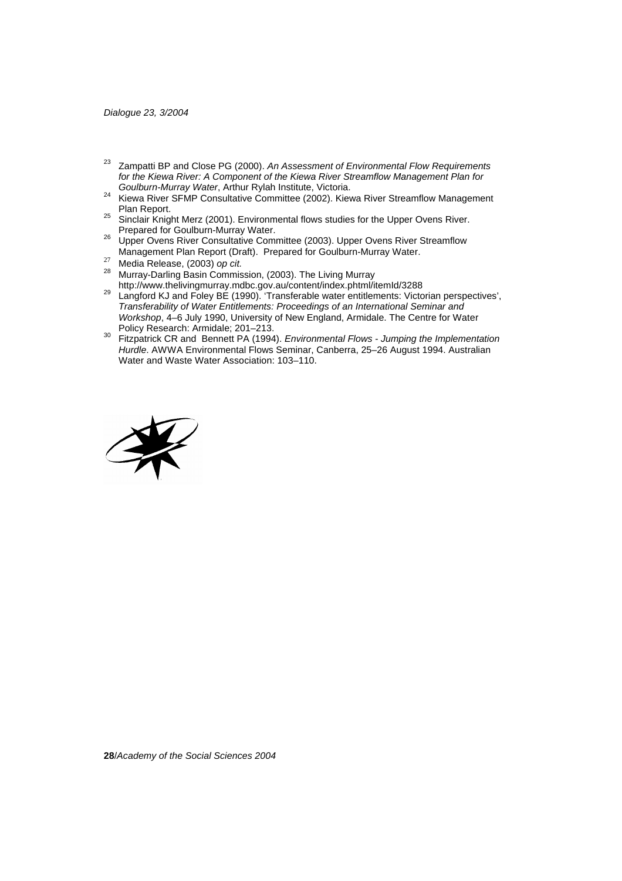- <sup>23</sup> Zampatti BP and Close PG (2000). *An Assessment of Environmental Flow Requirements for the Kiewa River: A Component of the Kiewa River Streamflow Management Plan for Goulburn-Murray Water*, Arthur Rylah Institute, Victoria.
- <sup>24</sup> Kiewa River SFMP Consultative Committee (2002). Kiewa River Streamflow Management Plan Report.
- <sup>25</sup> Sinclair Knight Merz (2001). Environmental flows studies for the Upper Ovens River. Prepared for Goulburn-Murray Water.
- <sup>26</sup> Upper Ovens River Consultative Committee (2003). Upper Ovens River Streamflow Management Plan Report (Draft). Prepared for Goulburn-Murray Water.
- <sup>27</sup> Media Release, (2003) *op cit.*
- 28 Murray-Darling Basin Commission, (2003). The Living Murray http://www.thelivingmurray.mdbc.gov.au/content/index.phtml/itemId/3288
- $^{29}$  Langford KJ and Foley BE (1990). 'Transferable water entitlements: Victorian perspectives', *Transferability of Water Entitlements: Proceedings of an International Seminar and Workshop*, 4–6 July 1990, University of New England, Armidale. The Centre for Water Policy Research: Armidale; 201–213.
- <sup>30</sup> Fitzpatrick CR and Bennett PA (1994). *Environmental Flows Jumping the Implementation Hurdle*. AWWA Environmental Flows Seminar, Canberra, 25–26 August 1994. Australian Water and Waste Water Association: 103–110.

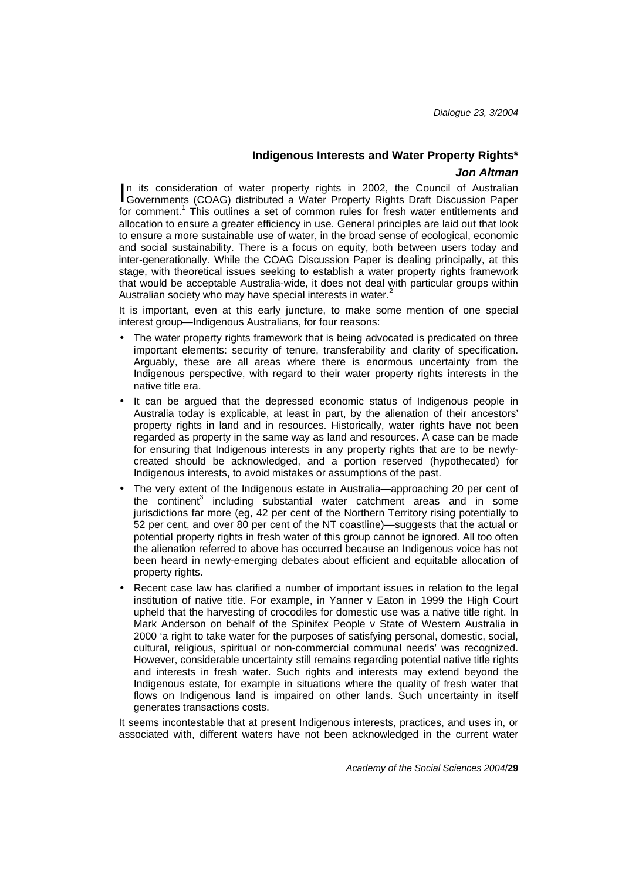#### **Indigenous Interests and Water Property Rights\***

#### *Jon Altman*

In its consideration of water property rights in 2002, the Council of Australian<br>Governments (COAG) distributed a Water Property Rights Draft Discussion Paper Governments (COAG) distributed a Water Property Rights Draft Discussion Paper for comment.<sup>1</sup> This outlines a set of common rules for fresh water entitlements and allocation to ensure a greater efficiency in use. General principles are laid out that look to ensure a more sustainable use of water, in the broad sense of ecological, economic and social sustainability. There is a focus on equity, both between users today and inter-generationally. While the COAG Discussion Paper is dealing principally, at this stage, with theoretical issues seeking to establish a water property rights framework that would be acceptable Australia-wide, it does not deal with particular groups within Australian society who may have special interests in water.<sup>2</sup>

It is important, even at this early juncture, to make some mention of one special interest group—Indigenous Australians, for four reasons:

- The water property rights framework that is being advocated is predicated on three important elements: security of tenure, transferability and clarity of specification. Arguably, these are all areas where there is enormous uncertainty from the Indigenous perspective, with regard to their water property rights interests in the native title era.
- It can be argued that the depressed economic status of Indigenous people in Australia today is explicable, at least in part, by the alienation of their ancestors' property rights in land and in resources. Historically, water rights have not been regarded as property in the same way as land and resources. A case can be made for ensuring that Indigenous interests in any property rights that are to be newlycreated should be acknowledged, and a portion reserved (hypothecated) for Indigenous interests, to avoid mistakes or assumptions of the past.
- The very extent of the Indigenous estate in Australia—approaching 20 per cent of the continent<sup>3</sup> including substantial water catchment areas and in some jurisdictions far more (eg, 42 per cent of the Northern Territory rising potentially to 52 per cent, and over 80 per cent of the NT coastline)—suggests that the actual or potential property rights in fresh water of this group cannot be ignored. All too often the alienation referred to above has occurred because an Indigenous voice has not been heard in newly-emerging debates about efficient and equitable allocation of property rights.
- Recent case law has clarified a number of important issues in relation to the legal institution of native title. For example, in Yanner v Eaton in 1999 the High Court upheld that the harvesting of crocodiles for domestic use was a native title right. In Mark Anderson on behalf of the Spinifex People v State of Western Australia in 2000 'a right to take water for the purposes of satisfying personal, domestic, social, cultural, religious, spiritual or non-commercial communal needs' was recognized. However, considerable uncertainty still remains regarding potential native title rights and interests in fresh water. Such rights and interests may extend beyond the Indigenous estate, for example in situations where the quality of fresh water that flows on Indigenous land is impaired on other lands. Such uncertainty in itself generates transactions costs.

It seems incontestable that at present Indigenous interests, practices, and uses in, or associated with, different waters have not been acknowledged in the current water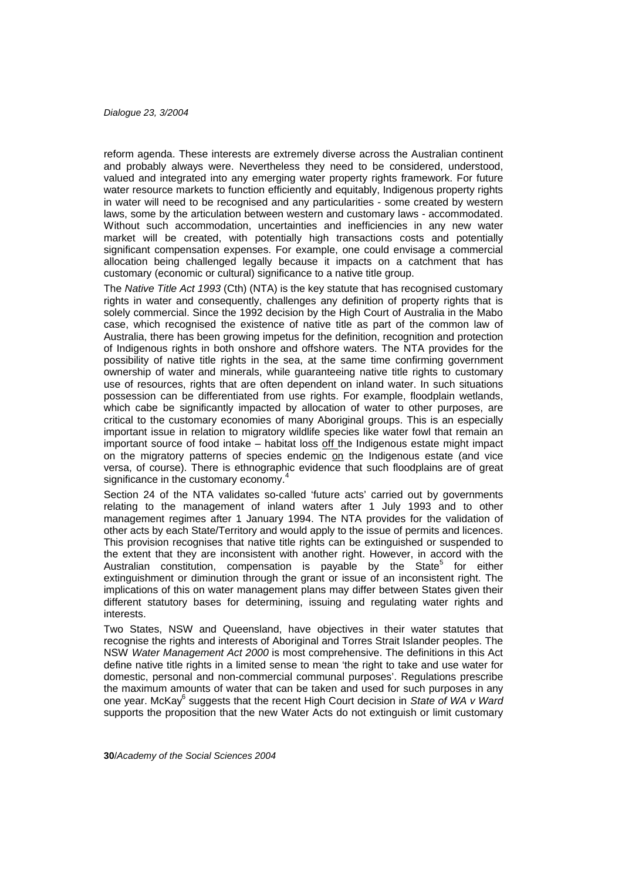reform agenda. These interests are extremely diverse across the Australian continent and probably always were. Nevertheless they need to be considered, understood, valued and integrated into any emerging water property rights framework. For future water resource markets to function efficiently and equitably, Indigenous property rights in water will need to be recognised and any particularities - some created by western laws, some by the articulation between western and customary laws - accommodated. Without such accommodation, uncertainties and inefficiencies in any new water market will be created, with potentially high transactions costs and potentially significant compensation expenses. For example, one could envisage a commercial allocation being challenged legally because it impacts on a catchment that has customary (economic or cultural) significance to a native title group.

The *Native Title Act 1993* (Cth) (NTA) is the key statute that has recognised customary rights in water and consequently, challenges any definition of property rights that is solely commercial. Since the 1992 decision by the High Court of Australia in the Mabo case, which recognised the existence of native title as part of the common law of Australia, there has been growing impetus for the definition, recognition and protection of Indigenous rights in both onshore and offshore waters. The NTA provides for the possibility of native title rights in the sea, at the same time confirming government ownership of water and minerals, while guaranteeing native title rights to customary use of resources, rights that are often dependent on inland water. In such situations possession can be differentiated from use rights. For example, floodplain wetlands, which cabe be significantly impacted by allocation of water to other purposes, are critical to the customary economies of many Aboriginal groups. This is an especially important issue in relation to migratory wildlife species like water fowl that remain an important source of food intake – habitat loss off the Indigenous estate might impact on the migratory patterns of species endemic on the Indigenous estate (and vice versa, of course). There is ethnographic evidence that such floodplains are of great significance in the customary economy.<sup>4</sup>

Section 24 of the NTA validates so-called 'future acts' carried out by governments relating to the management of inland waters after 1 July 1993 and to other management regimes after 1 January 1994. The NTA provides for the validation of other acts by each State/Territory and would apply to the issue of permits and licences. This provision recognises that native title rights can be extinguished or suspended to the extent that they are inconsistent with another right. However, in accord with the Australian constitution, compensation is payable by the State<sup>5</sup> for either extinguishment or diminution through the grant or issue of an inconsistent right. The implications of this on water management plans may differ between States given their different statutory bases for determining, issuing and regulating water rights and interests.

Two States, NSW and Queensland, have objectives in their water statutes that recognise the rights and interests of Aboriginal and Torres Strait Islander peoples. The NSW *Water Management Act 2000* is most comprehensive. The definitions in this Act define native title rights in a limited sense to mean 'the right to take and use water for domestic, personal and non-commercial communal purposes'. Regulations prescribe the maximum amounts of water that can be taken and used for such purposes in any one year. McKay<sup>6</sup> suggests that the recent High Court decision in State of WA v Ward supports the proposition that the new Water Acts do not extinguish or limit customary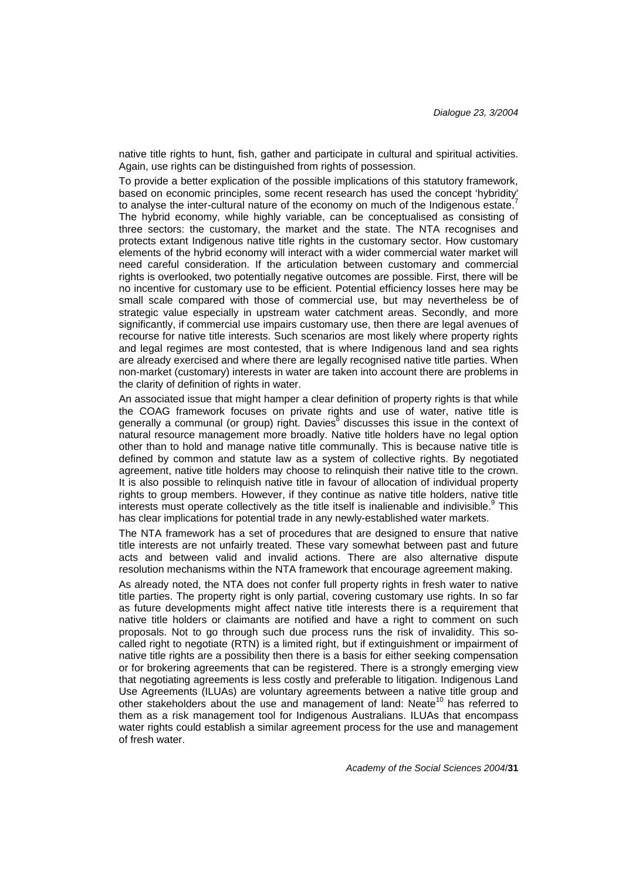native title rights to hunt, fish, gather and participate in cultural and spiritual activities. Again, use rights can be distinguished from rights of possession.

To provide a better explication of the possible implications of this statutory framework, based on economic principles, some recent research has used the concept 'hybridity' to analyse the inter-cultural nature of the economy on much of the Indigenous estate. The hybrid economy, while highly variable, can be conceptualised as consisting of three sectors: the customary, the market and the state. The NTA recognises and protects extant Indigenous native title rights in the customary sector. How customary elements of the hybrid economy will interact with a wider commercial water market will need careful consideration. If the articulation between customary and commercial rights is overlooked, two potentially negative outcomes are possible. First, there will be no incentive for customary use to be efficient. Potential efficiency losses here may be small scale compared with those of commercial use, but may nevertheless be of strategic value especially in upstream water catchment areas. Secondly, and more significantly, if commercial use impairs customary use, then there are legal avenues of recourse for native title interests. Such scenarios are most likely where property rights and legal regimes are most contested, that is where Indigenous land and sea rights are already exercised and where there are legally recognised native title parties. When non-market (customary) interests in water are taken into account there are problems in the clarity of definition of rights in water.

An associated issue that might hamper a clear definition of property rights is that while the COAG framework focuses on private rights and use of water, native title is generally a communal (or group) right. Davies<sup>8</sup> discusses this issue in the context of natural resource management more broadly. Native title holders have no legal option other than to hold and manage native title communally. This is because native title is defined by common and statute law as a system of collective rights. By negotiated agreement, native title holders may choose to relinquish their native title to the crown. It is also possible to relinquish native title in favour of allocation of individual property rights to group members. However, if they continue as native title holders, native title interests must operate collectively as the title itself is inalienable and indivisible.<sup>9</sup> This has clear implications for potential trade in any newly-established water markets.

The NTA framework has a set of procedures that are designed to ensure that native title interests are not unfairly treated. These vary somewhat between past and future acts and between valid and invalid actions. There are also alternative dispute resolution mechanisms within the NTA framework that encourage agreement making.

As already noted, the NTA does not confer full property rights in fresh water to native title parties. The property right is only partial, covering customary use rights. In so far as future developments might affect native title interests there is a requirement that native title holders or claimants are notified and have a right to comment on such proposals. Not to go through such due process runs the risk of invalidity. This socalled right to negotiate (RTN) is a limited right, but if extinguishment or impairment of native title rights are a possibility then there is a basis for either seeking compensation or for brokering agreements that can be registered. There is a strongly emerging view that negotiating agreements is less costly and preferable to litigation. Indigenous Land Use Agreements (ILUAs) are voluntary agreements between a native title group and other stakeholders about the use and management of land: Neate<sup>10</sup> has referred to them as a risk management tool for Indigenous Australians. ILUAs that encompass water rights could establish a similar agreement process for the use and management of fresh water.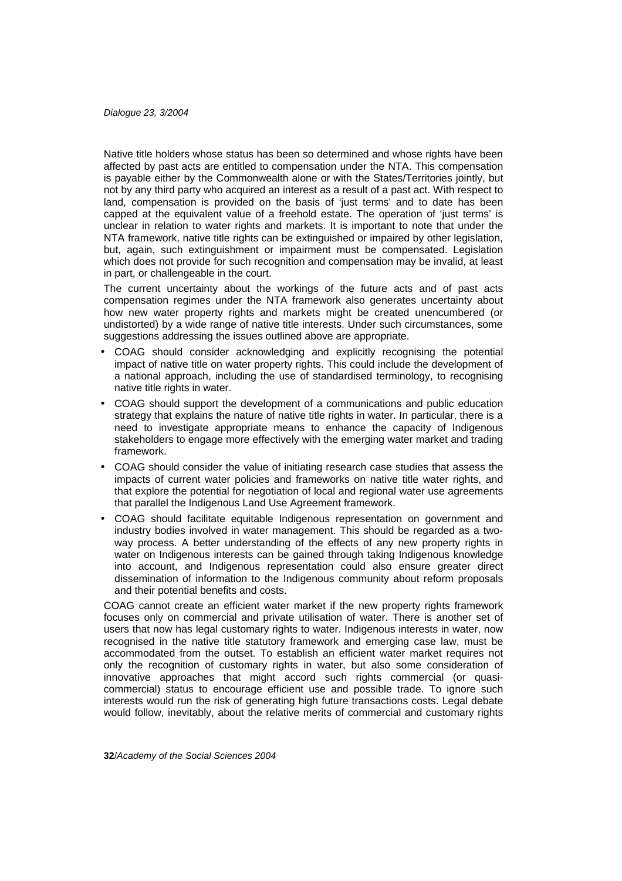Native title holders whose status has been so determined and whose rights have been affected by past acts are entitled to compensation under the NTA. This compensation is payable either by the Commonwealth alone or with the States/Territories jointly, but not by any third party who acquired an interest as a result of a past act. With respect to land, compensation is provided on the basis of 'just terms' and to date has been capped at the equivalent value of a freehold estate. The operation of 'just terms' is unclear in relation to water rights and markets. It is important to note that under the NTA framework, native title rights can be extinguished or impaired by other legislation, but, again, such extinguishment or impairment must be compensated. Legislation which does not provide for such recognition and compensation may be invalid, at least in part, or challengeable in the court.

The current uncertainty about the workings of the future acts and of past acts compensation regimes under the NTA framework also generates uncertainty about how new water property rights and markets might be created unencumbered (or undistorted) by a wide range of native title interests. Under such circumstances, some suggestions addressing the issues outlined above are appropriate.

- COAG should consider acknowledging and explicitly recognising the potential impact of native title on water property rights. This could include the development of a national approach, including the use of standardised terminology, to recognising native title rights in water.
- COAG should support the development of a communications and public education strategy that explains the nature of native title rights in water. In particular, there is a need to investigate appropriate means to enhance the capacity of Indigenous stakeholders to engage more effectively with the emerging water market and trading framework.
- COAG should consider the value of initiating research case studies that assess the impacts of current water policies and frameworks on native title water rights, and that explore the potential for negotiation of local and regional water use agreements that parallel the Indigenous Land Use Agreement framework.
- COAG should facilitate equitable Indigenous representation on government and industry bodies involved in water management. This should be regarded as a twoway process. A better understanding of the effects of any new property rights in water on Indigenous interests can be gained through taking Indigenous knowledge into account, and Indigenous representation could also ensure greater direct dissemination of information to the Indigenous community about reform proposals and their potential benefits and costs.

COAG cannot create an efficient water market if the new property rights framework focuses only on commercial and private utilisation of water. There is another set of users that now has legal customary rights to water. Indigenous interests in water, now recognised in the native title statutory framework and emerging case law, must be accommodated from the outset. To establish an efficient water market requires not only the recognition of customary rights in water, but also some consideration of innovative approaches that might accord such rights commercial (or quasicommercial) status to encourage efficient use and possible trade. To ignore such interests would run the risk of generating high future transactions costs. Legal debate would follow, inevitably, about the relative merits of commercial and customary rights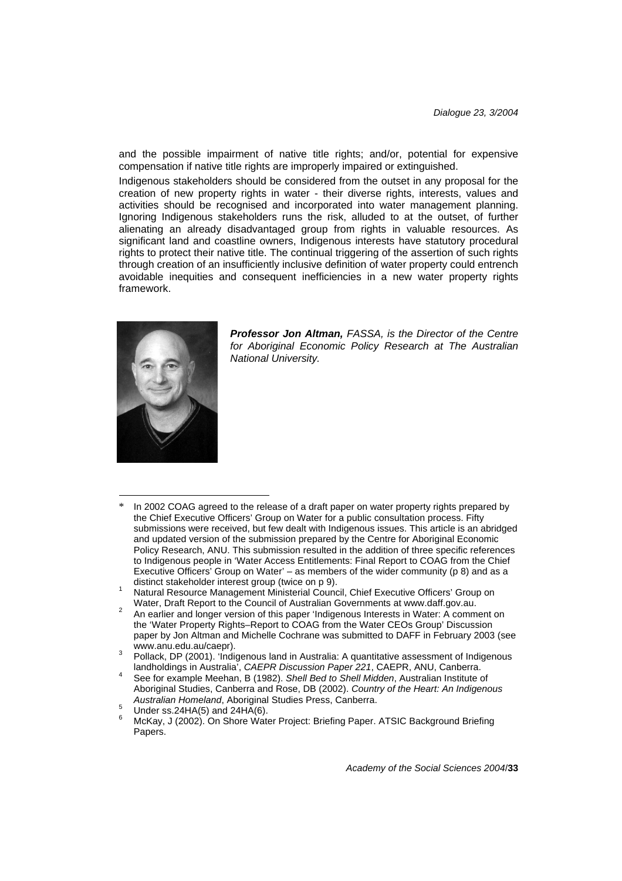and the possible impairment of native title rights; and/or, potential for expensive compensation if native title rights are improperly impaired or extinguished.

Indigenous stakeholders should be considered from the outset in any proposal for the creation of new property rights in water - their diverse rights, interests, values and activities should be recognised and incorporated into water management planning. Ignoring Indigenous stakeholders runs the risk, alluded to at the outset, of further alienating an already disadvantaged group from rights in valuable resources. As significant land and coastline owners, Indigenous interests have statutory procedural rights to protect their native title. The continual triggering of the assertion of such rights through creation of an insufficiently inclusive definition of water property could entrench avoidable inequities and consequent inefficiencies in a new water property rights framework.



l

*Professor Jon Altman, FASSA, is the Director of the Centre for Aboriginal Economic Policy Research at The Australian National University.*

- In 2002 COAG agreed to the release of a draft paper on water property rights prepared by the Chief Executive Officers' Group on Water for a public consultation process. Fifty submissions were received, but few dealt with Indigenous issues. This article is an abridged and updated version of the submission prepared by the Centre for Aboriginal Economic Policy Research, ANU. This submission resulted in the addition of three specific references to Indigenous people in 'Water Access Entitlements: Final Report to COAG from the Chief Executive Officers' Group on Water' – as members of the wider community (p 8) and as a distinct stakeholder interest group (twice on p 9).
- Natural Resource Management Ministerial Council, Chief Executive Officers' Group on Water, Draft Report to the Council of Australian Governments at www.daff.gov.au.
- 2 An earlier and longer version of this paper 'Indigenous Interests in Water: A comment on the 'Water Property Rights–Report to COAG from the Water CEOs Group' Discussion paper by Jon Altman and Michelle Cochrane was submitted to DAFF in February 2003 (see www.anu.edu.au/caepr).
- 3 Pollack, DP (2001). 'Indigenous land in Australia: A quantitative assessment of Indigenous landholdings in Australia', *CAEPR Discussion Paper 221*, CAEPR, ANU, Canberra.
- 4 See for example Meehan, B (1982). *Shell Bed to Shell Midden*, Australian Institute of Aboriginal Studies, Canberra and Rose, DB (2002). *Country of the Heart: An Indigenous Australian Homeland*, Aboriginal Studies Press, Canberra.
- 5 Under ss.24HA(5) and 24HA(6).
- McKay, J (2002). On Shore Water Project: Briefing Paper. ATSIC Background Briefing Papers.

*Academy of the Social Sciences 2004*/**33**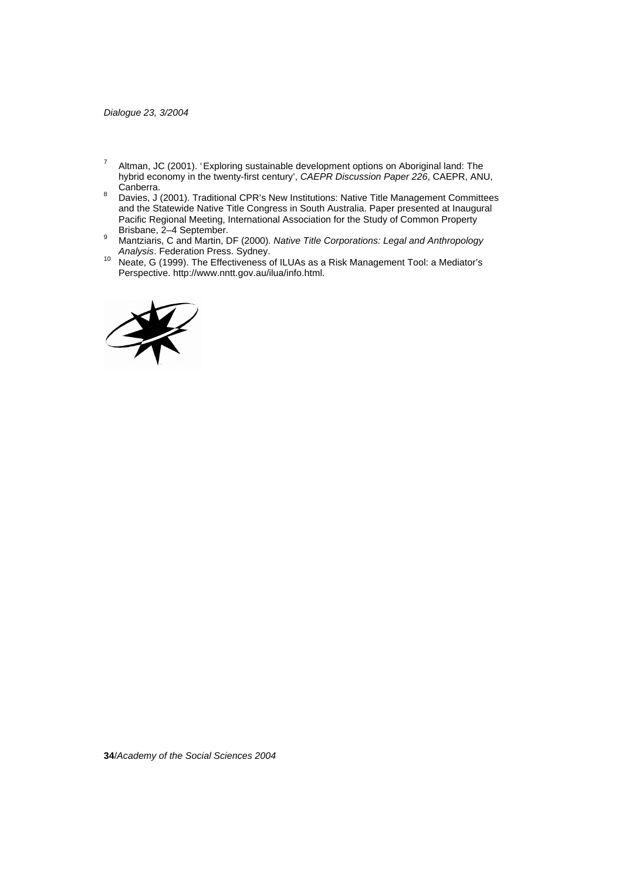- 7 Altman, JC (2001). 'Exploring sustainable development options on Aboriginal land: The hybrid economy in the twenty-first century', *CAEPR Discussion Paper 226*, CAEPR, ANU, Canberra.
- 8 Davies, J (2001). Traditional CPR's New Institutions: Native Title Management Committees and the Statewide Native Title Congress in South Australia. Paper presented at Inaugural Pacific Regional Meeting, International Association for the Study of Common Property Brisbane, 2–4 September.
- 9 Mantziaris, C and Martin, DF (2000)*. Native Title Corporations: Legal and Anthropology Analysis*. Federation Press. Sydney.
- <sup>10</sup> Neate, G (1999). The Effectiveness of ILUAs as a Risk Management Tool: a Mediator's Perspective. http://www.nntt.gov.au/ilua/info.html.

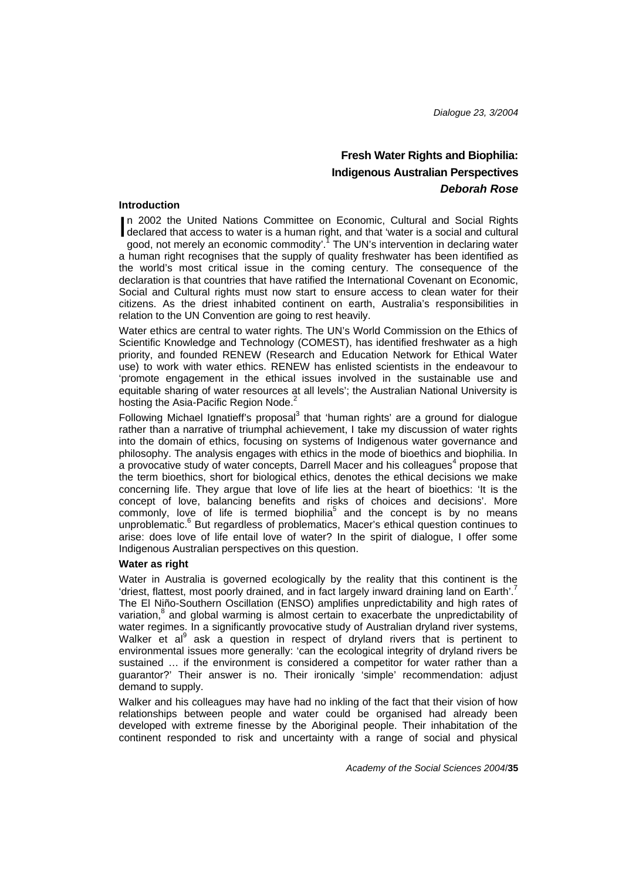# **Fresh Water Rights and Biophilia: Indigenous Australian Perspectives** *Deborah Rose*

# **Introduction**

In 2002 the United Nations Committee on Economic, Cultural and Social Rights<br>declared that access to water is a human right, and that 'water is a social and cultural declared that access to water is a human right, and that 'water is a social and cultural good, not merely an economic commodity'.<sup>7</sup> The UN's intervention in declaring water a human right recognises that the supply of quality freshwater has been identified as the world's most critical issue in the coming century. The consequence of the declaration is that countries that have ratified the International Covenant on Economic, Social and Cultural rights must now start to ensure access to clean water for their citizens. As the driest inhabited continent on earth, Australia's responsibilities in relation to the UN Convention are going to rest heavily.

Water ethics are central to water rights. The UN's World Commission on the Ethics of Scientific Knowledge and Technology (COMEST), has identified freshwater as a high priority, and founded RENEW (Research and Education Network for Ethical Water use) to work with water ethics. RENEW has enlisted scientists in the endeavour to 'promote engagement in the ethical issues involved in the sustainable use and equitable sharing of water resources at all levels'; the Australian National University is hosting the Asia-Pacific Region Node.<sup>2</sup>

Following Michael Ignatieff's proposal<sup>3</sup> that 'human rights' are a ground for dialogue rather than a narrative of triumphal achievement, I take my discussion of water rights into the domain of ethics, focusing on systems of Indigenous water governance and philosophy. The analysis engages with ethics in the mode of bioethics and biophilia. In a provocative study of water concepts, Darrell Macer and his colleagues<sup>4</sup> propose that the term bioethics, short for biological ethics, denotes the ethical decisions we make concerning life. They argue that love of life lies at the heart of bioethics: 'It is the concept of love, balancing benefits and risks of choices and decisions'. More commonly, love of life is termed biophilia<sup>5</sup> and the concept is by no means unproblematic.<sup>6</sup> But regardless of problematics, Macer's ethical question continues to arise: does love of life entail love of water? In the spirit of dialogue, I offer some Indigenous Australian perspectives on this question.

#### **Water as right**

Water in Australia is governed ecologically by the reality that this continent is the 'driest, flattest, most poorly drained, and in fact largely inward draining land on Earth'.<sup>7</sup> The El Niño-Southern Oscillation (ENSO) amplifies unpredictability and high rates of variation,<sup>8</sup> and global warming is almost certain to exacerbate the unpredictability of water regimes. In a significantly provocative study of Australian dryland river systems, Walker et al<sup>9</sup> ask a question in respect of dryland rivers that is pertinent to environmental issues more generally: 'can the ecological integrity of dryland rivers be sustained … if the environment is considered a competitor for water rather than a guarantor?' Their answer is no. Their ironically 'simple' recommendation: adjust demand to supply.

Walker and his colleagues may have had no inkling of the fact that their vision of how relationships between people and water could be organised had already been developed with extreme finesse by the Aboriginal people. Their inhabitation of the continent responded to risk and uncertainty with a range of social and physical

*Academy of the Social Sciences 2004*/**35**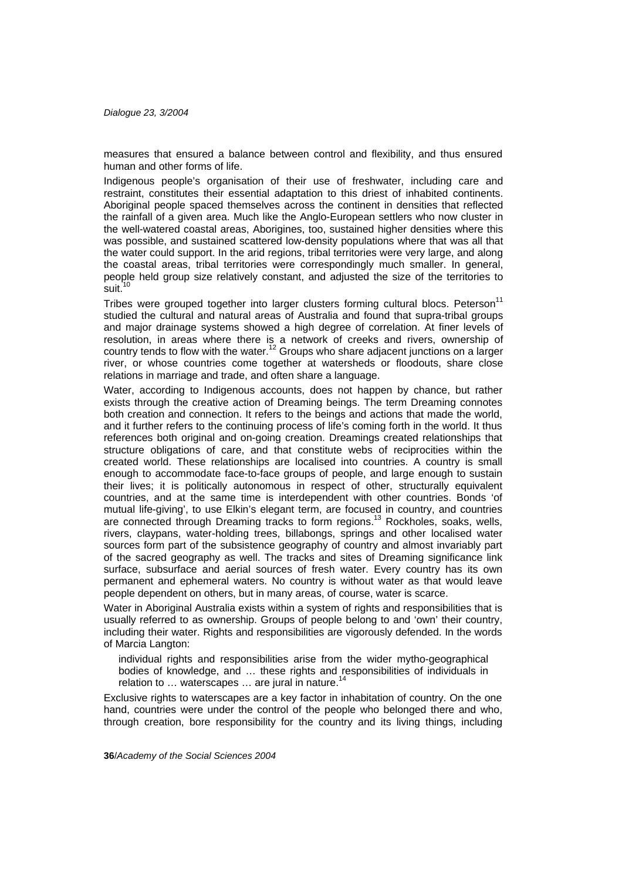measures that ensured a balance between control and flexibility, and thus ensured human and other forms of life.

Indigenous people's organisation of their use of freshwater, including care and restraint, constitutes their essential adaptation to this driest of inhabited continents. Aboriginal people spaced themselves across the continent in densities that reflected the rainfall of a given area. Much like the Anglo-European settlers who now cluster in the well-watered coastal areas, Aborigines, too, sustained higher densities where this was possible, and sustained scattered low-density populations where that was all that the water could support. In the arid regions, tribal territories were very large, and along the coastal areas, tribal territories were correspondingly much smaller. In general, people held group size relatively constant, and adjusted the size of the territories to suit.<sup>10</sup>

Tribes were grouped together into larger clusters forming cultural blocs. Peterson<sup>11</sup> studied the cultural and natural areas of Australia and found that supra-tribal groups and major drainage systems showed a high degree of correlation. At finer levels of resolution, in areas where there is a network of creeks and rivers, ownership of country tends to flow with the water.<sup>12</sup> Groups who share adjacent junctions on a larger river, or whose countries come together at watersheds or floodouts, share close relations in marriage and trade, and often share a language.

Water, according to Indigenous accounts, does not happen by chance, but rather exists through the creative action of Dreaming beings. The term Dreaming connotes both creation and connection. It refers to the beings and actions that made the world, and it further refers to the continuing process of life's coming forth in the world. It thus references both original and on-going creation. Dreamings created relationships that structure obligations of care, and that constitute webs of reciprocities within the created world. These relationships are localised into countries. A country is small enough to accommodate face-to-face groups of people, and large enough to sustain their lives; it is politically autonomous in respect of other, structurally equivalent countries, and at the same time is interdependent with other countries. Bonds 'of mutual life-giving', to use Elkin's elegant term, are focused in country, and countries are connected through Dreaming tracks to form regions.<sup>13</sup> Rockholes, soaks, wells, rivers, claypans, water-holding trees, billabongs, springs and other localised water sources form part of the subsistence geography of country and almost invariably part of the sacred geography as well. The tracks and sites of Dreaming significance link surface, subsurface and aerial sources of fresh water. Every country has its own permanent and ephemeral waters. No country is without water as that would leave people dependent on others, but in many areas, of course, water is scarce.

Water in Aboriginal Australia exists within a system of rights and responsibilities that is usually referred to as ownership. Groups of people belong to and 'own' their country, including their water. Rights and responsibilities are vigorously defended. In the words of Marcia Langton:

individual rights and responsibilities arise from the wider mytho-geographical bodies of knowledge, and … these rights and responsibilities of individuals in relation to  $\ldots$  waterscapes  $\ldots$  are jural in nature.<sup>1</sup>

Exclusive rights to waterscapes are a key factor in inhabitation of country. On the one hand, countries were under the control of the people who belonged there and who, through creation, bore responsibility for the country and its living things, including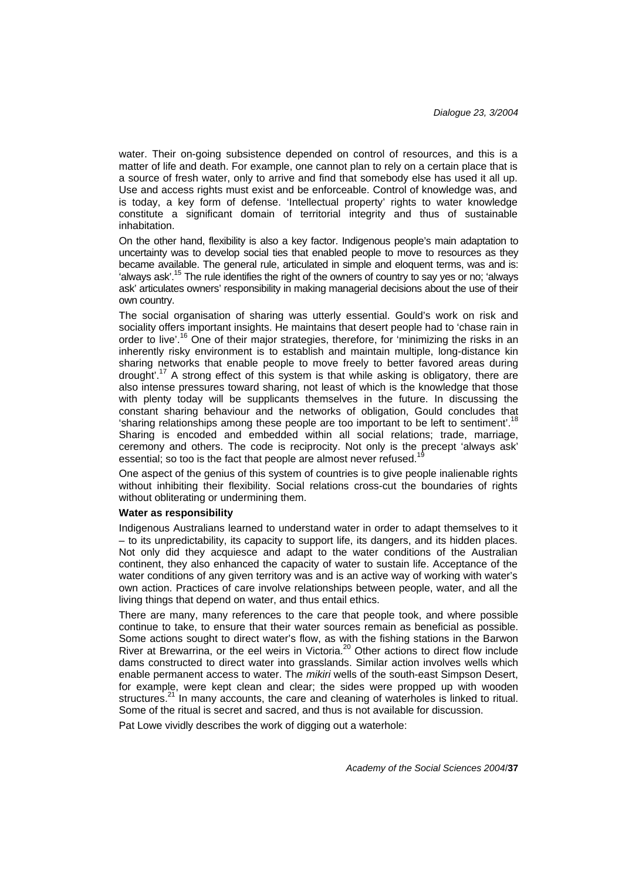water. Their on-going subsistence depended on control of resources, and this is a matter of life and death. For example, one cannot plan to rely on a certain place that is a source of fresh water, only to arrive and find that somebody else has used it all up. Use and access rights must exist and be enforceable. Control of knowledge was, and is today, a key form of defense. 'Intellectual property' rights to water knowledge constitute a significant domain of territorial integrity and thus of sustainable inhabitation.

On the other hand, flexibility is also a key factor. Indigenous people's main adaptation to uncertainty was to develop social ties that enabled people to move to resources as they became available. The general rule, articulated in simple and eloquent terms, was and is: 'always ask'.<sup>15</sup> The rule identifies the right of the owners of country to say yes or no; 'always' ask' articulates owners' responsibility in making managerial decisions about the use of their own country.

The social organisation of sharing was utterly essential. Gould's work on risk and sociality offers important insights. He maintains that desert people had to 'chase rain in order to live<sup>' 16</sup> One of their major strategies, therefore, for 'minimizing the risks in an inherently risky environment is to establish and maintain multiple, long-distance kin sharing networks that enable people to move freely to better favored areas during drought'.<sup>17</sup> A strong effect of this system is that while asking is obligatory, there are also intense pressures toward sharing, not least of which is the knowledge that those with plenty today will be supplicants themselves in the future. In discussing the constant sharing behaviour and the networks of obligation, Gould concludes that 'sharing relationships among these people are too important to be left to sentiment'. $^1$ Sharing is encoded and embedded within all social relations; trade, marriage, ceremony and others. The code is reciprocity. Not only is the precept 'always ask' essential; so too is the fact that people are almost never refused.

One aspect of the genius of this system of countries is to give people inalienable rights without inhibiting their flexibility. Social relations cross-cut the boundaries of rights without obliterating or undermining them.

# **Water as responsibility**

Indigenous Australians learned to understand water in order to adapt themselves to it – to its unpredictability, its capacity to support life, its dangers, and its hidden places. Not only did they acquiesce and adapt to the water conditions of the Australian continent, they also enhanced the capacity of water to sustain life. Acceptance of the water conditions of any given territory was and is an active way of working with water's own action. Practices of care involve relationships between people, water, and all the living things that depend on water, and thus entail ethics.

There are many, many references to the care that people took, and where possible continue to take, to ensure that their water sources remain as beneficial as possible. Some actions sought to direct water's flow, as with the fishing stations in the Barwon River at Brewarrina, or the eel weirs in Victoria.<sup>20</sup> Other actions to direct flow include dams constructed to direct water into grasslands. Similar action involves wells which enable permanent access to water. The *mikiri* wells of the south-east Simpson Desert, for example, were kept clean and clear; the sides were propped up with wooden structures. $2^7$  In many accounts, the care and cleaning of waterholes is linked to ritual. Some of the ritual is secret and sacred, and thus is not available for discussion.

Pat Lowe vividly describes the work of digging out a waterhole: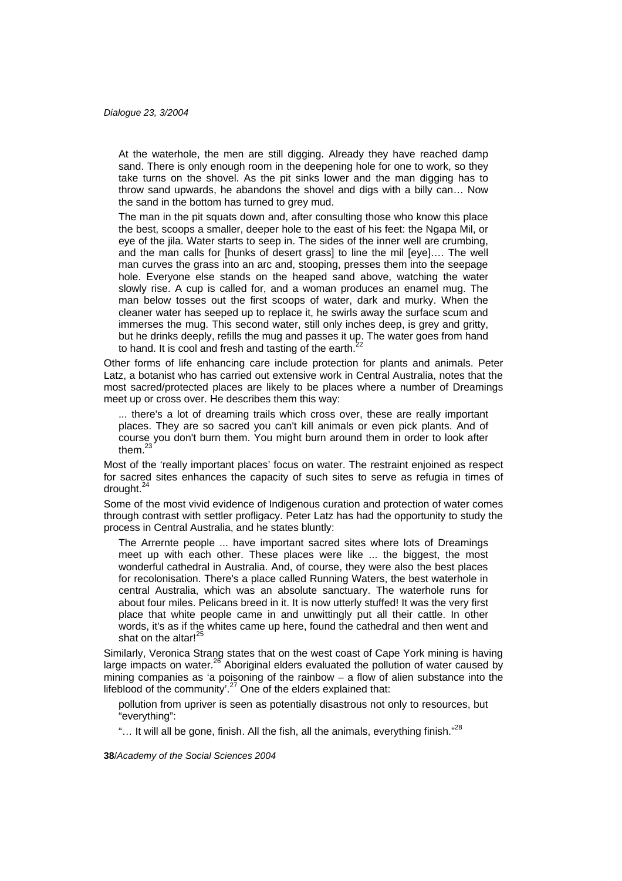At the waterhole, the men are still digging. Already they have reached damp sand. There is only enough room in the deepening hole for one to work, so they take turns on the shovel. As the pit sinks lower and the man digging has to throw sand upwards, he abandons the shovel and digs with a billy can… Now the sand in the bottom has turned to grey mud.

The man in the pit squats down and, after consulting those who know this place the best, scoops a smaller, deeper hole to the east of his feet: the Ngapa Mil, or eye of the jila. Water starts to seep in. The sides of the inner well are crumbing, and the man calls for [hunks of desert grass] to line the mil [eye]…. The well man curves the grass into an arc and, stooping, presses them into the seepage hole. Everyone else stands on the heaped sand above, watching the water slowly rise. A cup is called for, and a woman produces an enamel mug. The man below tosses out the first scoops of water, dark and murky. When the cleaner water has seeped up to replace it, he swirls away the surface scum and immerses the mug. This second water, still only inches deep, is grey and gritty, but he drinks deeply, refills the mug and passes it up. The water goes from hand to hand. It is cool and fresh and tasting of the earth.<sup>2</sup>

Other forms of life enhancing care include protection for plants and animals. Peter Latz, a botanist who has carried out extensive work in Central Australia, notes that the most sacred/protected places are likely to be places where a number of Dreamings meet up or cross over. He describes them this way:

... there's a lot of dreaming trails which cross over, these are really important places. They are so sacred you can't kill animals or even pick plants. And of course you don't burn them. You might burn around them in order to look after them.<sup>2</sup>

Most of the 'really important places' focus on water. The restraint enjoined as respect for sacred sites enhances the capacity of such sites to serve as refugia in times of drought. $^{24}$ 

Some of the most vivid evidence of Indigenous curation and protection of water comes through contrast with settler profligacy. Peter Latz has had the opportunity to study the process in Central Australia, and he states bluntly:

The Arrernte people ... have important sacred sites where lots of Dreamings meet up with each other. These places were like ... the biggest, the most wonderful cathedral in Australia. And, of course, they were also the best places for recolonisation. There's a place called Running Waters, the best waterhole in central Australia, which was an absolute sanctuary. The waterhole runs for about four miles. Pelicans breed in it. It is now utterly stuffed! It was the very first place that white people came in and unwittingly put all their cattle. In other words, it's as if the whites came up here, found the cathedral and then went and shat on the altarl $^{25}$ 

Similarly, Veronica Strang states that on the west coast of Cape York mining is having large impacts on water.<sup>26</sup> Aboriginal elders evaluated the pollution of water caused by mining companies as 'a poisoning of the rainbow – a flow of alien substance into the lifeblood of the community'.<sup>27</sup> One of the elders explained that:

pollution from upriver is seen as potentially disastrous not only to resources, but "everything":

"... It will all be gone, finish. All the fish, all the animals, everything finish."<sup>28</sup>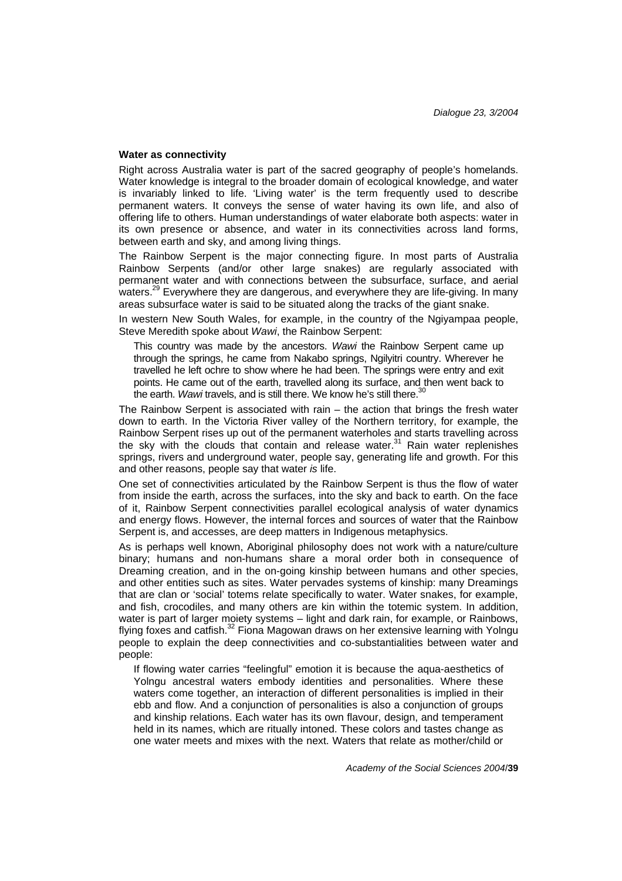## **Water as connectivity**

Right across Australia water is part of the sacred geography of people's homelands. Water knowledge is integral to the broader domain of ecological knowledge, and water is invariably linked to life. 'Living water' is the term frequently used to describe permanent waters. It conveys the sense of water having its own life, and also of offering life to others. Human understandings of water elaborate both aspects: water in its own presence or absence, and water in its connectivities across land forms, between earth and sky, and among living things.

The Rainbow Serpent is the major connecting figure. In most parts of Australia Rainbow Serpents (and/or other large snakes) are regularly associated with permanent water and with connections between the subsurface, surface, and aerial waters.<sup>29</sup> Everywhere they are dangerous, and everywhere they are life-giving. In many areas subsurface water is said to be situated along the tracks of the giant snake.

In western New South Wales, for example, in the country of the Ngiyampaa people, Steve Meredith spoke about *Wawi*, the Rainbow Serpent:

This country was made by the ancestors. *Wawi* the Rainbow Serpent came up through the springs, he came from Nakabo springs, Ngilyitri country. Wherever he travelled he left ochre to show where he had been. The springs were entry and exit points. He came out of the earth, travelled along its surface, and then went back to the earth. *Wawi* travels, and is still there. We know he's still there.<sup>3</sup>

The Rainbow Serpent is associated with rain  $-$  the action that brings the fresh water down to earth. In the Victoria River valley of the Northern territory, for example, the Rainbow Serpent rises up out of the permanent waterholes and starts travelling across the sky with the clouds that contain and release water. $31$  Rain water replenishes springs, rivers and underground water, people say, generating life and growth. For this and other reasons, people say that water *is* life.

One set of connectivities articulated by the Rainbow Serpent is thus the flow of water from inside the earth, across the surfaces, into the sky and back to earth. On the face of it, Rainbow Serpent connectivities parallel ecological analysis of water dynamics and energy flows. However, the internal forces and sources of water that the Rainbow Serpent is, and accesses, are deep matters in Indigenous metaphysics.

As is perhaps well known, Aboriginal philosophy does not work with a nature/culture binary; humans and non-humans share a moral order both in consequence of Dreaming creation, and in the on-going kinship between humans and other species, and other entities such as sites. Water pervades systems of kinship: many Dreamings that are clan or 'social' totems relate specifically to water. Water snakes, for example, and fish, crocodiles, and many others are kin within the totemic system. In addition, water is part of larger moiety systems – light and dark rain, for example, or Rainbows, flying foxes and catfish.<sup>32</sup> Fiona Magowan draws on her extensive learning with Yolngu people to explain the deep connectivities and co-substantialities between water and people:

If flowing water carries "feelingful" emotion it is because the aqua-aesthetics of Yolngu ancestral waters embody identities and personalities. Where these waters come together, an interaction of different personalities is implied in their ebb and flow. And a conjunction of personalities is also a conjunction of groups and kinship relations. Each water has its own flavour, design, and temperament held in its names, which are ritually intoned. These colors and tastes change as one water meets and mixes with the next. Waters that relate as mother/child or

*Academy of the Social Sciences 2004*/**39**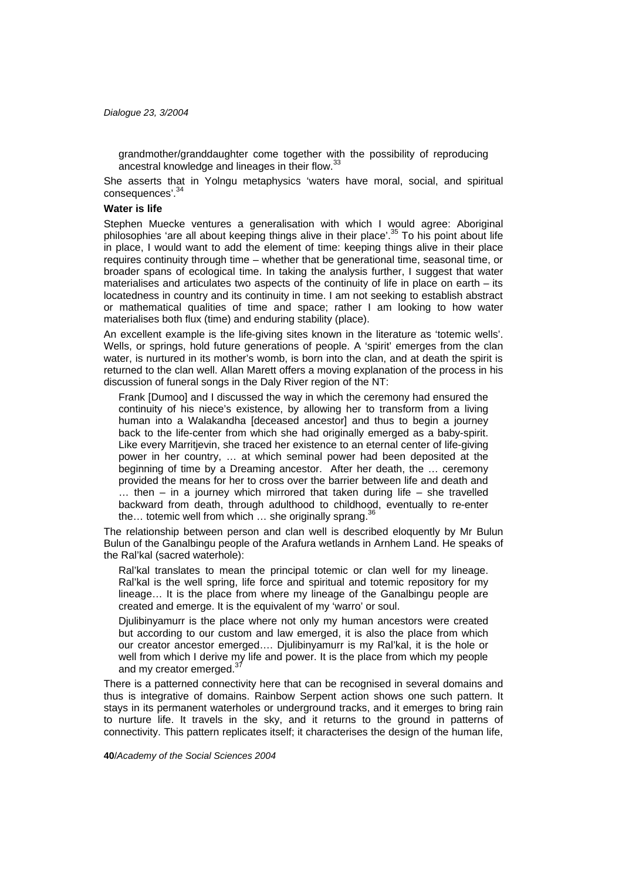grandmother/granddaughter come together with the possibility of reproducing ancestral knowledge and lineages in their flow.<sup>33</sup>

She asserts that in Yolngu metaphysics 'waters have moral, social, and spiritual consequences'.<sup>3</sup>

#### **Water is life**

Stephen Muecke ventures a generalisation with which I would agree: Aboriginal philosophies 'are all about keeping things alive in their place'.<sup>35</sup> To his point about life in place, I would want to add the element of time: keeping things alive in their place requires continuity through time – whether that be generational time, seasonal time, or broader spans of ecological time. In taking the analysis further, I suggest that water materialises and articulates two aspects of the continuity of life in place on earth – its locatedness in country and its continuity in time. I am not seeking to establish abstract or mathematical qualities of time and space; rather I am looking to how water materialises both flux (time) and enduring stability (place).

An excellent example is the life-giving sites known in the literature as 'totemic wells'. Wells, or springs, hold future generations of people. A 'spirit' emerges from the clan water, is nurtured in its mother's womb, is born into the clan, and at death the spirit is returned to the clan well. Allan Marett offers a moving explanation of the process in his discussion of funeral songs in the Daly River region of the NT:

Frank [Dumoo] and I discussed the way in which the ceremony had ensured the continuity of his niece's existence, by allowing her to transform from a living human into a Walakandha [deceased ancestor] and thus to begin a journey back to the life-center from which she had originally emerged as a baby-spirit. Like every Marritjevin, she traced her existence to an eternal center of life-giving power in her country, … at which seminal power had been deposited at the beginning of time by a Dreaming ancestor. After her death, the … ceremony provided the means for her to cross over the barrier between life and death and  $\ldots$  then – in a journey which mirrored that taken during life – she travelled backward from death, through adulthood to childhood, eventually to re-enter the... totemic well from which ... she originally sprang.

The relationship between person and clan well is described eloquently by Mr Bulun Bulun of the Ganalbingu people of the Arafura wetlands in Arnhem Land. He speaks of the Ral'kal (sacred waterhole):

Ral'kal translates to mean the principal totemic or clan well for my lineage. Ral'kal is the well spring, life force and spiritual and totemic repository for my lineage… It is the place from where my lineage of the Ganalbingu people are created and emerge. It is the equivalent of my 'warro' or soul.

Djulibinyamurr is the place where not only my human ancestors were created but according to our custom and law emerged, it is also the place from which our creator ancestor emerged…. Djulibinyamurr is my Ral'kal, it is the hole or well from which I derive my life and power. It is the place from which my people and my creator emerged.<sup>37</sup>

There is a patterned connectivity here that can be recognised in several domains and thus is integrative of domains. Rainbow Serpent action shows one such pattern. It stays in its permanent waterholes or underground tracks, and it emerges to bring rain to nurture life. It travels in the sky, and it returns to the ground in patterns of connectivity. This pattern replicates itself; it characterises the design of the human life,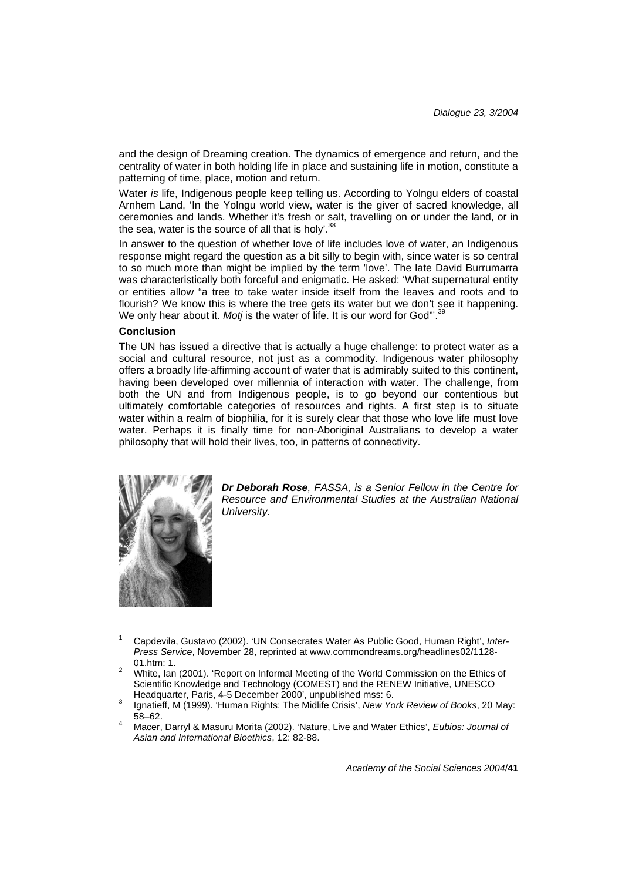and the design of Dreaming creation. The dynamics of emergence and return, and the centrality of water in both holding life in place and sustaining life in motion, constitute a patterning of time, place, motion and return.

Water *is* life, Indigenous people keep telling us. According to Yolngu elders of coastal Arnhem Land, 'In the Yolngu world view, water is the giver of sacred knowledge, all ceremonies and lands. Whether it's fresh or salt, travelling on or under the land, or in the sea, water is the source of all that is holy'.<sup>38</sup>

In answer to the question of whether love of life includes love of water, an Indigenous response might regard the question as a bit silly to begin with, since water is so central to so much more than might be implied by the term 'love'. The late David Burrumarra was characteristically both forceful and enigmatic. He asked: 'What supernatural entity or entities allow "a tree to take water inside itself from the leaves and roots and to flourish? We know this is where the tree gets its water but we don't see it happening. We only hear about it. Motj is the water of life. It is our word for God"<sup>3</sup>.<sup>39</sup>

# **Conclusion**

The UN has issued a directive that is actually a huge challenge: to protect water as a social and cultural resource, not just as a commodity. Indigenous water philosophy offers a broadly life-affirming account of water that is admirably suited to this continent, having been developed over millennia of interaction with water. The challenge, from both the UN and from Indigenous people, is to go beyond our contentious but ultimately comfortable categories of resources and rights. A first step is to situate water within a realm of biophilia, for it is surely clear that those who love life must love water. Perhaps it is finally time for non-Aboriginal Australians to develop a water philosophy that will hold their lives, too, in patterns of connectivity.



*Dr Deborah Rose, FASSA, is a Senior Fellow in the Centre for Resource and Environmental Studies at the Australian National University.*

l 1 Capdevila, Gustavo (2002). 'UN Consecrates Water As Public Good, Human Right', *Inter-Press Service*, November 28, reprinted at www.commondreams.org/headlines02/1128- 01.htm: 1.

<sup>2</sup> White, Ian (2001). 'Report on Informal Meeting of the World Commission on the Ethics of Scientific Knowledge and Technology (COMEST) and the RENEW Initiative, UNESCO Headquarter, Paris, 4-5 December 2000', unpublished mss: 6.

<sup>3</sup> Ignatieff, M (1999). 'Human Rights: The Midlife Crisis', *New York Review of Books*, 20 May: 58–62.

<sup>4</sup> Macer, Darryl & Masuru Morita (2002). 'Nature, Live and Water Ethics', *Eubios: Journal of Asian and International Bioethics*, 12: 82-88.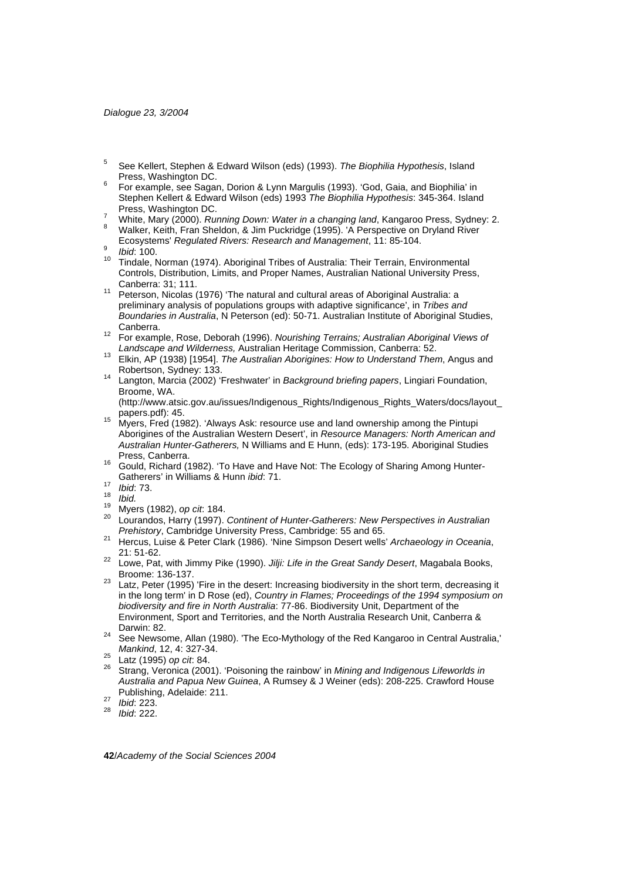- 5 See Kellert, Stephen & Edward Wilson (eds) (1993). *The Biophilia Hypothesis*, Island Press, Washington DC.
- 6 For example, see Sagan, Dorion & Lynn Margulis (1993). 'God, Gaia, and Biophilia' in Stephen Kellert & Edward Wilson (eds) 1993 *The Biophilia Hypothesis*: 345-364. Island Press, Washington DC.
- <sup>7</sup> White, Mary (2000). *Running Down: Water in a changing land*, Kangaroo Press, Sydney: 2. 8 Walker, Keith, Fran Sheldon, & Jim Puckridge (1995). 'A Perspective on Dryland River
- Ecosystems' *Regulated Rivers: Research and Management*, 11: 85-104.
- $\mathsf{o}$ *Ibid*: 100.
- 10 Tindale, Norman (1974). Aboriginal Tribes of Australia: Their Terrain, Environmental Controls, Distribution, Limits, and Proper Names, Australian National University Press, Canberra: 31; 111.
- <sup>11</sup> Peterson, Nicolas (1976) 'The natural and cultural areas of Aboriginal Australia: a preliminary analysis of populations groups with adaptive significance', in *Tribes and Boundaries in Australia*, N Peterson (ed): 50-71. Australian Institute of Aboriginal Studies, Canberra.
- <sup>12</sup> For example, Rose, Deborah (1996). *Nourishing Terrains; Australian Aboriginal Views of Landscape and Wilderness,* Australian Heritage Commission, Canberra: 52.
- <sup>13</sup> Elkin, AP (1938) [1954]. *The Australian Aborigines: How to Understand Them*, Angus and Robertson, Sydney: 133.
- <sup>14</sup> Langton, Marcia (2002) 'Freshwater' in *Background briefing papers*, Lingiari Foundation, Broome, WA.

(http://www.atsic.gov.au/issues/Indigenous\_Rights/Indigenous\_Rights\_Waters/docs/layout\_ papers.pdf): 45.

- Myers, Fred (1982). 'Always Ask: resource use and land ownership among the Pintupi Aborigines of the Australian Western Desert', in *Resource Managers: North American and Australian Hunter-Gatherers,* N Williams and E Hunn, (eds): 173-195. Aboriginal Studies Press, Canberra.
- <sup>16</sup> Gould, Richard (1982). 'To Have and Have Not: The Ecology of Sharing Among Hunter-Gatherers' in Williams & Hunn *ibid*: 71.
- <sup>17</sup> *Ibid*: 73.

- <sup>19</sup> Myers (1982), *op cit*: 184.
- <sup>20</sup> Lourandos, Harry (1997). *Continent of Hunter-Gatherers: New Perspectives in Australian Prehistory*, Cambridge University Press, Cambridge: 55 and 65.
- <sup>21</sup> Hercus, Luise & Peter Clark (1986). 'Nine Simpson Desert wells' *Archaeology in Oceania*, 21: 51-62.
- <sup>22</sup> Lowe, Pat, with Jimmy Pike (1990). *Jilji: Life in the Great Sandy Desert*, Magabala Books, Broome: 136-137.
- 23 Latz, Peter (1995) 'Fire in the desert: Increasing biodiversity in the short term, decreasing it in the long term' in D Rose (ed), *Country in Flames; Proceedings of the 1994 symposium on biodiversity and fire in North Australia*: 77-86. Biodiversity Unit, Department of the Environment, Sport and Territories, and the North Australia Research Unit, Canberra & Darwin: 82. 24
- See Newsome, Allan (1980). 'The Eco-Mythology of the Red Kangaroo in Central Australia,' *Mankind*, 12, 4: 327-34.

26 Strang, Veronica (2001). 'Poisoning the rainbow' in *Mining and Indigenous Lifeworlds in Australia and Papua New Guinea*, A Rumsey & J Weiner (eds): 208-225. Crawford House Publishing, Adelaide: 211.

<sup>18</sup> *Ibid.*

<sup>25</sup> Latz (1995) *op cit*: 84.

<sup>27</sup>  $\frac{27}{28}$  *Ibid*: 223.

<sup>28</sup> *Ibid*: 222.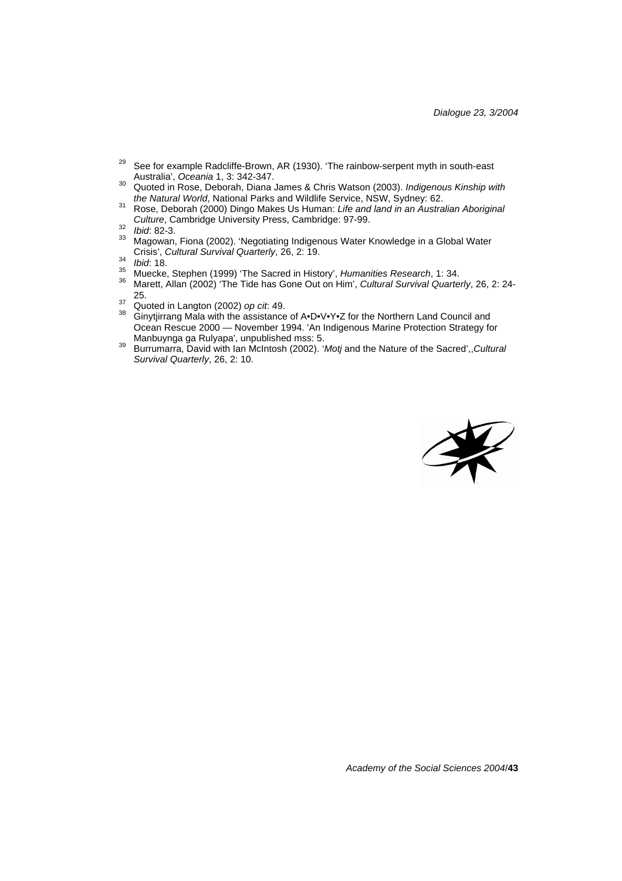- $29$  See for example Radcliffe-Brown, AR (1930). 'The rainbow-serpent myth in south-east Australia', *Oceania* 1, 3: 342-347.
- <sup>30</sup> Quoted in Rose, Deborah, Diana James & Chris Watson (2003). *Indigenous Kinship with the Natural World*, National Parks and Wildlife Service, NSW, Sydney: 62.
- 31 Rose, Deborah (2000) Dingo Makes Us Human: *Life and land in an Australian Aboriginal Culture*, Cambridge University Press, Cambridge: 97-99.
- <sup>32</sup> *Ibid*: 82-3.
- <sup>33</sup> Magowan, Fiona (2002). 'Negotiating Indigenous Water Knowledge in a Global Water Crisis', *Cultural Survival Quarterly*, 26, 2: 19. 34
- <sup>34</sup> *Ibid*: 18.
- <sup>35</sup> Muecke, Stephen (1999) 'The Sacred in History', *Humanities Research*, 1: 34.
- 36 Marett, Allan (2002) 'The Tide has Gone Out on Him', *Cultural Survival Quarterly*, 26, 2: 24- 25.
- 37 Quoted in Langton (2002) *op cit*: 49.
- <sup>38</sup> Ginytjirrang Mala with the assistance of A•D•V•Y•Z for the Northern Land Council and Ocean Rescue 2000 — November 1994. 'An Indigenous Marine Protection Strategy for Manbuynga ga Rulyapa', unpublished mss: 5.
- 39 Burrumarra, David with Ian McIntosh (2002). '*Motj* and the Nature of the Sacred',,*Cultural Survival Quarterly*, 26, 2: 10.

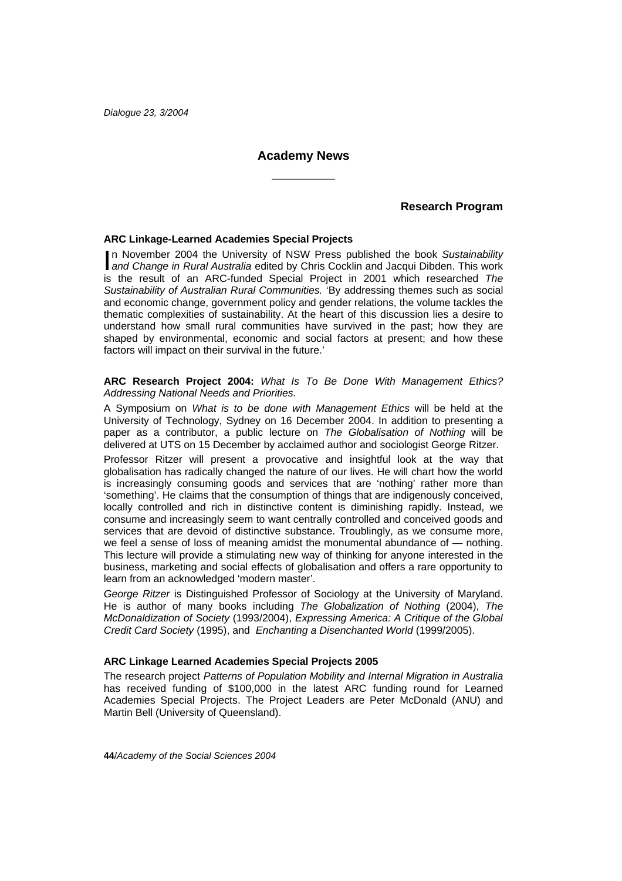# **Academy News \_\_\_\_\_\_\_\_\_**

# **Research Program**

# **ARC Linkage-Learned Academies Special Projects**

n November 2004 the University of NSW Press published the book *Sustainability and Change in Rural Australia* edited by Chris Cocklin and Jacqui Dibden. This work Iis the result of an ARC-funded Special Project in 2001 which researched *The Sustainability of Australian Rural Communities.* 'By addressing themes such as social and economic change, government policy and gender relations, the volume tackles the thematic complexities of sustainability. At the heart of this discussion lies a desire to understand how small rural communities have survived in the past; how they are shaped by environmental, economic and social factors at present; and how these factors will impact on their survival in the future.'

# **ARC Research Project 2004:** *What Is To Be Done With Management Ethics? Addressing National Needs and Priorities.*

A Symposium on *What is to be done with Management Ethics* will be held at the University of Technology, Sydney on 16 December 2004. In addition to presenting a paper as a contributor, a public lecture on *The Globalisation of Nothing* will be delivered at UTS on 15 December by acclaimed author and sociologist George Ritzer.

Professor Ritzer will present a provocative and insightful look at the way that globalisation has radically changed the nature of our lives. He will chart how the world is increasingly consuming goods and services that are 'nothing' rather more than 'something'. He claims that the consumption of things that are indigenously conceived, locally controlled and rich in distinctive content is diminishing rapidly. Instead, we consume and increasingly seem to want centrally controlled and conceived goods and services that are devoid of distinctive substance. Troublingly, as we consume more, we feel a sense of loss of meaning amidst the monumental abundance of — nothing. This lecture will provide a stimulating new way of thinking for anyone interested in the business, marketing and social effects of globalisation and offers a rare opportunity to learn from an acknowledged 'modern master'.

*George Ritzer* is Distinguished Professor of Sociology at the University of Maryland. He is author of many books including *The Globalization of Nothing* (2004), *The McDonaldization of Society* (1993/2004), *Expressing America: A Critique of the Global Credit Card Society* (1995), and *Enchanting a Disenchanted World* (1999/2005).

# **ARC Linkage Learned Academies Special Projects 2005**

The research project *Patterns of Population Mobility and Internal Migration in Australia* has received funding of \$100,000 in the latest ARC funding round for Learned Academies Special Projects. The Project Leaders are Peter McDonald (ANU) and Martin Bell (University of Queensland).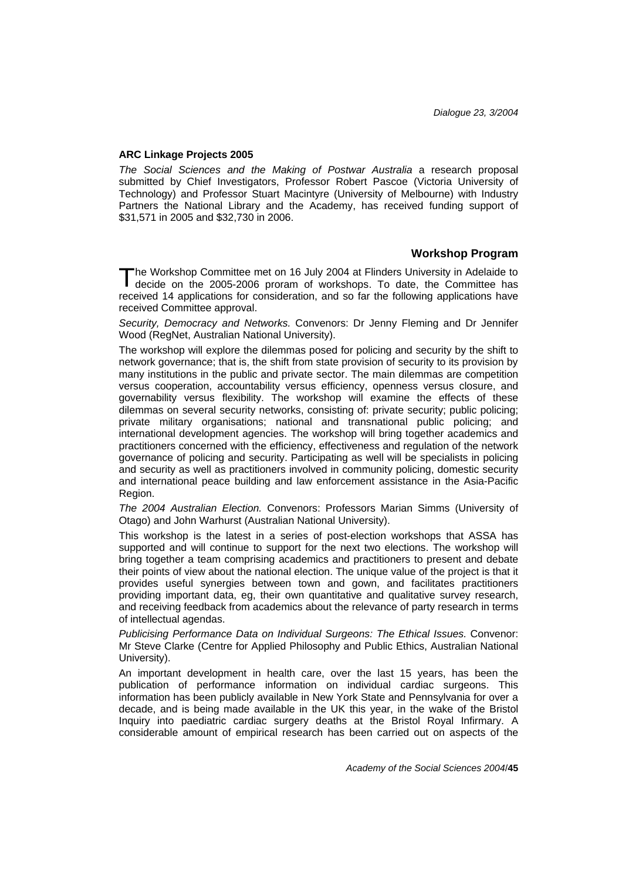# **ARC Linkage Projects 2005**

*The Social Sciences and the Making of Postwar Australia* a research proposal submitted by Chief Investigators, Professor Robert Pascoe (Victoria University of Technology) and Professor Stuart Macintyre (University of Melbourne) with Industry Partners the National Library and the Academy, has received funding support of \$31,571 in 2005 and \$32,730 in 2006.

# **Workshop Program**

The Workshop Committee met on 16 July 2004 at Flinders University in Adelaide to The Workshop Committee met on 16 July 2004 at Flinders University in Adelaide to decide on the 2005-2006 proram of workshops. To date, the Committee has received 14 applications for consideration, and so far the following applications have received Committee approval.

*Security, Democracy and Networks.* Convenors: Dr Jenny Fleming and Dr Jennifer Wood (RegNet, Australian National University).

The workshop will explore the dilemmas posed for policing and security by the shift to network governance; that is, the shift from state provision of security to its provision by many institutions in the public and private sector. The main dilemmas are competition versus cooperation, accountability versus efficiency, openness versus closure, and governability versus flexibility. The workshop will examine the effects of these dilemmas on several security networks, consisting of: private security; public policing; private military organisations; national and transnational public policing; and international development agencies. The workshop will bring together academics and practitioners concerned with the efficiency, effectiveness and regulation of the network governance of policing and security. Participating as well will be specialists in policing and security as well as practitioners involved in community policing, domestic security and international peace building and law enforcement assistance in the Asia-Pacific Region.

*The 2004 Australian Election.* Convenors: Professors Marian Simms (University of Otago) and John Warhurst (Australian National University).

This workshop is the latest in a series of post-election workshops that ASSA has supported and will continue to support for the next two elections. The workshop will bring together a team comprising academics and practitioners to present and debate their points of view about the national election. The unique value of the project is that it provides useful synergies between town and gown, and facilitates practitioners providing important data, eg, their own quantitative and qualitative survey research, and receiving feedback from academics about the relevance of party research in terms of intellectual agendas.

*Publicising Performance Data on Individual Surgeons: The Ethical Issues.* Convenor: Mr Steve Clarke (Centre for Applied Philosophy and Public Ethics, Australian National University).

An important development in health care, over the last 15 years, has been the publication of performance information on individual cardiac surgeons. This information has been publicly available in New York State and Pennsylvania for over a decade, and is being made available in the UK this year, in the wake of the Bristol Inquiry into paediatric cardiac surgery deaths at the Bristol Royal Infirmary. A considerable amount of empirical research has been carried out on aspects of the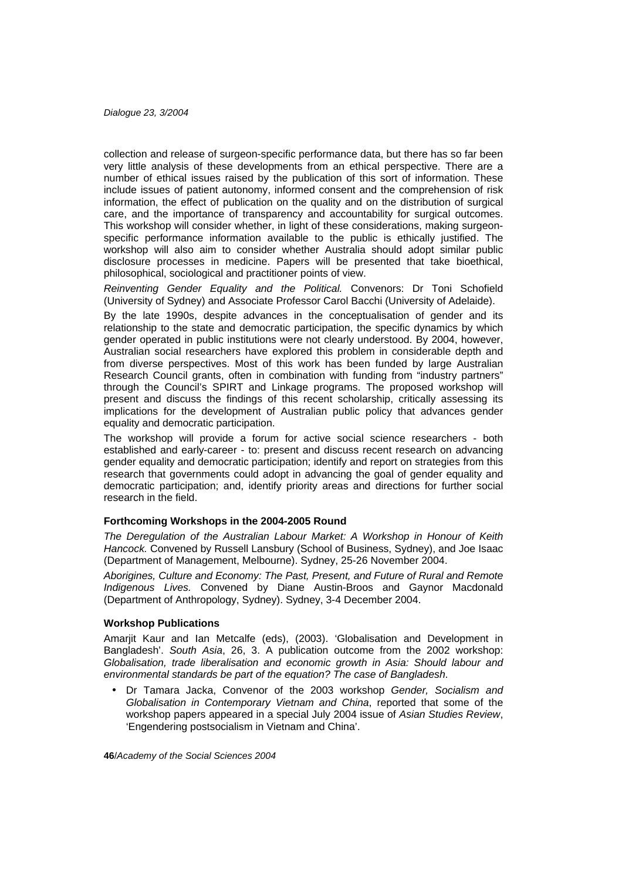collection and release of surgeon-specific performance data, but there has so far been very little analysis of these developments from an ethical perspective. There are a number of ethical issues raised by the publication of this sort of information. These include issues of patient autonomy, informed consent and the comprehension of risk information, the effect of publication on the quality and on the distribution of surgical care, and the importance of transparency and accountability for surgical outcomes. This workshop will consider whether, in light of these considerations, making surgeonspecific performance information available to the public is ethically justified. The workshop will also aim to consider whether Australia should adopt similar public disclosure processes in medicine. Papers will be presented that take bioethical, philosophical, sociological and practitioner points of view.

*Reinventing Gender Equality and the Political.* Convenors: Dr Toni Schofield (University of Sydney) and Associate Professor Carol Bacchi (University of Adelaide).

By the late 1990s, despite advances in the conceptualisation of gender and its relationship to the state and democratic participation, the specific dynamics by which gender operated in public institutions were not clearly understood. By 2004, however, Australian social researchers have explored this problem in considerable depth and from diverse perspectives. Most of this work has been funded by large Australian Research Council grants, often in combination with funding from "industry partners" through the Council's SPIRT and Linkage programs. The proposed workshop will present and discuss the findings of this recent scholarship, critically assessing its implications for the development of Australian public policy that advances gender equality and democratic participation.

The workshop will provide a forum for active social science researchers - both established and early-career - to: present and discuss recent research on advancing gender equality and democratic participation; identify and report on strategies from this research that governments could adopt in advancing the goal of gender equality and democratic participation; and, identify priority areas and directions for further social research in the field.

# **Forthcoming Workshops in the 2004-2005 Round**

*The Deregulation of the Australian Labour Market: A Workshop in Honour of Keith Hancock.* Convened by Russell Lansbury (School of Business, Sydney), and Joe Isaac (Department of Management, Melbourne). Sydney, 25-26 November 2004.

*Aborigines, Culture and Economy: The Past, Present, and Future of Rural and Remote Indigenous Lives.* Convened by Diane Austin-Broos and Gaynor Macdonald (Department of Anthropology, Sydney). Sydney, 3-4 December 2004.

# **Workshop Publications**

Amarjit Kaur and Ian Metcalfe (eds), (2003). 'Globalisation and Development in Bangladesh'. *South Asia*, 26, 3. A publication outcome from the 2002 workshop: *Globalisation, trade liberalisation and economic growth in Asia: Should labour and environmental standards be part of the equation? The case of Bangladesh*.

• Dr Tamara Jacka, Convenor of the 2003 workshop *Gender, Socialism and Globalisation in Contemporary Vietnam and China*, reported that some of the workshop papers appeared in a special July 2004 issue of *Asian Studies Review*, 'Engendering postsocialism in Vietnam and China'.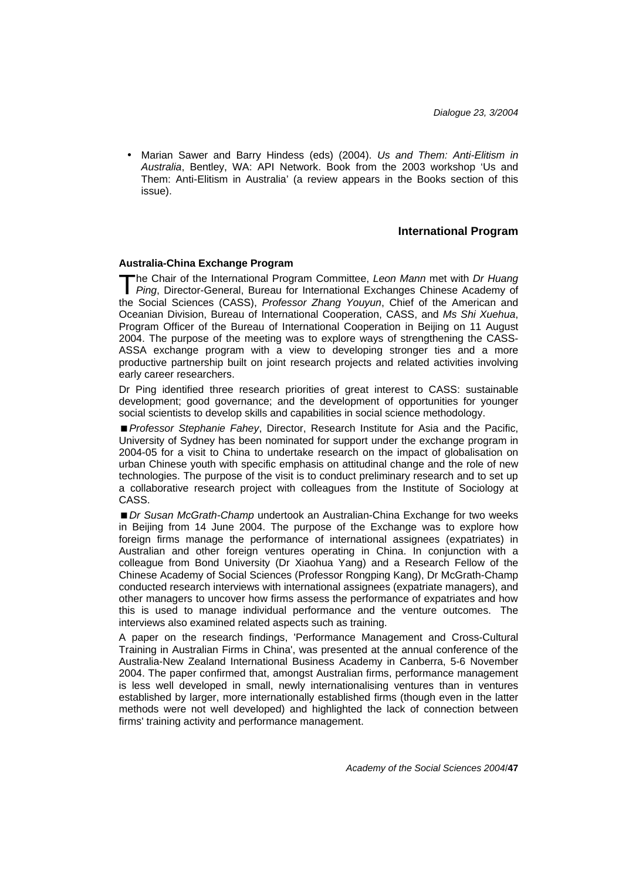• Marian Sawer and Barry Hindess (eds) (2004). *Us and Them: Anti-Elitism in Australia*, Bentley, WA: API Network. Book from the 2003 workshop 'Us and Them: Anti-Elitism in Australia' (a review appears in the Books section of this issue).

# **International Program**

# **Australia-China Exchange Program**

he Chair of the International Program Committee, *Leon Mann* met with *Dr Huang Ping*, Director-General, Bureau for International Exchanges Chinese Academy of the Social Sciences (CASS), *Professor Zhang Youyun*, Chief of the American and Oceanian Division, Bureau of International Cooperation, CASS, and *Ms Shi Xuehua*, Program Officer of the Bureau of International Cooperation in Beijing on 11 August 2004. The purpose of the meeting was to explore ways of strengthening the CASS-ASSA exchange program with a view to developing stronger ties and a more productive partnership built on joint research projects and related activities involving early career researchers.  $\mathsf{T}$ 

Dr Ping identified three research priorities of great interest to CASS: sustainable development; good governance; and the development of opportunities for younger social scientists to develop skills and capabilities in social science methodology.

<*Professor Stephanie Fahey*, Director, Research Institute for Asia and the Pacific, University of Sydney has been nominated for support under the exchange program in 2004-05 for a visit to China to undertake research on the impact of globalisation on urban Chinese youth with specific emphasis on attitudinal change and the role of new technologies. The purpose of the visit is to conduct preliminary research and to set up a collaborative research project with colleagues from the Institute of Sociology at CASS.

■ *Dr Susan McGrath-Champ* undertook an Australian-China Exchange for two weeks in Beijing from 14 June 2004. The purpose of the Exchange was to explore how foreign firms manage the performance of international assignees (expatriates) in Australian and other foreign ventures operating in China. In conjunction with a colleague from Bond University (Dr Xiaohua Yang) and a Research Fellow of the Chinese Academy of Social Sciences (Professor Rongping Kang), Dr McGrath-Champ conducted research interviews with international assignees (expatriate managers), and other managers to uncover how firms assess the performance of expatriates and how this is used to manage individual performance and the venture outcomes. The interviews also examined related aspects such as training.

A paper on the research findings, 'Performance Management and Cross-Cultural Training in Australian Firms in China', was presented at the annual conference of the Australia-New Zealand International Business Academy in Canberra, 5-6 November 2004. The paper confirmed that, amongst Australian firms, performance management is less well developed in small, newly internationalising ventures than in ventures established by larger, more internationally established firms (though even in the latter methods were not well developed) and highlighted the lack of connection between firms' training activity and performance management.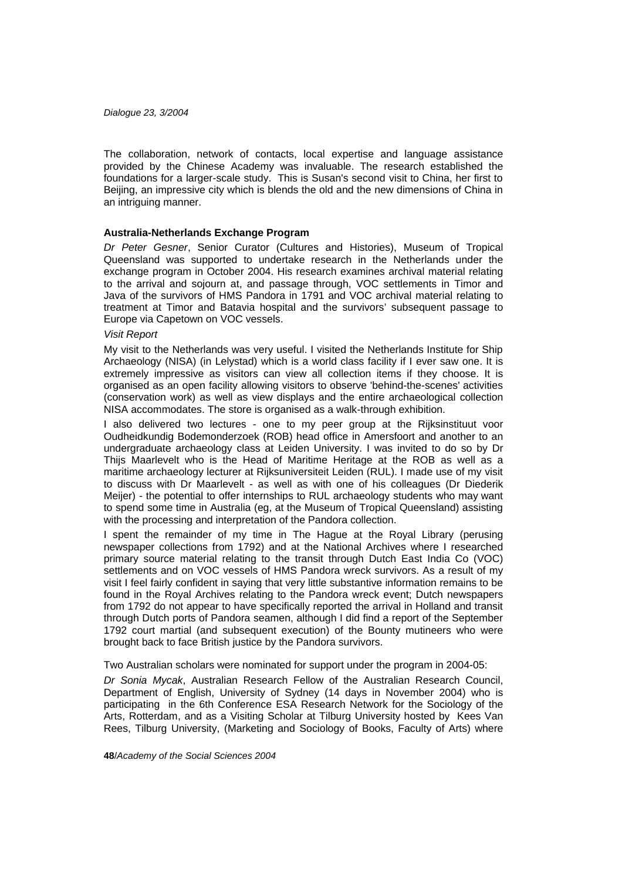The collaboration, network of contacts, local expertise and language assistance provided by the Chinese Academy was invaluable. The research established the foundations for a larger-scale study. This is Susan's second visit to China, her first to Beijing, an impressive city which is blends the old and the new dimensions of China in an intriguing manner.

# **Australia-Netherlands Exchange Program**

*Dr Peter Gesner*, Senior Curator (Cultures and Histories), Museum of Tropical Queensland was supported to undertake research in the Netherlands under the exchange program in October 2004. His research examines archival material relating to the arrival and sojourn at, and passage through, VOC settlements in Timor and Java of the survivors of HMS Pandora in 1791 and VOC archival material relating to treatment at Timor and Batavia hospital and the survivors' subsequent passage to Europe via Capetown on VOC vessels.

# *Visit Report*

My visit to the Netherlands was very useful. I visited the Netherlands Institute for Ship Archaeology (NISA) (in Lelystad) which is a world class facility if I ever saw one. It is extremely impressive as visitors can view all collection items if they choose. It is organised as an open facility allowing visitors to observe 'behind-the-scenes' activities (conservation work) as well as view displays and the entire archaeological collection NISA accommodates. The store is organised as a walk-through exhibition.

I also delivered two lectures - one to my peer group at the Rijksinstituut voor Oudheidkundig Bodemonderzoek (ROB) head office in Amersfoort and another to an undergraduate archaeology class at Leiden University. I was invited to do so by Dr Thijs Maarlevelt who is the Head of Maritime Heritage at the ROB as well as a maritime archaeology lecturer at Rijksuniversiteit Leiden (RUL). I made use of my visit to discuss with Dr Maarlevelt - as well as with one of his colleagues (Dr Diederik Meijer) - the potential to offer internships to RUL archaeology students who may want to spend some time in Australia (eg, at the Museum of Tropical Queensland) assisting with the processing and interpretation of the Pandora collection.

I spent the remainder of my time in The Hague at the Royal Library (perusing newspaper collections from 1792) and at the National Archives where I researched primary source material relating to the transit through Dutch East India Co (VOC) settlements and on VOC vessels of HMS Pandora wreck survivors. As a result of my visit I feel fairly confident in saying that very little substantive information remains to be found in the Royal Archives relating to the Pandora wreck event; Dutch newspapers from 1792 do not appear to have specifically reported the arrival in Holland and transit through Dutch ports of Pandora seamen, although I did find a report of the September 1792 court martial (and subsequent execution) of the Bounty mutineers who were brought back to face British justice by the Pandora survivors.

Two Australian scholars were nominated for support under the program in 2004-05:

*Dr Sonia Mycak*, Australian Research Fellow of the Australian Research Council, Department of English, University of Sydney (14 days in November 2004) who is participating in the 6th Conference ESA Research Network for the Sociology of the Arts, Rotterdam, and as a Visiting Scholar at Tilburg University hosted by Kees Van Rees, Tilburg University, (Marketing and Sociology of Books, Faculty of Arts) where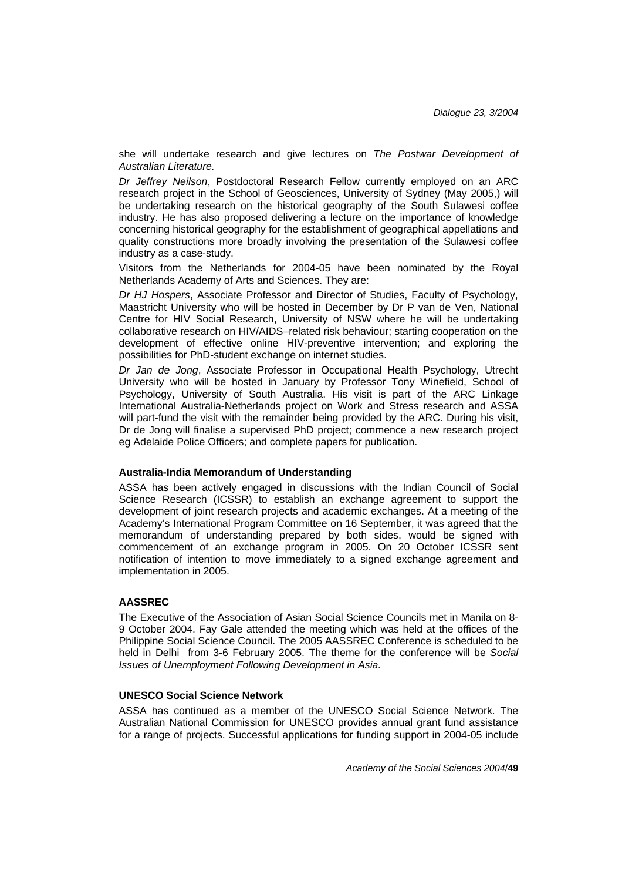she will undertake research and give lectures on *The Postwar Development of Australian Literature.*

*Dr Jeffrey Neilson*, Postdoctoral Research Fellow currently employed on an ARC research project in the School of Geosciences, University of Sydney (May 2005,) will be undertaking research on the historical geography of the South Sulawesi coffee industry. He has also proposed delivering a lecture on the importance of knowledge concerning historical geography for the establishment of geographical appellations and quality constructions more broadly involving the presentation of the Sulawesi coffee industry as a case-study.

Visitors from the Netherlands for 2004-05 have been nominated by the Royal Netherlands Academy of Arts and Sciences. They are:

*Dr HJ Hospers*, Associate Professor and Director of Studies, Faculty of Psychology, Maastricht University who will be hosted in December by Dr P van de Ven, National Centre for HIV Social Research, University of NSW where he will be undertaking collaborative research on HIV/AIDS–related risk behaviour; starting cooperation on the development of effective online HIV-preventive intervention; and exploring the possibilities for PhD-student exchange on internet studies.

*Dr Jan de Jong*, Associate Professor in Occupational Health Psychology, Utrecht University who will be hosted in January by Professor Tony Winefield, School of Psychology, University of South Australia. His visit is part of the ARC Linkage International Australia-Netherlands project on Work and Stress research and ASSA will part-fund the visit with the remainder being provided by the ARC. During his visit, Dr de Jong will finalise a supervised PhD project; commence a new research project eg Adelaide Police Officers; and complete papers for publication.

#### **Australia-India Memorandum of Understanding**

ASSA has been actively engaged in discussions with the Indian Council of Social Science Research (ICSSR) to establish an exchange agreement to support the development of joint research projects and academic exchanges. At a meeting of the Academy's International Program Committee on 16 September, it was agreed that the memorandum of understanding prepared by both sides, would be signed with commencement of an exchange program in 2005. On 20 October ICSSR sent notification of intention to move immediately to a signed exchange agreement and implementation in 2005.

# **AASSREC**

The Executive of the Association of Asian Social Science Councils met in Manila on 8- 9 October 2004. Fay Gale attended the meeting which was held at the offices of the Philippine Social Science Council. The 2005 AASSREC Conference is scheduled to be held in Delhi from 3-6 February 2005. The theme for the conference will be *Social Issues of Unemployment Following Development in Asia.*

# **UNESCO Social Science Network**

ASSA has continued as a member of the UNESCO Social Science Network. The Australian National Commission for UNESCO provides annual grant fund assistance for a range of projects. Successful applications for funding support in 2004-05 include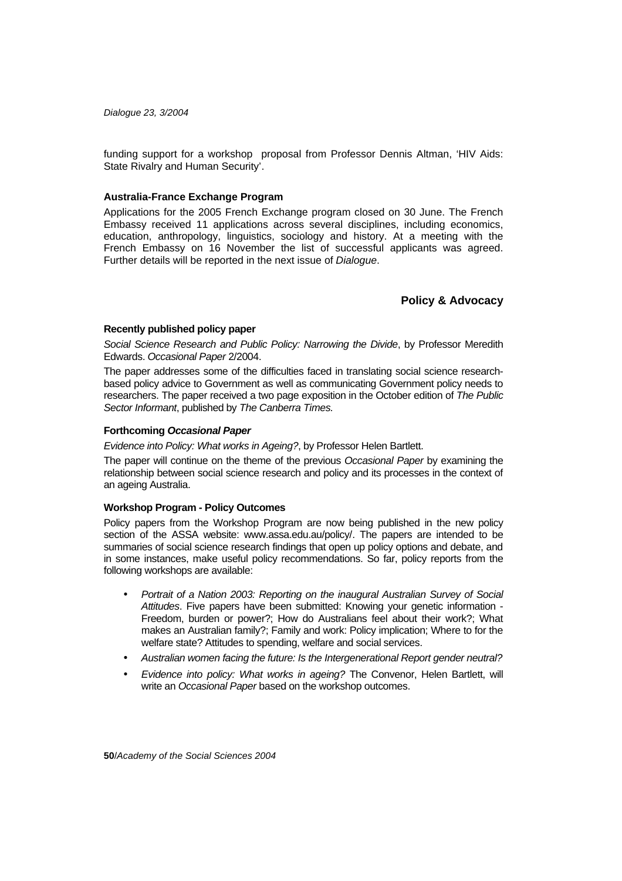funding support for a workshop proposal from Professor Dennis Altman, 'HIV Aids: State Rivalry and Human Security'.

# **Australia-France Exchange Program**

Applications for the 2005 French Exchange program closed on 30 June. The French Embassy received 11 applications across several disciplines, including economics, education, anthropology, linguistics, sociology and history. At a meeting with the French Embassy on 16 November the list of successful applicants was agreed. Further details will be reported in the next issue of *Dialogue*.

# **Policy & Advocacy**

## **Recently published policy paper**

*Social Science Research and Public Policy: Narrowing the Divide*, by Professor Meredith Edwards. *Occasional Paper* 2/2004.

The paper addresses some of the difficulties faced in translating social science researchbased policy advice to Government as well as communicating Government policy needs to researchers. The paper received a two page exposition in the October edition of *The Public Sector Informant*, published by *The Canberra Times.*

# **Forthcoming** *Occasional Paper*

*Evidence into Policy: What works in Ageing?*, by Professor Helen Bartlett.

The paper will continue on the theme of the previous *Occasional Paper* by examining the relationship between social science research and policy and its processes in the context of an ageing Australia.

# **Workshop Program - Policy Outcomes**

Policy papers from the Workshop Program are now being published in the new policy section of the ASSA website: www.assa.edu.au/policy/. The papers are intended to be summaries of social science research findings that open up policy options and debate, and in some instances, make useful policy recommendations. So far, policy reports from the following workshops are available:

- *Portrait of a Nation 2003: Reporting on the inaugural Australian Survey of Social Attitudes*. Five papers have been submitted: Knowing your genetic information - Freedom, burden or power?; How do Australians feel about their work?; What makes an Australian family?; Family and work: Policy implication; Where to for the welfare state? Attitudes to spending, welfare and social services.
- *Australian women facing the future: Is the Intergenerational Report gender neutral?*
- *Evidence into policy: What works in ageing?* The Convenor, Helen Bartlett, will write an *Occasional Paper* based on the workshop outcomes.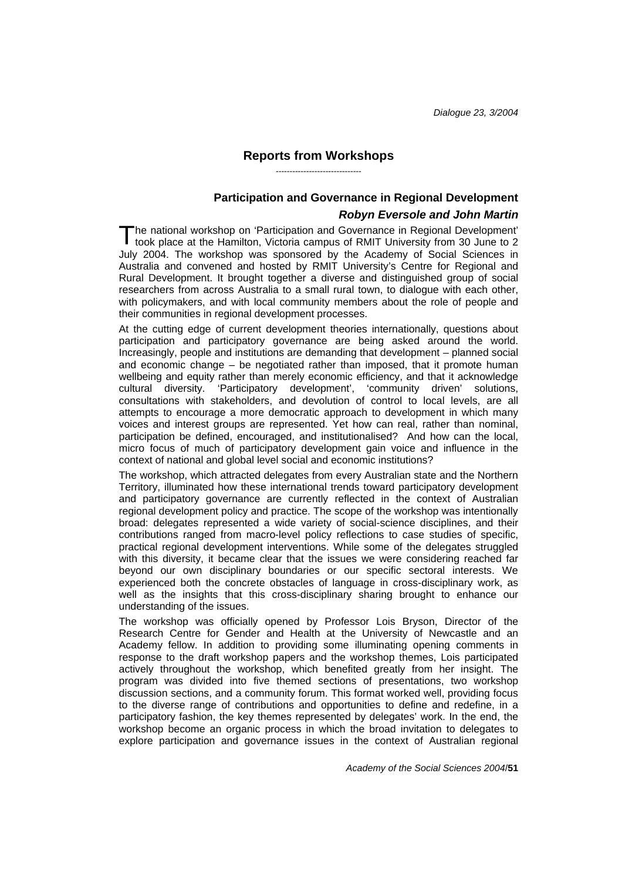# **Reports from Workshops** -------------------------------

**Participation and Governance in Regional Development**

# *Robyn Eversole and John Martin*

he national workshop on 'Participation and Governance in Regional Development' The national workshop on 'Participation and Governance in Regional Development'<br>took place at the Hamilton, Victoria campus of RMIT University from 30 June to 2 July 2004. The workshop was sponsored by the Academy of Social Sciences in Australia and convened and hosted by RMIT University's Centre for Regional and Rural Development. It brought together a diverse and distinguished group of social researchers from across Australia to a small rural town, to dialogue with each other, with policymakers, and with local community members about the role of people and their communities in regional development processes.

At the cutting edge of current development theories internationally, questions about participation and participatory governance are being asked around the world. Increasingly, people and institutions are demanding that development – planned social and economic change – be negotiated rather than imposed, that it promote human wellbeing and equity rather than merely economic efficiency, and that it acknowledge cultural diversity. 'Participatory development', 'community driven' solutions, consultations with stakeholders, and devolution of control to local levels, are all attempts to encourage a more democratic approach to development in which many voices and interest groups are represented. Yet how can real, rather than nominal, participation be defined, encouraged, and institutionalised? And how can the local, micro focus of much of participatory development gain voice and influence in the context of national and global level social and economic institutions?

The workshop, which attracted delegates from every Australian state and the Northern Territory, illuminated how these international trends toward participatory development and participatory governance are currently reflected in the context of Australian regional development policy and practice. The scope of the workshop was intentionally broad: delegates represented a wide variety of social-science disciplines, and their contributions ranged from macro-level policy reflections to case studies of specific, practical regional development interventions. While some of the delegates struggled with this diversity, it became clear that the issues we were considering reached far beyond our own disciplinary boundaries or our specific sectoral interests. We experienced both the concrete obstacles of language in cross-disciplinary work, as well as the insights that this cross-disciplinary sharing brought to enhance our understanding of the issues.

The workshop was officially opened by Professor Lois Bryson, Director of the Research Centre for Gender and Health at the University of Newcastle and an Academy fellow. In addition to providing some illuminating opening comments in response to the draft workshop papers and the workshop themes, Lois participated actively throughout the workshop, which benefited greatly from her insight. The program was divided into five themed sections of presentations, two workshop discussion sections, and a community forum. This format worked well, providing focus to the diverse range of contributions and opportunities to define and redefine, in a participatory fashion, the key themes represented by delegates' work. In the end, the workshop become an organic process in which the broad invitation to delegates to explore participation and governance issues in the context of Australian regional

*Academy of the Social Sciences 2004*/**51**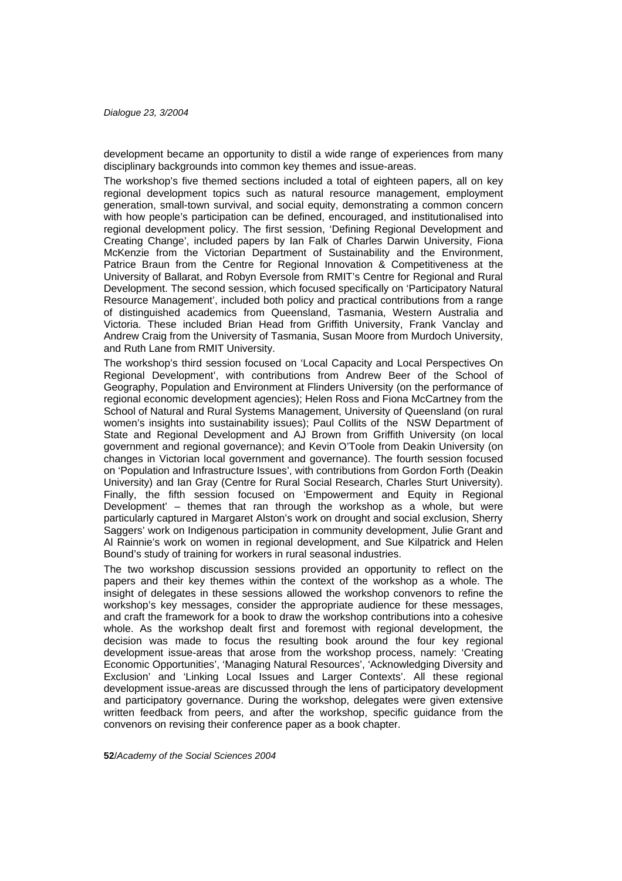development became an opportunity to distil a wide range of experiences from many disciplinary backgrounds into common key themes and issue-areas.

The workshop's five themed sections included a total of eighteen papers, all on key regional development topics such as natural resource management, employment generation, small-town survival, and social equity, demonstrating a common concern with how people's participation can be defined, encouraged, and institutionalised into regional development policy. The first session, 'Defining Regional Development and Creating Change', included papers by Ian Falk of Charles Darwin University, Fiona McKenzie from the Victorian Department of Sustainability and the Environment, Patrice Braun from the Centre for Regional Innovation & Competitiveness at the University of Ballarat, and Robyn Eversole from RMIT's Centre for Regional and Rural Development. The second session, which focused specifically on 'Participatory Natural Resource Management', included both policy and practical contributions from a range of distinguished academics from Queensland, Tasmania, Western Australia and Victoria. These included Brian Head from Griffith University, Frank Vanclay and Andrew Craig from the University of Tasmania, Susan Moore from Murdoch University, and Ruth Lane from RMIT University.

The workshop's third session focused on 'Local Capacity and Local Perspectives On Regional Development', with contributions from Andrew Beer of the School of Geography, Population and Environment at Flinders University (on the performance of regional economic development agencies); Helen Ross and Fiona McCartney from the School of Natural and Rural Systems Management, University of Queensland (on rural women's insights into sustainability issues); Paul Collits of the NSW Department of State and Regional Development and AJ Brown from Griffith University (on local government and regional governance); and Kevin O'Toole from Deakin University (on changes in Victorian local government and governance). The fourth session focused on 'Population and Infrastructure Issues', with contributions from Gordon Forth (Deakin University) and Ian Gray (Centre for Rural Social Research, Charles Sturt University). Finally, the fifth session focused on 'Empowerment and Equity in Regional Development' – themes that ran through the workshop as a whole, but were particularly captured in Margaret Alston's work on drought and social exclusion, Sherry Saggers' work on Indigenous participation in community development, Julie Grant and Al Rainnie's work on women in regional development, and Sue Kilpatrick and Helen Bound's study of training for workers in rural seasonal industries.

The two workshop discussion sessions provided an opportunity to reflect on the papers and their key themes within the context of the workshop as a whole. The insight of delegates in these sessions allowed the workshop convenors to refine the workshop's key messages, consider the appropriate audience for these messages, and craft the framework for a book to draw the workshop contributions into a cohesive whole. As the workshop dealt first and foremost with regional development, the decision was made to focus the resulting book around the four key regional development issue-areas that arose from the workshop process, namely: 'Creating Economic Opportunities', 'Managing Natural Resources', 'Acknowledging Diversity and Exclusion' and 'Linking Local Issues and Larger Contexts'. All these regional development issue-areas are discussed through the lens of participatory development and participatory governance. During the workshop, delegates were given extensive written feedback from peers, and after the workshop, specific guidance from the convenors on revising their conference paper as a book chapter.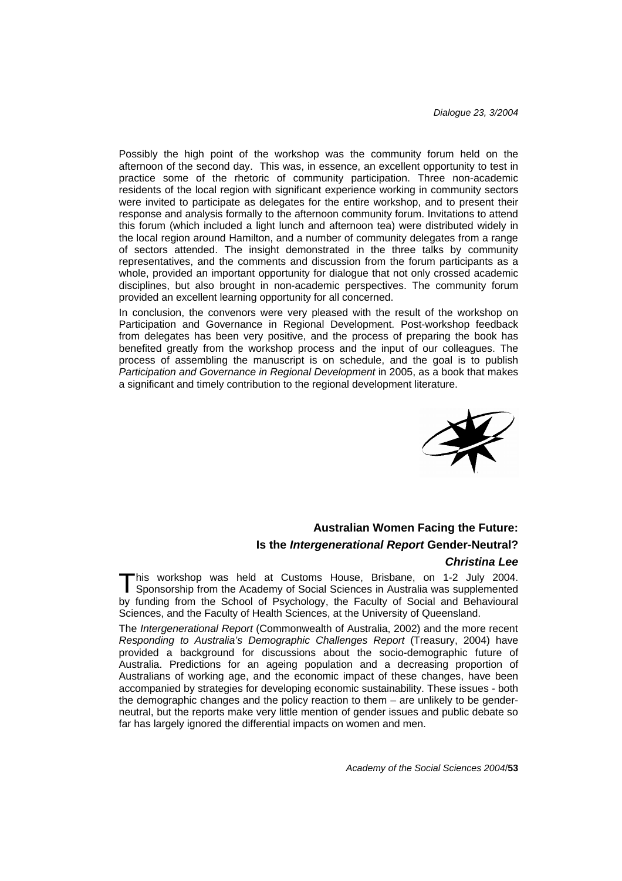Possibly the high point of the workshop was the community forum held on the afternoon of the second day. This was, in essence, an excellent opportunity to test in practice some of the rhetoric of community participation. Three non-academic residents of the local region with significant experience working in community sectors were invited to participate as delegates for the entire workshop, and to present their response and analysis formally to the afternoon community forum. Invitations to attend this forum (which included a light lunch and afternoon tea) were distributed widely in the local region around Hamilton, and a number of community delegates from a range of sectors attended. The insight demonstrated in the three talks by community representatives, and the comments and discussion from the forum participants as a whole, provided an important opportunity for dialogue that not only crossed academic disciplines, but also brought in non-academic perspectives. The community forum provided an excellent learning opportunity for all concerned.

In conclusion, the convenors were very pleased with the result of the workshop on Participation and Governance in Regional Development. Post-workshop feedback from delegates has been very positive, and the process of preparing the book has benefited greatly from the workshop process and the input of our colleagues. The process of assembling the manuscript is on schedule, and the goal is to publish *Participation and Governance in Regional Development* in 2005, as a book that makes a significant and timely contribution to the regional development literature.



# **Australian Women Facing the Future: Is the** *Intergenerational Report* **Gender-Neutral?** *Christina Lee*

This workshop was held at Customs House, Brisbane, on 1-2 July 2004. This workshop was held at Customs House, Brisbane, on 1-2 July 2004.<br>Sponsorship from the Academy of Social Sciences in Australia was supplemented by funding from the School of Psychology, the Faculty of Social and Behavioural Sciences, and the Faculty of Health Sciences, at the University of Queensland.

The *Intergenerational Report* (Commonwealth of Australia, 2002) and the more recent *Responding to Australia's Demographic Challenges Report* (Treasury, 2004) have provided a background for discussions about the socio-demographic future of Australia. Predictions for an ageing population and a decreasing proportion of Australians of working age, and the economic impact of these changes, have been accompanied by strategies for developing economic sustainability. These issues - both the demographic changes and the policy reaction to them – are unlikely to be genderneutral, but the reports make very little mention of gender issues and public debate so far has largely ignored the differential impacts on women and men.

*Academy of the Social Sciences 2004*/**53**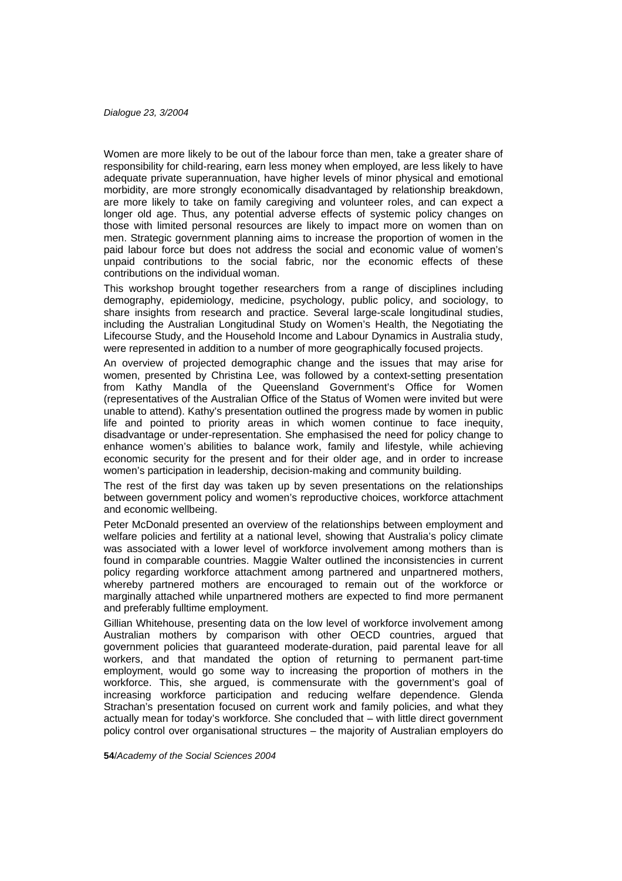Women are more likely to be out of the labour force than men, take a greater share of responsibility for child-rearing, earn less money when employed, are less likely to have adequate private superannuation, have higher levels of minor physical and emotional morbidity, are more strongly economically disadvantaged by relationship breakdown, are more likely to take on family caregiving and volunteer roles, and can expect a longer old age. Thus, any potential adverse effects of systemic policy changes on those with limited personal resources are likely to impact more on women than on men. Strategic government planning aims to increase the proportion of women in the paid labour force but does not address the social and economic value of women's unpaid contributions to the social fabric, nor the economic effects of these contributions on the individual woman.

This workshop brought together researchers from a range of disciplines including demography, epidemiology, medicine, psychology, public policy, and sociology, to share insights from research and practice. Several large-scale longitudinal studies, including the Australian Longitudinal Study on Women's Health, the Negotiating the Lifecourse Study, and the Household Income and Labour Dynamics in Australia study, were represented in addition to a number of more geographically focused projects.

An overview of projected demographic change and the issues that may arise for women, presented by Christina Lee, was followed by a context-setting presentation from Kathy Mandla of the Queensland Government's Office for Women (representatives of the Australian Office of the Status of Women were invited but were unable to attend). Kathy's presentation outlined the progress made by women in public life and pointed to priority areas in which women continue to face inequity, disadvantage or under-representation. She emphasised the need for policy change to enhance women's abilities to balance work, family and lifestyle, while achieving economic security for the present and for their older age, and in order to increase women's participation in leadership, decision-making and community building.

The rest of the first day was taken up by seven presentations on the relationships between government policy and women's reproductive choices, workforce attachment and economic wellbeing.

Peter McDonald presented an overview of the relationships between employment and welfare policies and fertility at a national level, showing that Australia's policy climate was associated with a lower level of workforce involvement among mothers than is found in comparable countries. Maggie Walter outlined the inconsistencies in current policy regarding workforce attachment among partnered and unpartnered mothers, whereby partnered mothers are encouraged to remain out of the workforce or marginally attached while unpartnered mothers are expected to find more permanent and preferably fulltime employment.

Gillian Whitehouse, presenting data on the low level of workforce involvement among Australian mothers by comparison with other OECD countries, argued that government policies that guaranteed moderate-duration, paid parental leave for all workers, and that mandated the option of returning to permanent part-time employment, would go some way to increasing the proportion of mothers in the workforce. This, she argued, is commensurate with the government's goal of increasing workforce participation and reducing welfare dependence. Glenda Strachan's presentation focused on current work and family policies, and what they actually mean for today's workforce. She concluded that – with little direct government policy control over organisational structures – the majority of Australian employers do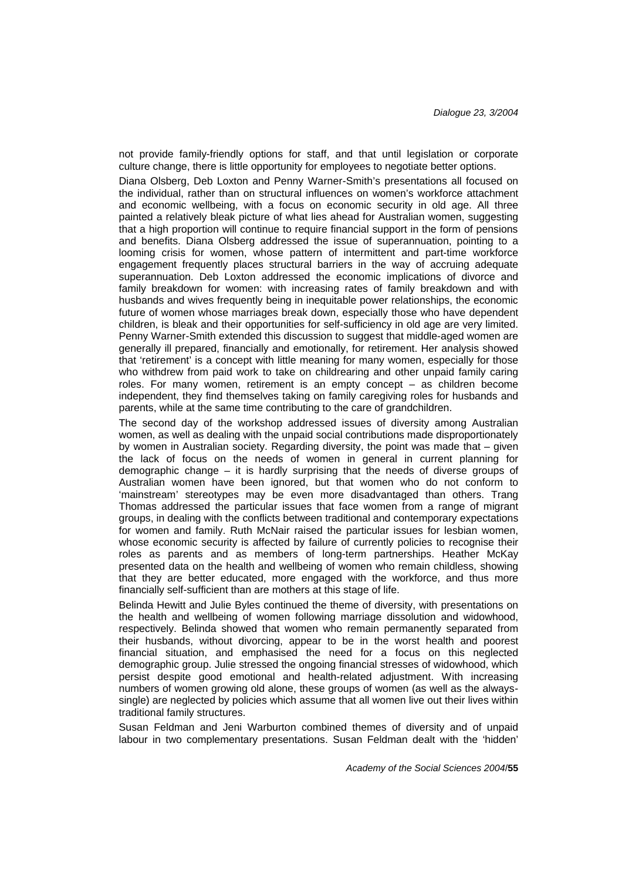not provide family-friendly options for staff, and that until legislation or corporate culture change, there is little opportunity for employees to negotiate better options.

Diana Olsberg, Deb Loxton and Penny Warner-Smith's presentations all focused on the individual, rather than on structural influences on women's workforce attachment and economic wellbeing, with a focus on economic security in old age. All three painted a relatively bleak picture of what lies ahead for Australian women, suggesting that a high proportion will continue to require financial support in the form of pensions and benefits. Diana Olsberg addressed the issue of superannuation, pointing to a looming crisis for women, whose pattern of intermittent and part-time workforce engagement frequently places structural barriers in the way of accruing adequate superannuation. Deb Loxton addressed the economic implications of divorce and family breakdown for women: with increasing rates of family breakdown and with husbands and wives frequently being in inequitable power relationships, the economic future of women whose marriages break down, especially those who have dependent children, is bleak and their opportunities for self-sufficiency in old age are very limited. Penny Warner-Smith extended this discussion to suggest that middle-aged women are generally ill prepared, financially and emotionally, for retirement. Her analysis showed that 'retirement' is a concept with little meaning for many women, especially for those who withdrew from paid work to take on childrearing and other unpaid family caring roles. For many women, retirement is an empty concept – as children become independent, they find themselves taking on family caregiving roles for husbands and parents, while at the same time contributing to the care of grandchildren.

The second day of the workshop addressed issues of diversity among Australian women, as well as dealing with the unpaid social contributions made disproportionately by women in Australian society. Regarding diversity, the point was made that – given the lack of focus on the needs of women in general in current planning for demographic change – it is hardly surprising that the needs of diverse groups of Australian women have been ignored, but that women who do not conform to 'mainstream' stereotypes may be even more disadvantaged than others. Trang Thomas addressed the particular issues that face women from a range of migrant groups, in dealing with the conflicts between traditional and contemporary expectations for women and family. Ruth McNair raised the particular issues for lesbian women, whose economic security is affected by failure of currently policies to recognise their roles as parents and as members of long-term partnerships. Heather McKay presented data on the health and wellbeing of women who remain childless, showing that they are better educated, more engaged with the workforce, and thus more financially self-sufficient than are mothers at this stage of life.

Belinda Hewitt and Julie Byles continued the theme of diversity, with presentations on the health and wellbeing of women following marriage dissolution and widowhood, respectively. Belinda showed that women who remain permanently separated from their husbands, without divorcing, appear to be in the worst health and poorest financial situation, and emphasised the need for a focus on this neglected demographic group. Julie stressed the ongoing financial stresses of widowhood, which persist despite good emotional and health-related adjustment. With increasing numbers of women growing old alone, these groups of women (as well as the alwayssingle) are neglected by policies which assume that all women live out their lives within traditional family structures.

Susan Feldman and Jeni Warburton combined themes of diversity and of unpaid labour in two complementary presentations. Susan Feldman dealt with the 'hidden'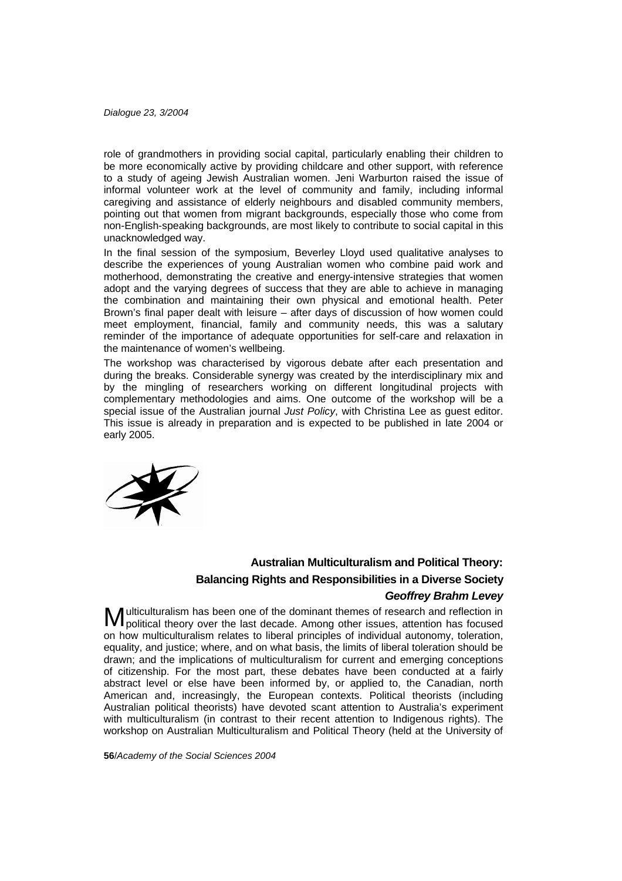role of grandmothers in providing social capital, particularly enabling their children to be more economically active by providing childcare and other support, with reference to a study of ageing Jewish Australian women. Jeni Warburton raised the issue of informal volunteer work at the level of community and family, including informal caregiving and assistance of elderly neighbours and disabled community members, pointing out that women from migrant backgrounds, especially those who come from non-English-speaking backgrounds, are most likely to contribute to social capital in this unacknowledged way.

In the final session of the symposium, Beverley Lloyd used qualitative analyses to describe the experiences of young Australian women who combine paid work and motherhood, demonstrating the creative and energy-intensive strategies that women adopt and the varying degrees of success that they are able to achieve in managing the combination and maintaining their own physical and emotional health. Peter Brown's final paper dealt with leisure – after days of discussion of how women could meet employment, financial, family and community needs, this was a salutary reminder of the importance of adequate opportunities for self-care and relaxation in the maintenance of women's wellbeing.

The workshop was characterised by vigorous debate after each presentation and during the breaks. Considerable synergy was created by the interdisciplinary mix and by the mingling of researchers working on different longitudinal projects with complementary methodologies and aims. One outcome of the workshop will be a special issue of the Australian journal *Just Policy*, with Christina Lee as guest editor. This issue is already in preparation and is expected to be published in late 2004 or early 2005.



# **Australian Multiculturalism and Political Theory: Balancing Rights and Responsibilities in a Diverse Society** *Geoffrey Brahm Levey*

ulticulturalism has been one of the dominant themes of research and reflection in **M** ulticulturalism has been one of the dominant themes of research and reflection in political theory over the last decade. Among other issues, attention has focused on how multiculturalism relates to liberal principles of individual autonomy, toleration, equality, and justice; where, and on what basis, the limits of liberal toleration should be drawn; and the implications of multiculturalism for current and emerging conceptions of citizenship. For the most part, these debates have been conducted at a fairly abstract level or else have been informed by, or applied to, the Canadian, north American and, increasingly, the European contexts. Political theorists (including Australian political theorists) have devoted scant attention to Australia's experiment with multiculturalism (in contrast to their recent attention to Indigenous rights). The workshop on Australian Multiculturalism and Political Theory (held at the University of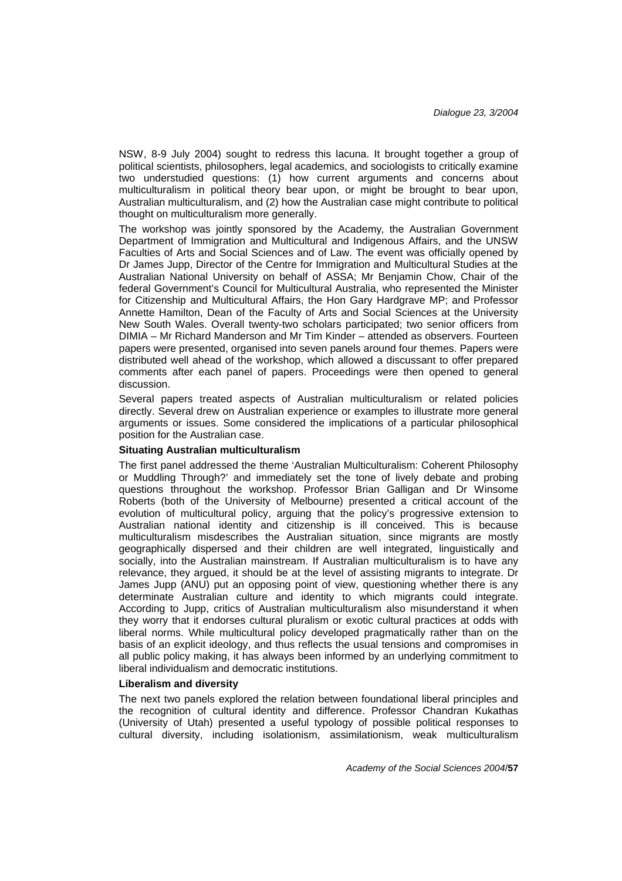NSW, 8-9 July 2004) sought to redress this lacuna. It brought together a group of political scientists, philosophers, legal academics, and sociologists to critically examine two understudied questions: (1) how current arguments and concerns about multiculturalism in political theory bear upon, or might be brought to bear upon, Australian multiculturalism, and (2) how the Australian case might contribute to political thought on multiculturalism more generally.

The workshop was jointly sponsored by the Academy, the Australian Government Department of Immigration and Multicultural and Indigenous Affairs, and the UNSW Faculties of Arts and Social Sciences and of Law. The event was officially opened by Dr James Jupp, Director of the Centre for Immigration and Multicultural Studies at the Australian National University on behalf of ASSA; Mr Benjamin Chow, Chair of the federal Government's Council for Multicultural Australia, who represented the Minister for Citizenship and Multicultural Affairs, the Hon Gary Hardgrave MP; and Professor Annette Hamilton, Dean of the Faculty of Arts and Social Sciences at the University New South Wales. Overall twenty-two scholars participated; two senior officers from DIMIA – Mr Richard Manderson and Mr Tim Kinder – attended as observers. Fourteen papers were presented, organised into seven panels around four themes. Papers were distributed well ahead of the workshop, which allowed a discussant to offer prepared comments after each panel of papers. Proceedings were then opened to general discussion.

Several papers treated aspects of Australian multiculturalism or related policies directly. Several drew on Australian experience or examples to illustrate more general arguments or issues. Some considered the implications of a particular philosophical position for the Australian case.

# **Situating Australian multiculturalism**

The first panel addressed the theme 'Australian Multiculturalism: Coherent Philosophy or Muddling Through?' and immediately set the tone of lively debate and probing questions throughout the workshop. Professor Brian Galligan and Dr Winsome Roberts (both of the University of Melbourne) presented a critical account of the evolution of multicultural policy, arguing that the policy's progressive extension to Australian national identity and citizenship is ill conceived. This is because multiculturalism misdescribes the Australian situation, since migrants are mostly geographically dispersed and their children are well integrated, linguistically and socially, into the Australian mainstream. If Australian multiculturalism is to have any relevance, they argued, it should be at the level of assisting migrants to integrate. Dr James Jupp (ANU) put an opposing point of view, questioning whether there is any determinate Australian culture and identity to which migrants could integrate. According to Jupp, critics of Australian multiculturalism also misunderstand it when they worry that it endorses cultural pluralism or exotic cultural practices at odds with liberal norms. While multicultural policy developed pragmatically rather than on the basis of an explicit ideology, and thus reflects the usual tensions and compromises in all public policy making, it has always been informed by an underlying commitment to liberal individualism and democratic institutions.

# **Liberalism and diversity**

The next two panels explored the relation between foundational liberal principles and the recognition of cultural identity and difference. Professor Chandran Kukathas (University of Utah) presented a useful typology of possible political responses to cultural diversity, including isolationism, assimilationism, weak multiculturalism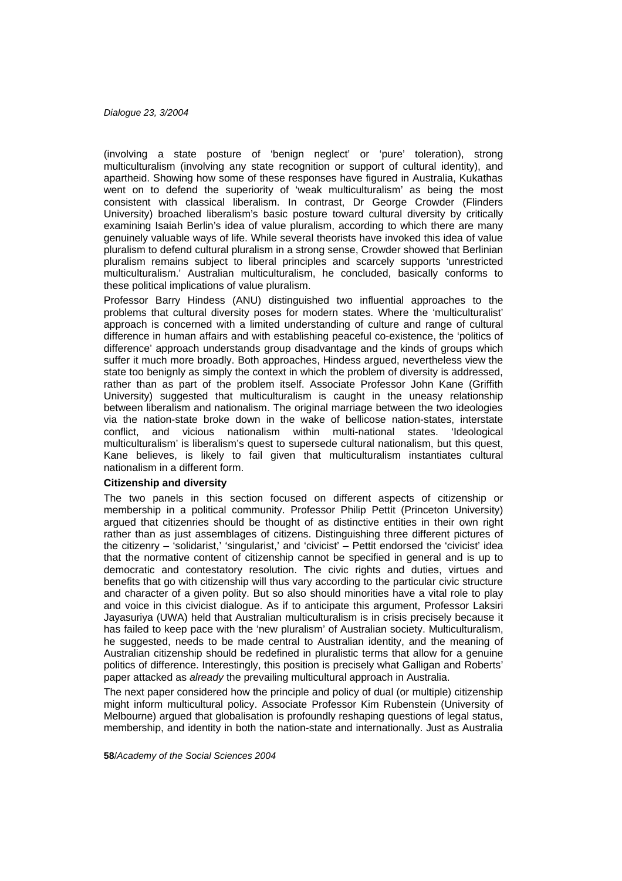(involving a state posture of 'benign neglect' or 'pure' toleration), strong multiculturalism (involving any state recognition or support of cultural identity), and apartheid. Showing how some of these responses have figured in Australia, Kukathas went on to defend the superiority of 'weak multiculturalism' as being the most consistent with classical liberalism. In contrast, Dr George Crowder (Flinders University) broached liberalism's basic posture toward cultural diversity by critically examining Isaiah Berlin's idea of value pluralism, according to which there are many genuinely valuable ways of life. While several theorists have invoked this idea of value pluralism to defend cultural pluralism in a strong sense, Crowder showed that Berlinian pluralism remains subject to liberal principles and scarcely supports 'unrestricted multiculturalism.' Australian multiculturalism, he concluded, basically conforms to these political implications of value pluralism.

Professor Barry Hindess (ANU) distinguished two influential approaches to the problems that cultural diversity poses for modern states. Where the 'multiculturalist' approach is concerned with a limited understanding of culture and range of cultural difference in human affairs and with establishing peaceful co-existence, the 'politics of difference' approach understands group disadvantage and the kinds of groups which suffer it much more broadly. Both approaches, Hindess argued, nevertheless view the state too benignly as simply the context in which the problem of diversity is addressed, rather than as part of the problem itself. Associate Professor John Kane (Griffith University) suggested that multiculturalism is caught in the uneasy relationship between liberalism and nationalism. The original marriage between the two ideologies via the nation-state broke down in the wake of bellicose nation-states, interstate conflict, and vicious nationalism within multi-national states. 'Ideological multiculturalism' is liberalism's quest to supersede cultural nationalism, but this quest, Kane believes, is likely to fail given that multiculturalism instantiates cultural nationalism in a different form.

#### **Citizenship and diversity**

The two panels in this section focused on different aspects of citizenship or membership in a political community. Professor Philip Pettit (Princeton University) argued that citizenries should be thought of as distinctive entities in their own right rather than as just assemblages of citizens. Distinguishing three different pictures of the citizenry – 'solidarist,' 'singularist,' and 'civicist' – Pettit endorsed the 'civicist' idea that the normative content of citizenship cannot be specified in general and is up to democratic and contestatory resolution. The civic rights and duties, virtues and benefits that go with citizenship will thus vary according to the particular civic structure and character of a given polity. But so also should minorities have a vital role to play and voice in this civicist dialogue. As if to anticipate this argument, Professor Laksiri Jayasuriya (UWA) held that Australian multiculturalism is in crisis precisely because it has failed to keep pace with the 'new pluralism' of Australian society. Multiculturalism, he suggested, needs to be made central to Australian identity, and the meaning of Australian citizenship should be redefined in pluralistic terms that allow for a genuine politics of difference. Interestingly, this position is precisely what Galligan and Roberts' paper attacked as *already* the prevailing multicultural approach in Australia.

The next paper considered how the principle and policy of dual (or multiple) citizenship might inform multicultural policy. Associate Professor Kim Rubenstein (University of Melbourne) argued that globalisation is profoundly reshaping questions of legal status, membership, and identity in both the nation-state and internationally. Just as Australia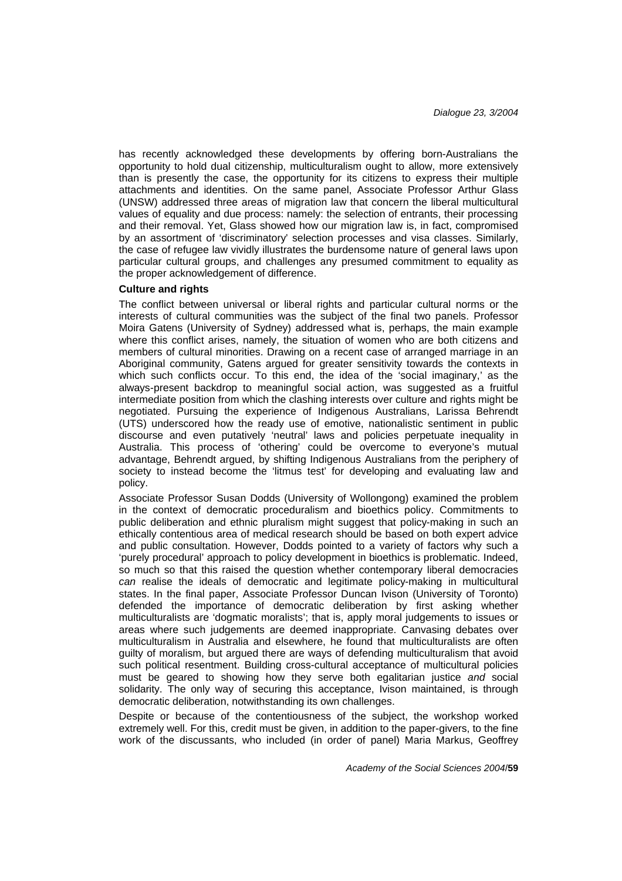has recently acknowledged these developments by offering born-Australians the opportunity to hold dual citizenship, multiculturalism ought to allow, more extensively than is presently the case, the opportunity for its citizens to express their multiple attachments and identities. On the same panel, Associate Professor Arthur Glass (UNSW) addressed three areas of migration law that concern the liberal multicultural values of equality and due process: namely: the selection of entrants, their processing and their removal. Yet, Glass showed how our migration law is, in fact, compromised by an assortment of 'discriminatory' selection processes and visa classes. Similarly, the case of refugee law vividly illustrates the burdensome nature of general laws upon particular cultural groups, and challenges any presumed commitment to equality as the proper acknowledgement of difference.

# **Culture and rights**

The conflict between universal or liberal rights and particular cultural norms or the interests of cultural communities was the subject of the final two panels. Professor Moira Gatens (University of Sydney) addressed what is, perhaps, the main example where this conflict arises, namely, the situation of women who are both citizens and members of cultural minorities. Drawing on a recent case of arranged marriage in an Aboriginal community, Gatens argued for greater sensitivity towards the contexts in which such conflicts occur. To this end, the idea of the 'social imaginary,' as the always-present backdrop to meaningful social action, was suggested as a fruitful intermediate position from which the clashing interests over culture and rights might be negotiated. Pursuing the experience of Indigenous Australians, Larissa Behrendt (UTS) underscored how the ready use of emotive, nationalistic sentiment in public discourse and even putatively 'neutral' laws and policies perpetuate inequality in Australia. This process of 'othering' could be overcome to everyone's mutual advantage, Behrendt argued, by shifting Indigenous Australians from the periphery of society to instead become the 'litmus test' for developing and evaluating law and policy.

Associate Professor Susan Dodds (University of Wollongong) examined the problem in the context of democratic proceduralism and bioethics policy. Commitments to public deliberation and ethnic pluralism might suggest that policy-making in such an ethically contentious area of medical research should be based on both expert advice and public consultation. However, Dodds pointed to a variety of factors why such a 'purely procedural' approach to policy development in bioethics is problematic. Indeed, so much so that this raised the question whether contemporary liberal democracies *can* realise the ideals of democratic and legitimate policy-making in multicultural states. In the final paper, Associate Professor Duncan Ivison (University of Toronto) defended the importance of democratic deliberation by first asking whether multiculturalists are 'dogmatic moralists'; that is, apply moral judgements to issues or areas where such judgements are deemed inappropriate. Canvasing debates over multiculturalism in Australia and elsewhere, he found that multiculturalists are often guilty of moralism, but argued there are ways of defending multiculturalism that avoid such political resentment. Building cross-cultural acceptance of multicultural policies must be geared to showing how they serve both egalitarian justice *and* social solidarity. The only way of securing this acceptance, Ivison maintained, is through democratic deliberation, notwithstanding its own challenges.

Despite or because of the contentiousness of the subject, the workshop worked extremely well. For this, credit must be given, in addition to the paper-givers, to the fine work of the discussants, who included (in order of panel) Maria Markus, Geoffrey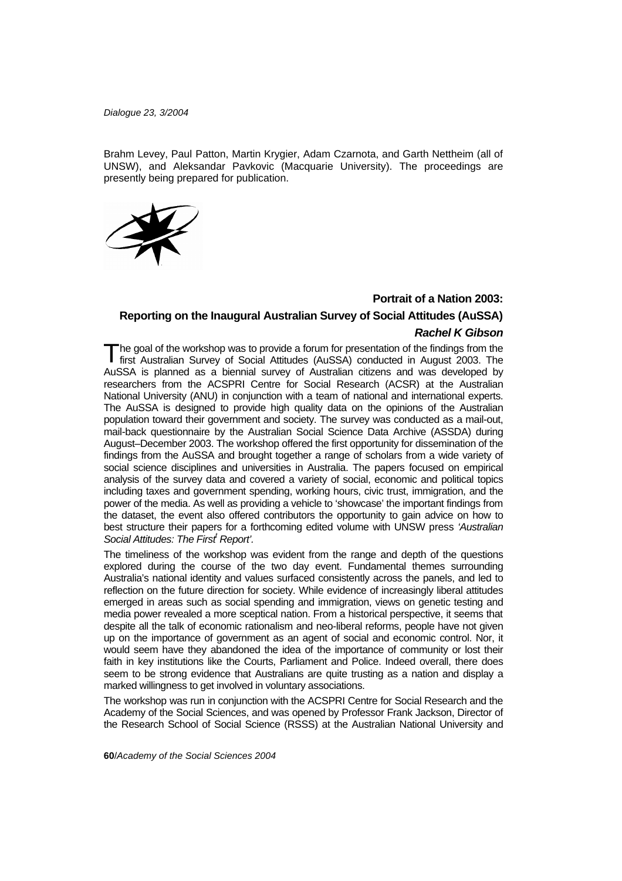Brahm Levey, Paul Patton, Martin Krygier, Adam Czarnota, and Garth Nettheim (all of UNSW), and Aleksandar Pavkovic (Macquarie University). The proceedings are presently being prepared for publication.



# **Portrait of a Nation 2003:**

# **Reporting on the Inaugural Australian Survey of Social Attitudes (AuSSA)** *Rachel K Gibson*

The goal of the workshop was to provide a forum for presentation of the findings from the first Australian Survey of Social Attitudes (AuSSA) conducted in August 2003. The first Australian Survey of Social Attitudes (AuSSA) conducted in August 2003. The AuSSA is planned as a biennial survey of Australian citizens and was developed by researchers from the ACSPRI Centre for Social Research (ACSR) at the Australian National University (ANU) in conjunction with a team of national and international experts. The AuSSA is designed to provide high quality data on the opinions of the Australian population toward their government and society. The survey was conducted as a mail-out, mail-back questionnaire by the Australian Social Science Data Archive (ASSDA) during August–December 2003. The workshop offered the first opportunity for dissemination of the findings from the AuSSA and brought together a range of scholars from a wide variety of social science disciplines and universities in Australia. The papers focused on empirical analysis of the survey data and covered a variety of social, economic and political topics including taxes and government spending, working hours, civic trust, immigration, and the power of the media. As well as providing a vehicle to 'showcase' the important findings from the dataset, the event also offered contributors the opportunity to gain advice on how to best structure their papers for a forthcoming edited volume with UNSW press *'Australian Social Attitudes: The First<sup>t</sup> Report'.* 

The timeliness of the workshop was evident from the range and depth of the questions explored during the course of the two day event. Fundamental themes surrounding Australia's national identity and values surfaced consistently across the panels, and led to reflection on the future direction for society. While evidence of increasingly liberal attitudes emerged in areas such as social spending and immigration, views on genetic testing and media power revealed a more sceptical nation. From a historical perspective, it seems that despite all the talk of economic rationalism and neo-liberal reforms, people have not given up on the importance of government as an agent of social and economic control. Nor, it would seem have they abandoned the idea of the importance of community or lost their faith in key institutions like the Courts, Parliament and Police. Indeed overall, there does seem to be strong evidence that Australians are quite trusting as a nation and display a marked willingness to get involved in voluntary associations.

The workshop was run in conjunction with the ACSPRI Centre for Social Research and the Academy of the Social Sciences, and was opened by Professor Frank Jackson, Director of the Research School of Social Science (RSSS) at the Australian National University and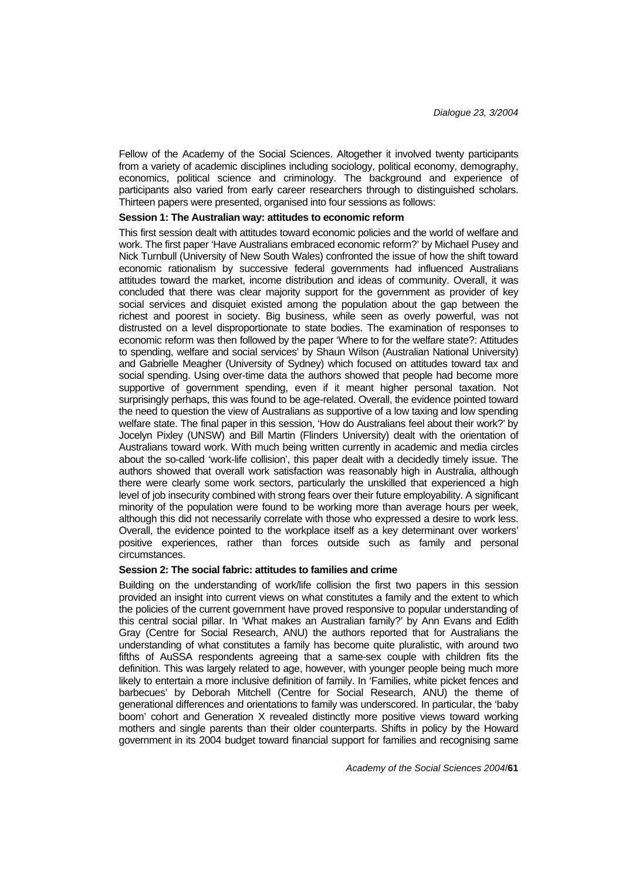Fellow of the Academy of the Social Sciences. Altogether it involved twenty participants from a variety of academic disciplines including sociology, political economy, demography, economics, political science and criminology. The background and experience of participants also varied from early career researchers through to distinguished scholars. Thirteen papers were presented, organised into four sessions as follows:

## **Session 1: The Australian way: attitudes to economic reform**

This first session dealt with attitudes toward economic policies and the world of welfare and work. The first paper 'Have Australians embraced economic reform?' by Michael Pusey and Nick Turnbull (University of New South Wales) confronted the issue of how the shift toward economic rationalism by successive federal governments had influenced Australians attitudes toward the market, income distribution and ideas of community. Overall, it was concluded that there was clear majority support for the government as provider of key social services and disquiet existed among the population about the gap between the richest and poorest in society. Big business, while seen as overly powerful, was not distrusted on a level disproportionate to state bodies. The examination of responses to economic reform was then followed by the paper 'Where to for the welfare state?: Attitudes to spending, welfare and social services' by Shaun Wilson (Australian National University) and Gabrielle Meagher (University of Sydney) which focused on attitudes toward tax and social spending. Using over-time data the authors showed that people had become more supportive of government spending, even if it meant higher personal taxation. Not surprisingly perhaps, this was found to be age-related. Overall, the evidence pointed toward the need to question the view of Australians as supportive of a low taxing and low spending welfare state. The final paper in this session, 'How do Australians feel about their work?' by Jocelyn Pixley (UNSW) and Bill Martin (Flinders University) dealt with the orientation of Australians toward work. With much being written currently in academic and media circles about the so-called 'work-life collision', this paper dealt with a decidedly timely issue. The authors showed that overall work satisfaction was reasonably high in Australia, although there were clearly some work sectors, particularly the unskilled that experienced a high level of job insecurity combined with strong fears over their future employability. A significant minority of the population were found to be working more than average hours per week, although this did not necessarily correlate with those who expressed a desire to work less. Overall, the evidence pointed to the workplace itself as a key determinant over workers' positive experiences, rather than forces outside such as family and personal circumstances.

# **Session 2: The social fabric: attitudes to families and crime**

Building on the understanding of work/life collision the first two papers in this session provided an insight into current views on what constitutes a family and the extent to which the policies of the current government have proved responsive to popular understanding of this central social pillar. In 'What makes an Australian family?' by Ann Evans and Edith Gray (Centre for Social Research, ANU) the authors reported that for Australians the understanding of what constitutes a family has become quite pluralistic, with around two fifths of AuSSA respondents agreeing that a same-sex couple with children fits the definition. This was largely related to age, however, with younger people being much more likely to entertain a more inclusive definition of family. In 'Families, white picket fences and barbecues' by Deborah Mitchell (Centre for Social Research, ANU) the theme of generational differences and orientations to family was underscored. In particular, the 'baby boom' cohort and Generation X revealed distinctly more positive views toward working mothers and single parents than their older counterparts. Shifts in policy by the Howard government in its 2004 budget toward financial support for families and recognising same

*Academy of the Social Sciences 2004*/**61**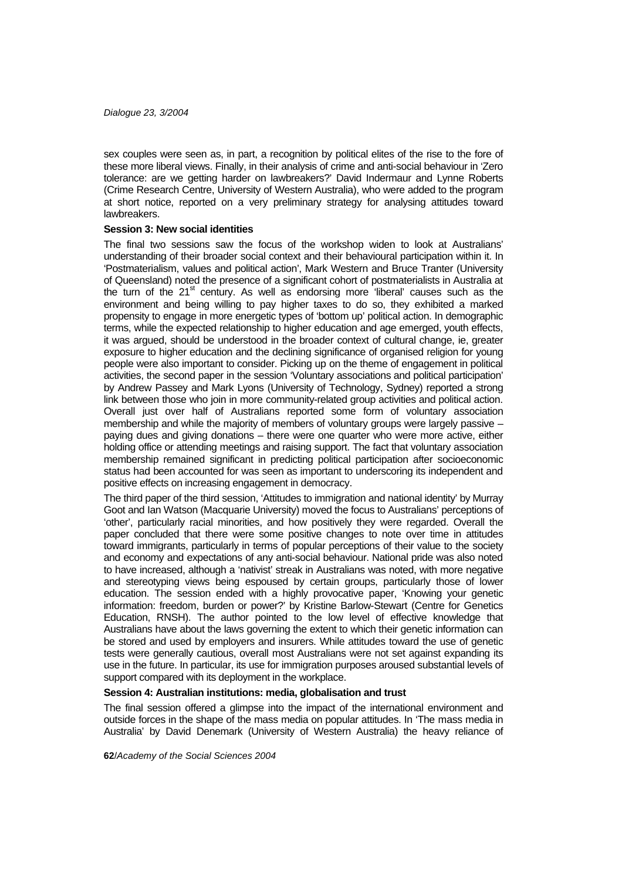sex couples were seen as, in part, a recognition by political elites of the rise to the fore of these more liberal views. Finally, in their analysis of crime and anti-social behaviour in 'Zero tolerance: are we getting harder on lawbreakers?' David Indermaur and Lynne Roberts (Crime Research Centre, University of Western Australia), who were added to the program at short notice, reported on a very preliminary strategy for analysing attitudes toward lawbreakers.

# **Session 3: New social identities**

The final two sessions saw the focus of the workshop widen to look at Australians' understanding of their broader social context and their behavioural participation within it. In 'Postmaterialism, values and political action', Mark Western and Bruce Tranter (University of Queensland) noted the presence of a significant cohort of postmaterialists in Australia at the turn of the  $21<sup>st</sup>$  century. As well as endorsing more 'liberal' causes such as the environment and being willing to pay higher taxes to do so, they exhibited a marked propensity to engage in more energetic types of 'bottom up' political action. In demographic terms, while the expected relationship to higher education and age emerged, youth effects, it was argued, should be understood in the broader context of cultural change, ie, greater exposure to higher education and the declining significance of organised religion for young people were also important to consider. Picking up on the theme of engagement in political activities, the second paper in the session 'Voluntary associations and political participation' by Andrew Passey and Mark Lyons (University of Technology, Sydney) reported a strong link between those who join in more community-related group activities and political action. Overall just over half of Australians reported some form of voluntary association membership and while the majority of members of voluntary groups were largely passive – paying dues and giving donations – there were one quarter who were more active, either holding office or attending meetings and raising support. The fact that voluntary association membership remained significant in predicting political participation after socioeconomic status had been accounted for was seen as important to underscoring its independent and positive effects on increasing engagement in democracy.

The third paper of the third session, 'Attitudes to immigration and national identity' by Murray Goot and Ian Watson (Macquarie University) moved the focus to Australians' perceptions of 'other', particularly racial minorities, and how positively they were regarded. Overall the paper concluded that there were some positive changes to note over time in attitudes toward immigrants, particularly in terms of popular perceptions of their value to the society and economy and expectations of any anti-social behaviour. National pride was also noted to have increased, although a 'nativist' streak in Australians was noted, with more negative and stereotyping views being espoused by certain groups, particularly those of lower education. The session ended with a highly provocative paper, 'Knowing your genetic information: freedom, burden or power?' by Kristine Barlow-Stewart (Centre for Genetics Education, RNSH). The author pointed to the low level of effective knowledge that Australians have about the laws governing the extent to which their genetic information can be stored and used by employers and insurers. While attitudes toward the use of genetic tests were generally cautious, overall most Australians were not set against expanding its use in the future. In particular, its use for immigration purposes aroused substantial levels of support compared with its deployment in the workplace.

# **Session 4: Australian institutions: media, globalisation and trust**

The final session offered a glimpse into the impact of the international environment and outside forces in the shape of the mass media on popular attitudes. In 'The mass media in Australia' by David Denemark (University of Western Australia) the heavy reliance of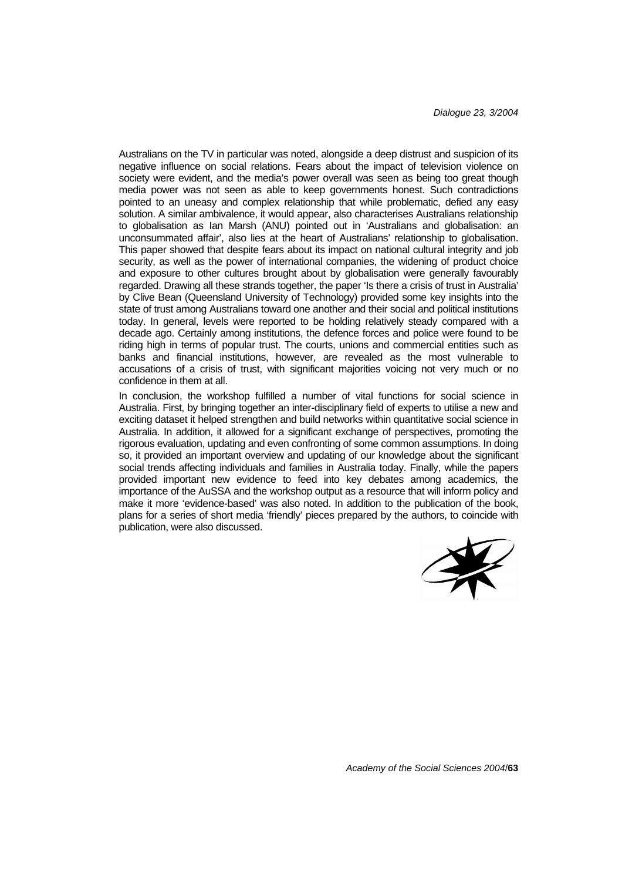Australians on the TV in particular was noted, alongside a deep distrust and suspicion of its negative influence on social relations. Fears about the impact of television violence on society were evident, and the media's power overall was seen as being too great though media power was not seen as able to keep governments honest. Such contradictions pointed to an uneasy and complex relationship that while problematic, defied any easy solution. A similar ambivalence, it would appear, also characterises Australians relationship to globalisation as Ian Marsh (ANU) pointed out in 'Australians and globalisation: an unconsummated affair', also lies at the heart of Australians' relationship to globalisation. This paper showed that despite fears about its impact on national cultural integrity and job security, as well as the power of international companies, the widening of product choice and exposure to other cultures brought about by globalisation were generally favourably regarded. Drawing all these strands together, the paper 'Is there a crisis of trust in Australia' by Clive Bean (Queensland University of Technology) provided some key insights into the state of trust among Australians toward one another and their social and political institutions today. In general, levels were reported to be holding relatively steady compared with a decade ago. Certainly among institutions, the defence forces and police were found to be riding high in terms of popular trust. The courts, unions and commercial entities such as banks and financial institutions, however, are revealed as the most vulnerable to accusations of a crisis of trust, with significant majorities voicing not very much or no confidence in them at all.

In conclusion, the workshop fulfilled a number of vital functions for social science in Australia. First, by bringing together an inter-disciplinary field of experts to utilise a new and exciting dataset it helped strengthen and build networks within quantitative social science in Australia. In addition, it allowed for a significant exchange of perspectives, promoting the rigorous evaluation, updating and even confronting of some common assumptions. In doing so, it provided an important overview and updating of our knowledge about the significant social trends affecting individuals and families in Australia today. Finally, while the papers provided important new evidence to feed into key debates among academics, the importance of the AuSSA and the workshop output as a resource that will inform policy and make it more 'evidence-based' was also noted. In addition to the publication of the book, plans for a series of short media 'friendly' pieces prepared by the authors, to coincide with publication, were also discussed.



*Academy of the Social Sciences 2004*/**63**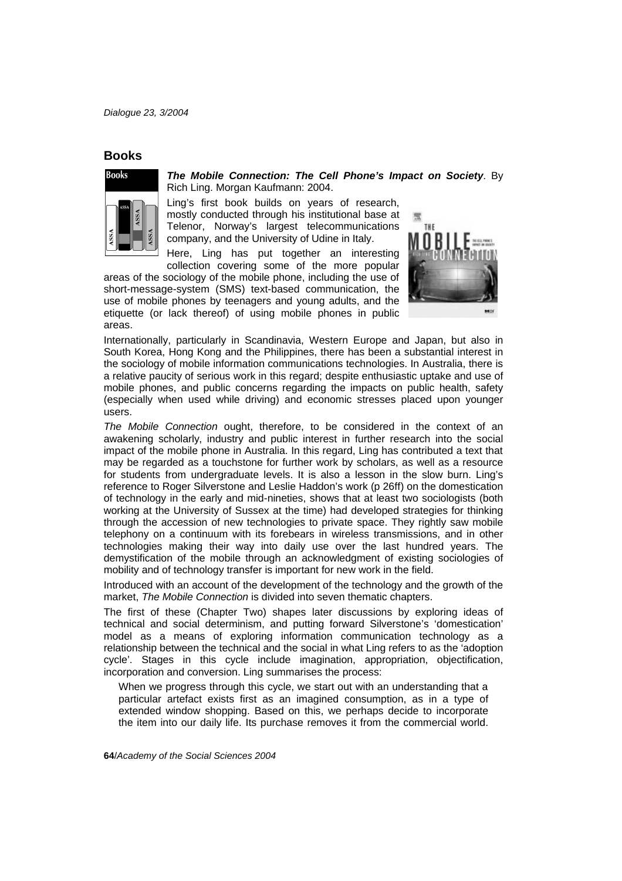# **Books**



*The Mobile Connection: The Cell Phone's Impact on Society*. By Rich Ling. Morgan Kaufmann: 2004.

Ling's first book builds on years of research, mostly conducted through his institutional base at Telenor, Norway's largest telecommunications company, and the University of Udine in Italy.

Here, Ling has put together an interesting collection covering some of the more popular

areas of the sociology of the mobile phone, including the use of short-message-system (SMS) text-based communication, the use of mobile phones by teenagers and young adults, and the etiquette (or lack thereof) of using mobile phones in public areas.



Internationally, particularly in Scandinavia, Western Europe and Japan, but also in South Korea, Hong Kong and the Philippines, there has been a substantial interest in the sociology of mobile information communications technologies. In Australia, there is a relative paucity of serious work in this regard; despite enthusiastic uptake and use of mobile phones, and public concerns regarding the impacts on public health, safety (especially when used while driving) and economic stresses placed upon younger users.

*The Mobile Connection* ought, therefore, to be considered in the context of an awakening scholarly, industry and public interest in further research into the social impact of the mobile phone in Australia. In this regard, Ling has contributed a text that may be regarded as a touchstone for further work by scholars, as well as a resource for students from undergraduate levels. It is also a lesson in the slow burn. Ling's reference to Roger Silverstone and Leslie Haddon's work (p 26ff) on the domestication of technology in the early and mid-nineties, shows that at least two sociologists (both working at the University of Sussex at the time) had developed strategies for thinking through the accession of new technologies to private space. They rightly saw mobile telephony on a continuum with its forebears in wireless transmissions, and in other technologies making their way into daily use over the last hundred years. The demystification of the mobile through an acknowledgment of existing sociologies of mobility and of technology transfer is important for new work in the field.

Introduced with an account of the development of the technology and the growth of the market, *The Mobile Connection* is divided into seven thematic chapters.

The first of these (Chapter Two) shapes later discussions by exploring ideas of technical and social determinism, and putting forward Silverstone's 'domestication' model as a means of exploring information communication technology as a relationship between the technical and the social in what Ling refers to as the 'adoption cycle'. Stages in this cycle include imagination, appropriation, objectification, incorporation and conversion. Ling summarises the process:

When we progress through this cycle, we start out with an understanding that a particular artefact exists first as an imagined consumption, as in a type of extended window shopping. Based on this, we perhaps decide to incorporate the item into our daily life. Its purchase removes it from the commercial world.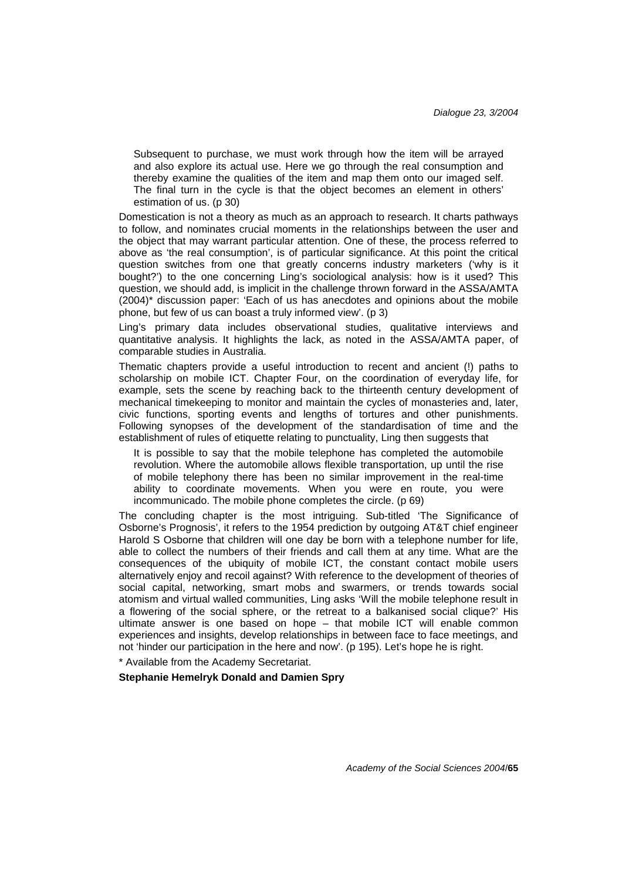Subsequent to purchase, we must work through how the item will be arrayed and also explore its actual use. Here we go through the real consumption and thereby examine the qualities of the item and map them onto our imaged self. The final turn in the cycle is that the object becomes an element in others' estimation of us. (p 30)

Domestication is not a theory as much as an approach to research. It charts pathways to follow, and nominates crucial moments in the relationships between the user and the object that may warrant particular attention. One of these, the process referred to above as 'the real consumption', is of particular significance. At this point the critical question switches from one that greatly concerns industry marketers ('why is it bought?') to the one concerning Ling's sociological analysis: how is it used? This question, we should add, is implicit in the challenge thrown forward in the ASSA/AMTA (2004)\* discussion paper: 'Each of us has anecdotes and opinions about the mobile phone, but few of us can boast a truly informed view'. (p 3)

Ling's primary data includes observational studies, qualitative interviews and quantitative analysis. It highlights the lack, as noted in the ASSA/AMTA paper, of comparable studies in Australia.

Thematic chapters provide a useful introduction to recent and ancient (!) paths to scholarship on mobile ICT. Chapter Four, on the coordination of everyday life, for example, sets the scene by reaching back to the thirteenth century development of mechanical timekeeping to monitor and maintain the cycles of monasteries and, later, civic functions, sporting events and lengths of tortures and other punishments. Following synopses of the development of the standardisation of time and the establishment of rules of etiquette relating to punctuality, Ling then suggests that

It is possible to say that the mobile telephone has completed the automobile revolution. Where the automobile allows flexible transportation, up until the rise of mobile telephony there has been no similar improvement in the real-time ability to coordinate movements. When you were en route, you were incommunicado. The mobile phone completes the circle. (p 69)

The concluding chapter is the most intriguing. Sub-titled 'The Significance of Osborne's Prognosis', it refers to the 1954 prediction by outgoing AT&T chief engineer Harold S Osborne that children will one day be born with a telephone number for life, able to collect the numbers of their friends and call them at any time. What are the consequences of the ubiquity of mobile ICT, the constant contact mobile users alternatively enjoy and recoil against? With reference to the development of theories of social capital, networking, smart mobs and swarmers, or trends towards social atomism and virtual walled communities, Ling asks 'Will the mobile telephone result in a flowering of the social sphere, or the retreat to a balkanised social clique?' His ultimate answer is one based on hope – that mobile ICT will enable common experiences and insights, develop relationships in between face to face meetings, and not 'hinder our participation in the here and now'. (p 195). Let's hope he is right.

\* Available from the Academy Secretariat.

#### **Stephanie Hemelryk Donald and Damien Spry**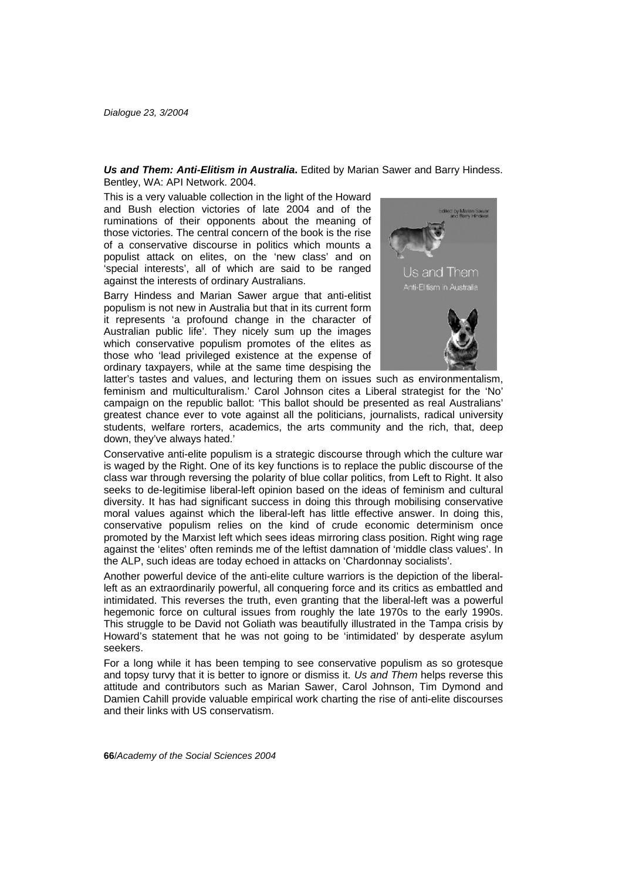*Us and Them: Anti-Elitism in Australia***.** Edited by Marian Sawer and Barry Hindess. Bentley, WA: API Network. 2004.

This is a very valuable collection in the light of the Howard and Bush election victories of late 2004 and of the ruminations of their opponents about the meaning of those victories. The central concern of the book is the rise of a conservative discourse in politics which mounts a populist attack on elites, on the 'new class' and on 'special interests', all of which are said to be ranged against the interests of ordinary Australians.

Barry Hindess and Marian Sawer argue that anti-elitist populism is not new in Australia but that in its current form it represents 'a profound change in the character of Australian public life'. They nicely sum up the images which conservative populism promotes of the elites as those who 'lead privileged existence at the expense of ordinary taxpayers, while at the same time despising the



latter's tastes and values, and lecturing them on issues such as environmentalism, feminism and multiculturalism.' Carol Johnson cites a Liberal strategist for the 'No' campaign on the republic ballot: 'This ballot should be presented as real Australians' greatest chance ever to vote against all the politicians, journalists, radical university students, welfare rorters, academics, the arts community and the rich, that, deep down, they've always hated.'

Conservative anti-elite populism is a strategic discourse through which the culture war is waged by the Right. One of its key functions is to replace the public discourse of the class war through reversing the polarity of blue collar politics, from Left to Right. It also seeks to de-legitimise liberal-left opinion based on the ideas of feminism and cultural diversity. It has had significant success in doing this through mobilising conservative moral values against which the liberal-left has little effective answer. In doing this, conservative populism relies on the kind of crude economic determinism once promoted by the Marxist left which sees ideas mirroring class position. Right wing rage against the 'elites' often reminds me of the leftist damnation of 'middle class values'. In the ALP, such ideas are today echoed in attacks on 'Chardonnay socialists'.

Another powerful device of the anti-elite culture warriors is the depiction of the liberalleft as an extraordinarily powerful, all conquering force and its critics as embattled and intimidated. This reverses the truth, even granting that the liberal-left was a powerful hegemonic force on cultural issues from roughly the late 1970s to the early 1990s. This struggle to be David not Goliath was beautifully illustrated in the Tampa crisis by Howard's statement that he was not going to be 'intimidated' by desperate asylum seekers.

For a long while it has been temping to see conservative populism as so grotesque and topsy turvy that it is better to ignore or dismiss it. *Us and Them* helps reverse this attitude and contributors such as Marian Sawer, Carol Johnson, Tim Dymond and Damien Cahill provide valuable empirical work charting the rise of anti-elite discourses and their links with US conservatism.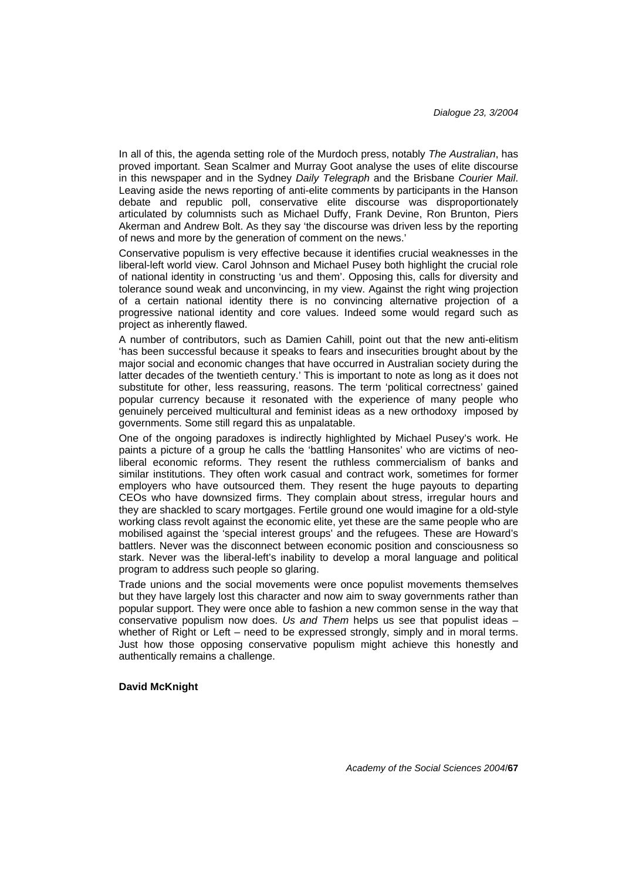In all of this, the agenda setting role of the Murdoch press, notably *The Australian*, has proved important. Sean Scalmer and Murray Goot analyse the uses of elite discourse in this newspaper and in the Sydney *Daily Telegraph* and the Brisbane *Courier Mail*. Leaving aside the news reporting of anti-elite comments by participants in the Hanson debate and republic poll, conservative elite discourse was disproportionately articulated by columnists such as Michael Duffy, Frank Devine, Ron Brunton, Piers Akerman and Andrew Bolt. As they say 'the discourse was driven less by the reporting of news and more by the generation of comment on the news.'

Conservative populism is very effective because it identifies crucial weaknesses in the liberal-left world view. Carol Johnson and Michael Pusey both highlight the crucial role of national identity in constructing 'us and them'. Opposing this, calls for diversity and tolerance sound weak and unconvincing, in my view. Against the right wing projection of a certain national identity there is no convincing alternative projection of a progressive national identity and core values. Indeed some would regard such as project as inherently flawed.

A number of contributors, such as Damien Cahill, point out that the new anti-elitism 'has been successful because it speaks to fears and insecurities brought about by the major social and economic changes that have occurred in Australian society during the latter decades of the twentieth century.' This is important to note as long as it does not substitute for other, less reassuring, reasons. The term 'political correctness' gained popular currency because it resonated with the experience of many people who genuinely perceived multicultural and feminist ideas as a new orthodoxy imposed by governments. Some still regard this as unpalatable.

One of the ongoing paradoxes is indirectly highlighted by Michael Pusey's work. He paints a picture of a group he calls the 'battling Hansonites' who are victims of neoliberal economic reforms. They resent the ruthless commercialism of banks and similar institutions. They often work casual and contract work, sometimes for former employers who have outsourced them. They resent the huge payouts to departing CEOs who have downsized firms. They complain about stress, irregular hours and they are shackled to scary mortgages. Fertile ground one would imagine for a old-style working class revolt against the economic elite, yet these are the same people who are mobilised against the 'special interest groups' and the refugees. These are Howard's battlers. Never was the disconnect between economic position and consciousness so stark. Never was the liberal-left's inability to develop a moral language and political program to address such people so glaring.

Trade unions and the social movements were once populist movements themselves but they have largely lost this character and now aim to sway governments rather than popular support. They were once able to fashion a new common sense in the way that conservative populism now does. *Us and Them* helps us see that populist ideas – whether of Right or Left – need to be expressed strongly, simply and in moral terms. Just how those opposing conservative populism might achieve this honestly and authentically remains a challenge.

# **David McKnight**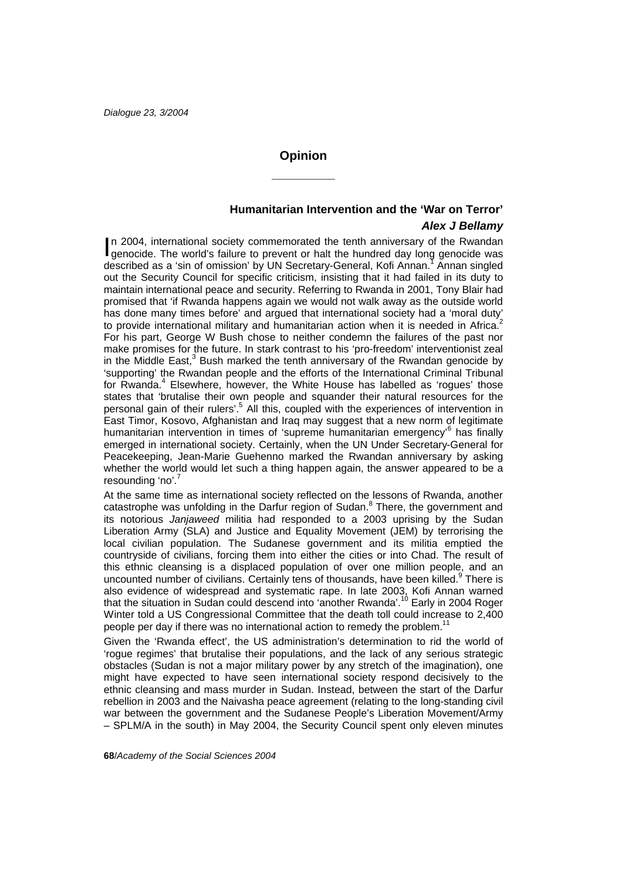# **Opinion \_\_\_\_\_\_\_\_\_**

# **Humanitarian Intervention and the 'War on Terror'**

# *Alex J Bellamy*

n 2004, international society commemorated the tenth anniversary of the Rwandan In 2004, international society commemorated the tenth anniversary of the Rwandan genocide. The world's failure to prevent or halt the hundred day long genocide was described as a 'sin of omission' by UN Secretary-General, Kofi Annan.<sup>1</sup> Annan singled out the Security Council for specific criticism, insisting that it had failed in its duty to maintain international peace and security. Referring to Rwanda in 2001, Tony Blair had promised that 'if Rwanda happens again we would not walk away as the outside world has done many times before' and argued that international society had a 'moral duty' to provide international military and humanitarian action when it is needed in Africa. $2$ For his part, George W Bush chose to neither condemn the failures of the past nor make promises for the future. In stark contrast to his 'pro-freedom' interventionist zeal in the Middle East,<sup>3</sup> Bush marked the tenth anniversary of the Rwandan genocide by 'supporting' the Rwandan people and the efforts of the International Criminal Tribunal for Rwanda.<sup>4</sup> Elsewhere, however, the White House has labelled as 'rogues' those states that 'brutalise their own people and squander their natural resources for the personal gain of their rulers'.<sup>5</sup> All this, coupled with the experiences of intervention in East Timor, Kosovo, Afghanistan and Iraq may suggest that a new norm of legitimate humanitarian intervention in times of 'supreme humanitarian emergency'<sup>6</sup> has finally emerged in international society. Certainly, when the UN Under Secretary-General for Peacekeeping, Jean-Marie Guehenno marked the Rwandan anniversary by asking whether the world would let such a thing happen again, the answer appeared to be a resounding 'no'.'

At the same time as international society reflected on the lessons of Rwanda, another catastrophe was unfolding in the Darfur region of Sudan. $8$  There, the government and its notorious *Janjaweed* militia had responded to a 2003 uprising by the Sudan Liberation Army (SLA) and Justice and Equality Movement (JEM) by terrorising the local civilian population. The Sudanese government and its militia emptied the countryside of civilians, forcing them into either the cities or into Chad. The result of this ethnic cleansing is a displaced population of over one million people, and an uncounted number of civilians. Certainly tens of thousands, have been killed.<sup>9</sup> There is also evidence of widespread and systematic rape. In late 2003, Kofi Annan warned that the situation in Sudan could descend into 'another Rwanda'.<sup>10</sup> Early in 2004 Roger Winter told a US Congressional Committee that the death toll could increase to 2,400 people per day if there was no international action to remedy the problem.<sup>11</sup>

Given the 'Rwanda effect', the US administration's determination to rid the world of 'rogue regimes' that brutalise their populations, and the lack of any serious strategic obstacles (Sudan is not a major military power by any stretch of the imagination), one might have expected to have seen international society respond decisively to the ethnic cleansing and mass murder in Sudan. Instead, between the start of the Darfur rebellion in 2003 and the Naivasha peace agreement (relating to the long-standing civil war between the government and the Sudanese People's Liberation Movement/Army – SPLM/A in the south) in May 2004, the Security Council spent only eleven minutes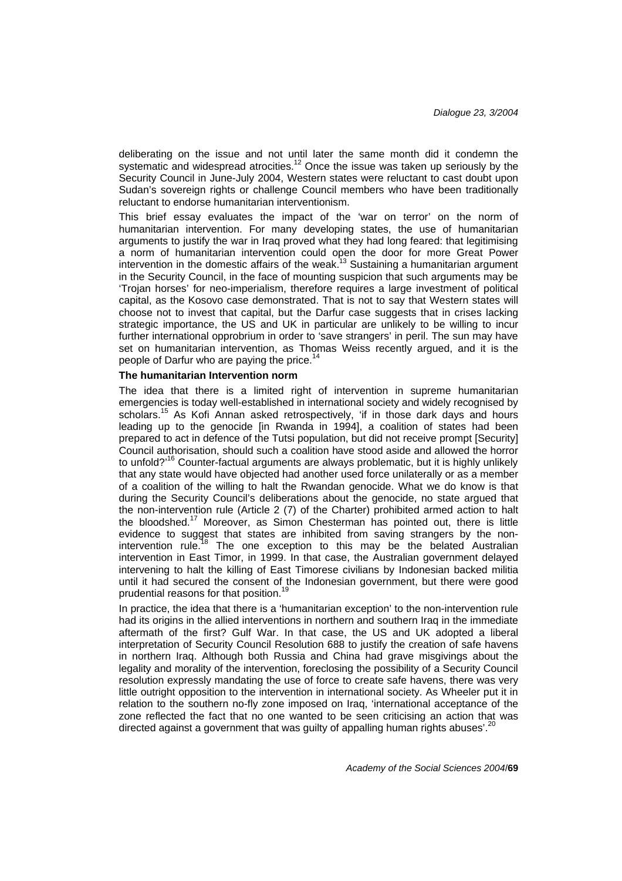deliberating on the issue and not until later the same month did it condemn the systematic and widespread atrocities.<sup>12</sup> Once the issue was taken up seriously by the Security Council in June-July 2004, Western states were reluctant to cast doubt upon Sudan's sovereign rights or challenge Council members who have been traditionally reluctant to endorse humanitarian interventionism.

This brief essay evaluates the impact of the 'war on terror' on the norm of humanitarian intervention. For many developing states, the use of humanitarian arguments to justify the war in Iraq proved what they had long feared: that legitimising a norm of humanitarian intervention could open the door for more Great Power intervention in the domestic affairs of the weak.<sup>13</sup> Sustaining a humanitarian argument in the Security Council, in the face of mounting suspicion that such arguments may be 'Trojan horses' for neo-imperialism, therefore requires a large investment of political capital, as the Kosovo case demonstrated. That is not to say that Western states will choose not to invest that capital, but the Darfur case suggests that in crises lacking strategic importance, the US and UK in particular are unlikely to be willing to incur further international opprobrium in order to 'save strangers' in peril. The sun may have set on humanitarian intervention, as Thomas Weiss recently argued, and it is the people of Darfur who are paying the price.<sup>14</sup>

# **The humanitarian Intervention norm**

The idea that there is a limited right of intervention in supreme humanitarian emergencies is today well-established in international society and widely recognised by scholars.<sup>15</sup> As Kofi Annan asked retrospectively, 'if in those dark days and hours leading up to the genocide [in Rwanda in 1994], a coalition of states had been prepared to act in defence of the Tutsi population, but did not receive prompt [Security] Council authorisation, should such a coalition have stood aside and allowed the horror to unfold?<sup>16</sup> Counter-factual arguments are always problematic, but it is highly unlikely that any state would have objected had another used force unilaterally or as a member of a coalition of the willing to halt the Rwandan genocide. What we do know is that during the Security Council's deliberations about the genocide, no state argued that the non-intervention rule (Article 2 (7) of the Charter) prohibited armed action to halt the bloodshed.<sup>17</sup> Moreover, as Simon Chesterman has pointed out, there is little evidence to suggest that states are inhibited from saving strangers by the nonintervention rule.<sup>18</sup> The one exception to this may be the belated Australian intervention in East Timor, in 1999. In that case, the Australian government delayed intervening to halt the killing of East Timorese civilians by Indonesian backed militia until it had secured the consent of the Indonesian government, but there were good prudential reasons for that position.<sup>19</sup>

In practice, the idea that there is a 'humanitarian exception' to the non-intervention rule had its origins in the allied interventions in northern and southern Iraq in the immediate aftermath of the first? Gulf War. In that case, the US and UK adopted a liberal interpretation of Security Council Resolution 688 to justify the creation of safe havens in northern Iraq. Although both Russia and China had grave misgivings about the legality and morality of the intervention, foreclosing the possibility of a Security Council resolution expressly mandating the use of force to create safe havens, there was very little outright opposition to the intervention in international society. As Wheeler put it in relation to the southern no-fly zone imposed on Iraq, 'international acceptance of the zone reflected the fact that no one wanted to be seen criticising an action that was directed against a government that was guilty of appalling human rights abuses'.<sup>20</sup>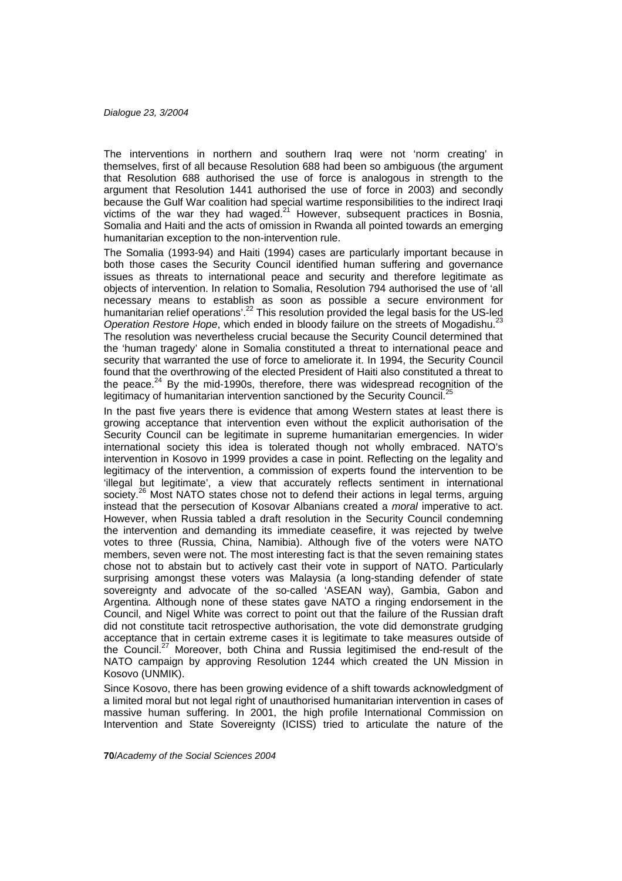The interventions in northern and southern Iraq were not 'norm creating' in themselves, first of all because Resolution 688 had been so ambiguous (the argument that Resolution 688 authorised the use of force is analogous in strength to the argument that Resolution 1441 authorised the use of force in 2003) and secondly because the Gulf War coalition had special wartime responsibilities to the indirect Iraqi victims of the war they had waged.<sup>21</sup> However, subsequent practices in Bosnia, Somalia and Haiti and the acts of omission in Rwanda all pointed towards an emerging humanitarian exception to the non-intervention rule.

The Somalia (1993-94) and Haiti (1994) cases are particularly important because in both those cases the Security Council identified human suffering and governance issues as threats to international peace and security and therefore legitimate as objects of intervention. In relation to Somalia, Resolution 794 authorised the use of 'all necessary means to establish as soon as possible a secure environment for humanitarian relief operations'.<sup>22</sup> This resolution provided the legal basis for the US-led *Operation Restore Hope*, which ended in bloody failure on the streets of Mogadishu.<sup>23</sup> The resolution was nevertheless crucial because the Security Council determined that the 'human tragedy' alone in Somalia constituted a threat to international peace and security that warranted the use of force to ameliorate it. In 1994, the Security Council found that the overthrowing of the elected President of Haiti also constituted a threat to the peace. $^{24}$  By the mid-1990s, therefore, there was widespread recognition of the legitimacy of humanitarian intervention sanctioned by the Security Council.<sup>25</sup>

In the past five years there is evidence that among Western states at least there is growing acceptance that intervention even without the explicit authorisation of the Security Council can be legitimate in supreme humanitarian emergencies. In wider international society this idea is tolerated though not wholly embraced. NATO's intervention in Kosovo in 1999 provides a case in point. Reflecting on the legality and legitimacy of the intervention, a commission of experts found the intervention to be 'illegal but legitimate', a view that accurately reflects sentiment in international society.<sup>26</sup> Most NATO states chose not to defend their actions in legal terms, arguing instead that the persecution of Kosovar Albanians created a *moral* imperative to act. However, when Russia tabled a draft resolution in the Security Council condemning the intervention and demanding its immediate ceasefire, it was rejected by twelve votes to three (Russia, China, Namibia). Although five of the voters were NATO members, seven were not. The most interesting fact is that the seven remaining states chose not to abstain but to actively cast their vote in support of NATO. Particularly surprising amongst these voters was Malaysia (a long-standing defender of state sovereignty and advocate of the so-called 'ASEAN way), Gambia, Gabon and Argentina. Although none of these states gave NATO a ringing endorsement in the Council, and Nigel White was correct to point out that the failure of the Russian draft did not constitute tacit retrospective authorisation, the vote did demonstrate grudging acceptance that in certain extreme cases it is legitimate to take measures outside of the Council.<sup>27</sup> Moreover, both China and Russia legitimised the end-result of the NATO campaign by approving Resolution 1244 which created the UN Mission in Kosovo (UNMIK).

Since Kosovo, there has been growing evidence of a shift towards acknowledgment of a limited moral but not legal right of unauthorised humanitarian intervention in cases of massive human suffering. In 2001, the high profile International Commission on Intervention and State Sovereignty (ICISS) tried to articulate the nature of the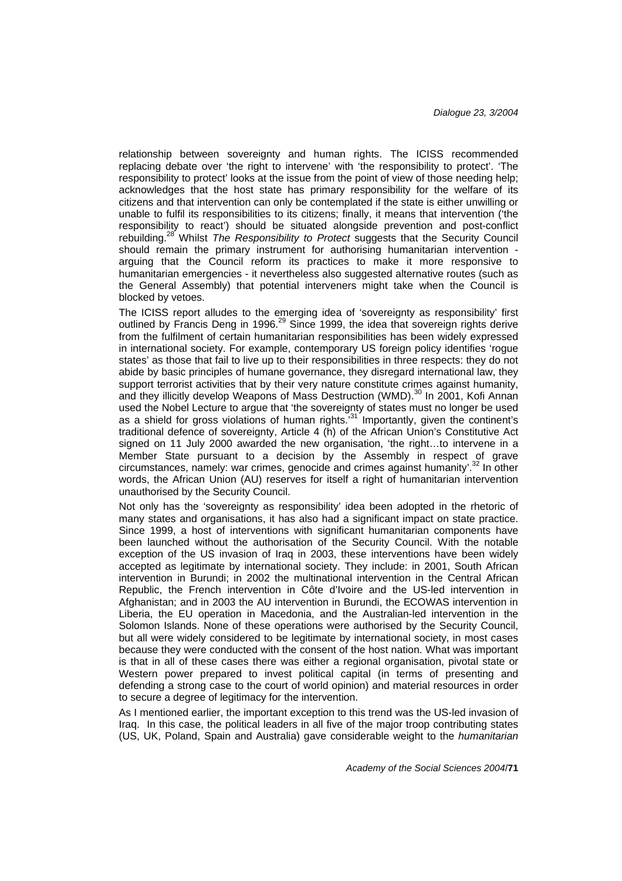relationship between sovereignty and human rights. The ICISS recommended replacing debate over 'the right to intervene' with 'the responsibility to protect'. 'The responsibility to protect' looks at the issue from the point of view of those needing help; acknowledges that the host state has primary responsibility for the welfare of its citizens and that intervention can only be contemplated if the state is either unwilling or unable to fulfil its responsibilities to its citizens; finally, it means that intervention ('the responsibility to react') should be situated alongside prevention and post-conflict rebuilding.<sup>28</sup> Whilst *The Responsibility to Protect* suggests that the Security Council should remain the primary instrument for authorising humanitarian intervention arguing that the Council reform its practices to make it more responsive to humanitarian emergencies - it nevertheless also suggested alternative routes (such as the General Assembly) that potential interveners might take when the Council is blocked by vetoes.

The ICISS report alludes to the emerging idea of 'sovereignty as responsibility' first outlined by Francis Deng in 1996.<sup>29</sup> Since 1999, the idea that sovereign rights derive from the fulfilment of certain humanitarian responsibilities has been widely expressed in international society. For example, contemporary US foreign policy identifies 'rogue states' as those that fail to live up to their responsibilities in three respects: they do not abide by basic principles of humane governance, they disregard international law, they support terrorist activities that by their very nature constitute crimes against humanity, and they illicitly develop Weapons of Mass Destruction (WMD).<sup>30</sup> In 2001, Kofi Annan used the Nobel Lecture to argue that 'the sovereignty of states must no longer be used as a shield for gross violations of human rights.<sup>31</sup> Importantly, given the continent's traditional defence of sovereignty, Article 4 (h) of the African Union's Constitutive Act signed on 11 July 2000 awarded the new organisation, 'the right…to intervene in a Member State pursuant to a decision by the Assembly in respect of grave circumstances, namely: war crimes, genocide and crimes against humanity'.<sup>32</sup> In other words, the African Union (AU) reserves for itself a right of humanitarian intervention unauthorised by the Security Council.

Not only has the 'sovereignty as responsibility' idea been adopted in the rhetoric of many states and organisations, it has also had a significant impact on state practice. Since 1999, a host of interventions with significant humanitarian components have been launched without the authorisation of the Security Council. With the notable exception of the US invasion of Iraq in 2003, these interventions have been widely accepted as legitimate by international society. They include: in 2001, South African intervention in Burundi; in 2002 the multinational intervention in the Central African Republic, the French intervention in Côte d'Ivoire and the US-led intervention in Afghanistan; and in 2003 the AU intervention in Burundi, the ECOWAS intervention in Liberia, the EU operation in Macedonia, and the Australian-led intervention in the Solomon Islands. None of these operations were authorised by the Security Council, but all were widely considered to be legitimate by international society, in most cases because they were conducted with the consent of the host nation. What was important is that in all of these cases there was either a regional organisation, pivotal state or Western power prepared to invest political capital (in terms of presenting and defending a strong case to the court of world opinion) and material resources in order to secure a degree of legitimacy for the intervention.

As I mentioned earlier, the important exception to this trend was the US-led invasion of Iraq. In this case, the political leaders in all five of the major troop contributing states (US, UK, Poland, Spain and Australia) gave considerable weight to the *humanitarian*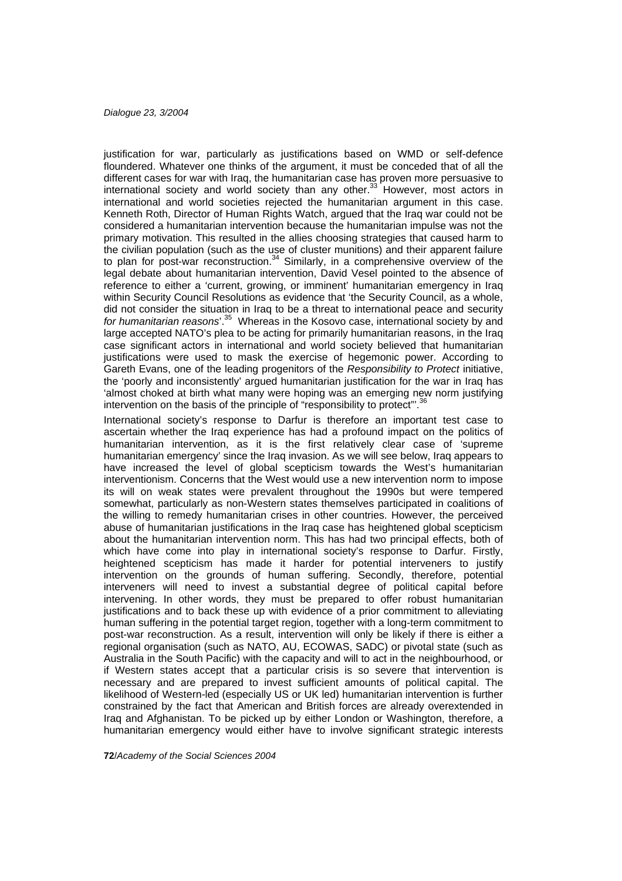#### *Dialogue 23, 3/2004*

justification for war, particularly as justifications based on WMD or self-defence floundered. Whatever one thinks of the argument, it must be conceded that of all the different cases for war with Iraq, the humanitarian case has proven more persuasive to international society and world society than any other.<sup>33</sup> However, most actors in international and world societies rejected the humanitarian argument in this case. Kenneth Roth, Director of Human Rights Watch, argued that the Iraq war could not be considered a humanitarian intervention because the humanitarian impulse was not the primary motivation. This resulted in the allies choosing strategies that caused harm to the civilian population (such as the use of cluster munitions) and their apparent failure to plan for post-war reconstruction. $34$  Similarly, in a comprehensive overview of the legal debate about humanitarian intervention, David Vesel pointed to the absence of reference to either a 'current, growing, or imminent' humanitarian emergency in Iraq within Security Council Resolutions as evidence that 'the Security Council, as a whole, did not consider the situation in Iraq to be a threat to international peace and security for humanitarian reasons'.<sup>35</sup> Whereas in the Kosovo case, international society by and large accepted NATO's plea to be acting for primarily humanitarian reasons, in the Iraq case significant actors in international and world society believed that humanitarian justifications were used to mask the exercise of hegemonic power. According to Gareth Evans, one of the leading progenitors of the *Responsibility to Protect* initiative, the 'poorly and inconsistently' argued humanitarian justification for the war in Iraq has 'almost choked at birth what many were hoping was an emerging new norm justifying intervention on the basis of the principle of "responsibility to protect"<sup>36</sup>

International society's response to Darfur is therefore an important test case to ascertain whether the Iraq experience has had a profound impact on the politics of humanitarian intervention, as it is the first relatively clear case of 'supreme humanitarian emergency' since the Iraq invasion. As we will see below, Iraq appears to have increased the level of global scepticism towards the West's humanitarian interventionism. Concerns that the West would use a new intervention norm to impose its will on weak states were prevalent throughout the 1990s but were tempered somewhat, particularly as non-Western states themselves participated in coalitions of the willing to remedy humanitarian crises in other countries. However, the perceived abuse of humanitarian justifications in the Iraq case has heightened global scepticism about the humanitarian intervention norm. This has had two principal effects, both of which have come into play in international society's response to Darfur. Firstly, heightened scepticism has made it harder for potential interveners to justify intervention on the grounds of human suffering. Secondly, therefore, potential interveners will need to invest a substantial degree of political capital before intervening. In other words, they must be prepared to offer robust humanitarian justifications and to back these up with evidence of a prior commitment to alleviating human suffering in the potential target region, together with a long-term commitment to post-war reconstruction. As a result, intervention will only be likely if there is either a regional organisation (such as NATO, AU, ECOWAS, SADC) or pivotal state (such as Australia in the South Pacific) with the capacity and will to act in the neighbourhood, or if Western states accept that a particular crisis is so severe that intervention is necessary and are prepared to invest sufficient amounts of political capital. The likelihood of Western-led (especially US or UK led) humanitarian intervention is further constrained by the fact that American and British forces are already overextended in Iraq and Afghanistan. To be picked up by either London or Washington, therefore, a humanitarian emergency would either have to involve significant strategic interests

**72**/*Academy of the Social Sciences 2004*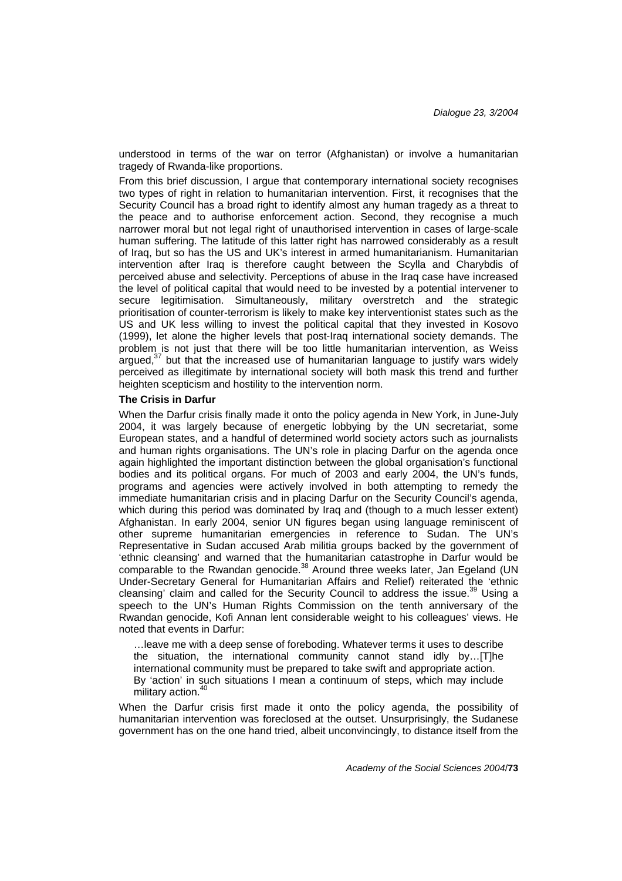understood in terms of the war on terror (Afghanistan) or involve a humanitarian tragedy of Rwanda-like proportions.

From this brief discussion, I argue that contemporary international society recognises two types of right in relation to humanitarian intervention. First, it recognises that the Security Council has a broad right to identify almost any human tragedy as a threat to the peace and to authorise enforcement action. Second, they recognise a much narrower moral but not legal right of unauthorised intervention in cases of large-scale human suffering. The latitude of this latter right has narrowed considerably as a result of Iraq, but so has the US and UK's interest in armed humanitarianism. Humanitarian intervention after Iraq is therefore caught between the Scylla and Charybdis of perceived abuse and selectivity. Perceptions of abuse in the Iraq case have increased the level of political capital that would need to be invested by a potential intervener to secure legitimisation. Simultaneously, military overstretch and the strategic prioritisation of counter-terrorism is likely to make key interventionist states such as the US and UK less willing to invest the political capital that they invested in Kosovo (1999), let alone the higher levels that post-Iraq international society demands. The problem is not just that there will be too little humanitarian intervention, as Weiss argued, $37$  but that the increased use of humanitarian language to justify wars widely perceived as illegitimate by international society will both mask this trend and further heighten scepticism and hostility to the intervention norm.

#### **The Crisis in Darfur**

When the Darfur crisis finally made it onto the policy agenda in New York, in June-July 2004, it was largely because of energetic lobbying by the UN secretariat, some European states, and a handful of determined world society actors such as journalists and human rights organisations. The UN's role in placing Darfur on the agenda once again highlighted the important distinction between the global organisation's functional bodies and its political organs. For much of 2003 and early 2004, the UN's funds, programs and agencies were actively involved in both attempting to remedy the immediate humanitarian crisis and in placing Darfur on the Security Council's agenda, which during this period was dominated by Iraq and (though to a much lesser extent) Afghanistan. In early 2004, senior UN figures began using language reminiscent of other supreme humanitarian emergencies in reference to Sudan. The UN's Representative in Sudan accused Arab militia groups backed by the government of 'ethnic cleansing' and warned that the humanitarian catastrophe in Darfur would be comparable to the Rwandan genocide.<sup>38</sup> Around three weeks later, Jan Egeland (UN Under-Secretary General for Humanitarian Affairs and Relief) reiterated the 'ethnic cleansing' claim and called for the Security Council to address the issue.<sup>39</sup> Using a speech to the UN's Human Rights Commission on the tenth anniversary of the Rwandan genocide, Kofi Annan lent considerable weight to his colleagues' views. He noted that events in Darfur:

…leave me with a deep sense of foreboding. Whatever terms it uses to describe the situation, the international community cannot stand idly by…[T]he international community must be prepared to take swift and appropriate action. By 'action' in such situations I mean a continuum of steps, which may include military action.<sup>40</sup>

When the Darfur crisis first made it onto the policy agenda, the possibility of humanitarian intervention was foreclosed at the outset. Unsurprisingly, the Sudanese government has on the one hand tried, albeit unconvincingly, to distance itself from the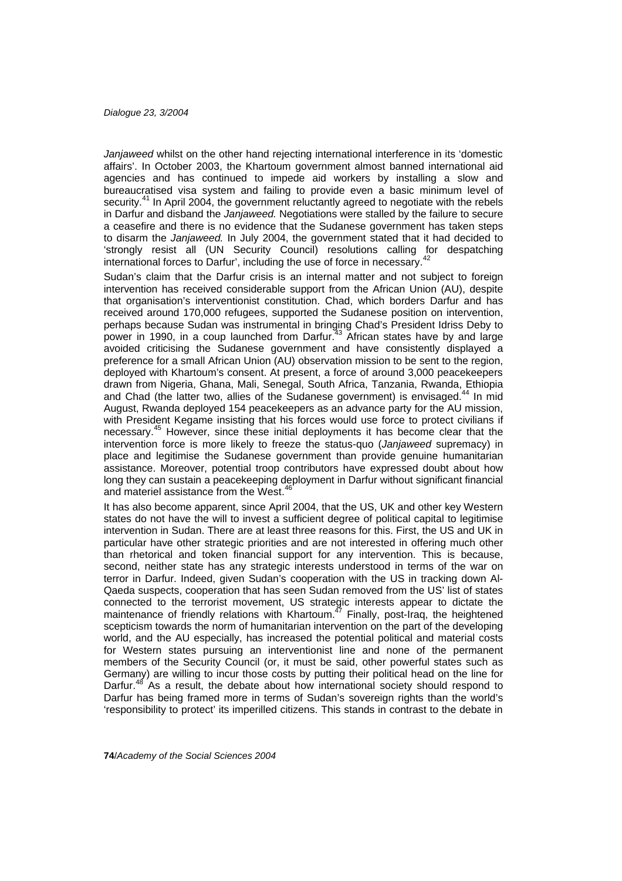#### *Dialogue 23, 3/2004*

*Janjaweed* whilst on the other hand rejecting international interference in its 'domestic affairs'. In October 2003, the Khartoum government almost banned international aid agencies and has continued to impede aid workers by installing a slow and bureaucratised visa system and failing to provide even a basic minimum level of security.<sup>41</sup> In April 2004, the government reluctantly agreed to negotiate with the rebels in Darfur and disband the *Janjaweed.* Negotiations were stalled by the failure to secure a ceasefire and there is no evidence that the Sudanese government has taken steps to disarm the *Janjaweed.* In July 2004, the government stated that it had decided to 'strongly resist all (UN Security Council) resolutions calling for despatching international forces to Darfur', including the use of force in necessary.<sup>42</sup> 

Sudan's claim that the Darfur crisis is an internal matter and not subject to foreign intervention has received considerable support from the African Union (AU), despite that organisation's interventionist constitution. Chad, which borders Darfur and has received around 170,000 refugees, supported the Sudanese position on intervention, perhaps because Sudan was instrumental in bringing Chad's President Idriss Deby to power in 1990, in a coup launched from Darfur.<sup>43</sup> African states have by and large avoided criticising the Sudanese government and have consistently displayed a preference for a small African Union (AU) observation mission to be sent to the region, deployed with Khartoum's consent. At present, a force of around 3,000 peacekeepers drawn from Nigeria, Ghana, Mali, Senegal, South Africa, Tanzania, Rwanda, Ethiopia and Chad (the latter two, allies of the Sudanese government) is envisaged.<sup>44</sup> In mid August, Rwanda deployed 154 peacekeepers as an advance party for the AU mission, with President Kegame insisting that his forces would use force to protect civilians if necessary.<sup>45</sup> However, since these initial deployments it has become clear that the intervention force is more likely to freeze the status-quo (*Janjaweed* supremacy) in place and legitimise the Sudanese government than provide genuine humanitarian assistance. Moreover, potential troop contributors have expressed doubt about how long they can sustain a peacekeeping deployment in Darfur without significant financial and materiel assistance from the West.<sup>46</sup>

It has also become apparent, since April 2004, that the US, UK and other key Western states do not have the will to invest a sufficient degree of political capital to legitimise intervention in Sudan. There are at least three reasons for this. First, the US and UK in particular have other strategic priorities and are not interested in offering much other than rhetorical and token financial support for any intervention. This is because, second, neither state has any strategic interests understood in terms of the war on terror in Darfur. Indeed, given Sudan's cooperation with the US in tracking down Al-Qaeda suspects, cooperation that has seen Sudan removed from the US' list of states connected to the terrorist movement, US strategic interests appear to dictate the maintenance of friendly relations with Khartoum.<sup>47</sup> Finally, post-Iraq, the heightened scepticism towards the norm of humanitarian intervention on the part of the developing world, and the AU especially, has increased the potential political and material costs for Western states pursuing an interventionist line and none of the permanent members of the Security Council (or, it must be said, other powerful states such as Germany) are willing to incur those costs by putting their political head on the line for Darfur.<sup>48 As</sup> a result, the debate about how international society should respond to Darfur has being framed more in terms of Sudan's sovereign rights than the world's 'responsibility to protect' its imperilled citizens. This stands in contrast to the debate in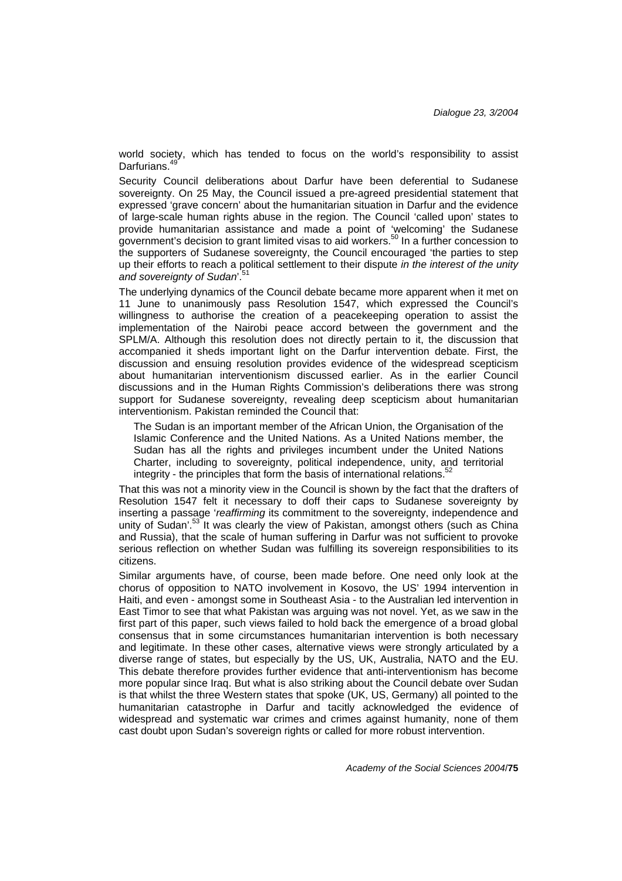world society, which has tended to focus on the world's responsibility to assist Darfurians.<sup>49</sup>

Security Council deliberations about Darfur have been deferential to Sudanese sovereignty. On 25 May, the Council issued a pre-agreed presidential statement that expressed 'grave concern' about the humanitarian situation in Darfur and the evidence of large-scale human rights abuse in the region. The Council 'called upon' states to provide humanitarian assistance and made a point of 'welcoming' the Sudanese government's decision to grant limited visas to aid workers.<sup>50</sup> In a further concession to the supporters of Sudanese sovereignty, the Council encouraged 'the parties to step up their efforts to reach a political settlement to their dispute *in the interest of the unity*  and sovereignty of Sudan<sup>'</sup>.<sup>5</sup>

The underlying dynamics of the Council debate became more apparent when it met on 11 June to unanimously pass Resolution 1547, which expressed the Council's willingness to authorise the creation of a peacekeeping operation to assist the implementation of the Nairobi peace accord between the government and the SPLM/A. Although this resolution does not directly pertain to it, the discussion that accompanied it sheds important light on the Darfur intervention debate. First, the discussion and ensuing resolution provides evidence of the widespread scepticism about humanitarian interventionism discussed earlier. As in the earlier Council discussions and in the Human Rights Commission's deliberations there was strong support for Sudanese sovereignty, revealing deep scepticism about humanitarian interventionism. Pakistan reminded the Council that:

The Sudan is an important member of the African Union, the Organisation of the Islamic Conference and the United Nations. As a United Nations member, the Sudan has all the rights and privileges incumbent under the United Nations Charter, including to sovereignty, political independence, unity, and territorial integrity - the principles that form the basis of international relations.<sup>52</sup>

That this was not a minority view in the Council is shown by the fact that the drafters of Resolution 1547 felt it necessary to doff their caps to Sudanese sovereignty by inserting a passage '*reaffirming* its commitment to the sovereignty, independence and unity of Sudan'.<sup>53</sup> It was clearly the view of Pakistan, amongst others (such as China and Russia), that the scale of human suffering in Darfur was not sufficient to provoke serious reflection on whether Sudan was fulfilling its sovereign responsibilities to its citizens.

Similar arguments have, of course, been made before. One need only look at the chorus of opposition to NATO involvement in Kosovo, the US' 1994 intervention in Haiti, and even - amongst some in Southeast Asia - to the Australian led intervention in East Timor to see that what Pakistan was arguing was not novel. Yet, as we saw in the first part of this paper, such views failed to hold back the emergence of a broad global consensus that in some circumstances humanitarian intervention is both necessary and legitimate. In these other cases, alternative views were strongly articulated by a diverse range of states, but especially by the US, UK, Australia, NATO and the EU. This debate therefore provides further evidence that anti-interventionism has become more popular since Iraq. But what is also striking about the Council debate over Sudan is that whilst the three Western states that spoke (UK, US, Germany) all pointed to the humanitarian catastrophe in Darfur and tacitly acknowledged the evidence of widespread and systematic war crimes and crimes against humanity, none of them cast doubt upon Sudan's sovereign rights or called for more robust intervention.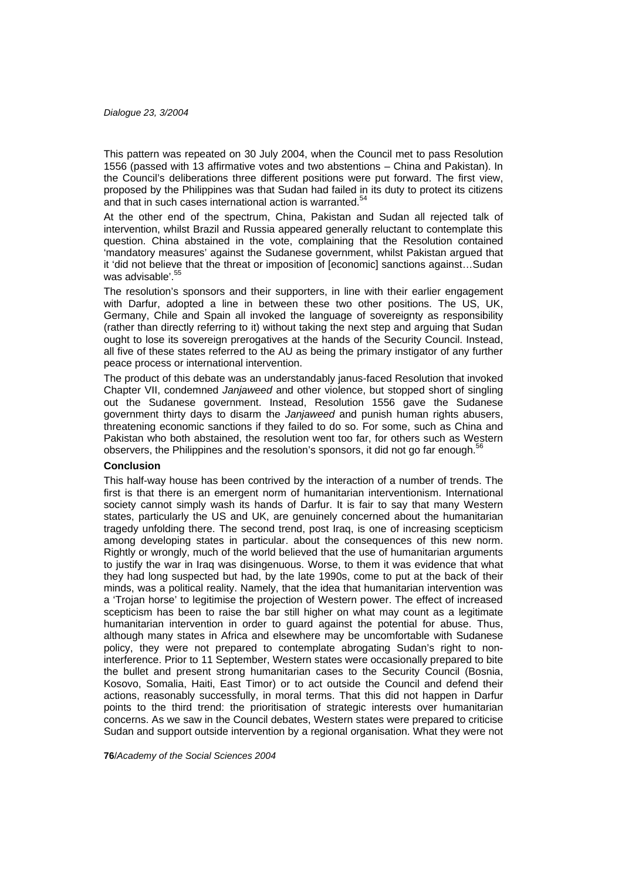#### *Dialogue 23, 3/2004*

This pattern was repeated on 30 July 2004, when the Council met to pass Resolution 1556 (passed with 13 affirmative votes and two abstentions – China and Pakistan). In the Council's deliberations three different positions were put forward. The first view, proposed by the Philippines was that Sudan had failed in its duty to protect its citizens and that in such cases international action is warranted.<sup>54</sup>

At the other end of the spectrum, China, Pakistan and Sudan all rejected talk of intervention, whilst Brazil and Russia appeared generally reluctant to contemplate this question. China abstained in the vote, complaining that the Resolution contained 'mandatory measures' against the Sudanese government, whilst Pakistan argued that it 'did not believe that the threat or imposition of [economic] sanctions against…Sudan was advisable'.<sup>5</sup>

The resolution's sponsors and their supporters, in line with their earlier engagement with Darfur, adopted a line in between these two other positions. The US, UK, Germany, Chile and Spain all invoked the language of sovereignty as responsibility (rather than directly referring to it) without taking the next step and arguing that Sudan ought to lose its sovereign prerogatives at the hands of the Security Council. Instead, all five of these states referred to the AU as being the primary instigator of any further peace process or international intervention.

The product of this debate was an understandably janus-faced Resolution that invoked Chapter VII, condemned *Janjaweed* and other violence, but stopped short of singling out the Sudanese government. Instead, Resolution 1556 gave the Sudanese government thirty days to disarm the *Janjaweed* and punish human rights abusers, threatening economic sanctions if they failed to do so. For some, such as China and Pakistan who both abstained, the resolution went too far, for others such as Western observers, the Philippines and the resolution's sponsors, it did not go far enough.<sup>56</sup>

### **Conclusion**

This half-way house has been contrived by the interaction of a number of trends. The first is that there is an emergent norm of humanitarian interventionism. International society cannot simply wash its hands of Darfur. It is fair to say that many Western states, particularly the US and UK, are genuinely concerned about the humanitarian tragedy unfolding there. The second trend, post Iraq, is one of increasing scepticism among developing states in particular. about the consequences of this new norm. Rightly or wrongly, much of the world believed that the use of humanitarian arguments to justify the war in Iraq was disingenuous. Worse, to them it was evidence that what they had long suspected but had, by the late 1990s, come to put at the back of their minds, was a political reality. Namely, that the idea that humanitarian intervention was a 'Trojan horse' to legitimise the projection of Western power. The effect of increased scepticism has been to raise the bar still higher on what may count as a legitimate humanitarian intervention in order to guard against the potential for abuse. Thus, although many states in Africa and elsewhere may be uncomfortable with Sudanese policy, they were not prepared to contemplate abrogating Sudan's right to noninterference. Prior to 11 September, Western states were occasionally prepared to bite the bullet and present strong humanitarian cases to the Security Council (Bosnia, Kosovo, Somalia, Haiti, East Timor) or to act outside the Council and defend their actions, reasonably successfully, in moral terms. That this did not happen in Darfur points to the third trend: the prioritisation of strategic interests over humanitarian concerns. As we saw in the Council debates, Western states were prepared to criticise Sudan and support outside intervention by a regional organisation. What they were not

**76**/*Academy of the Social Sciences 2004*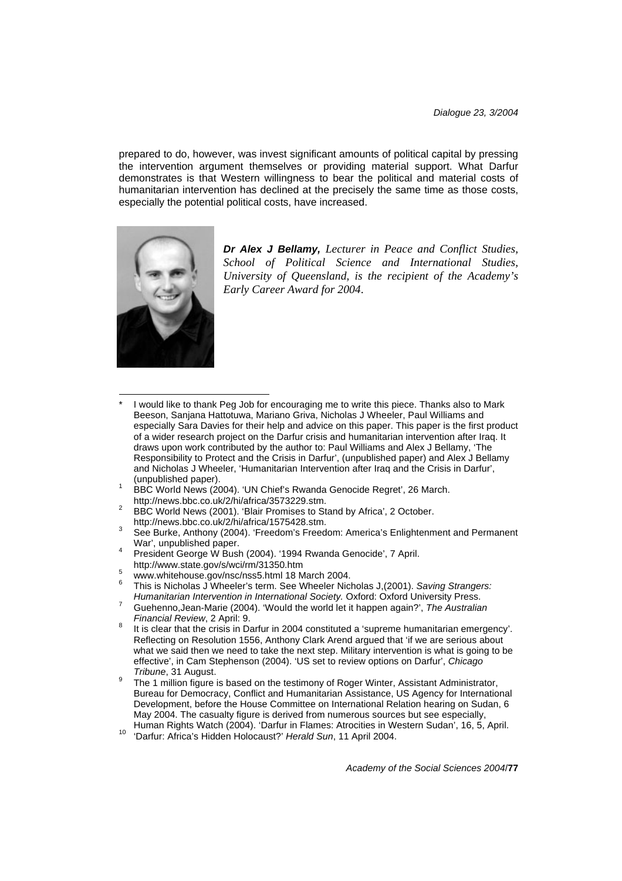prepared to do, however, was invest significant amounts of political capital by pressing the intervention argument themselves or providing material support. What Darfur demonstrates is that Western willingness to bear the political and material costs of humanitarian intervention has declined at the precisely the same time as those costs, especially the potential political costs, have increased.



l

*Dr Alex J Bellamy, Lecturer in Peace and Conflict Studies, School of Political Science and International Studies, University of Queensland, is the recipient of the Academy's Early Career Award for 2004*.

- I would like to thank Peg Job for encouraging me to write this piece. Thanks also to Mark Beeson, Sanjana Hattotuwa, Mariano Griva, Nicholas J Wheeler, Paul Williams and especially Sara Davies for their help and advice on this paper. This paper is the first product of a wider research project on the Darfur crisis and humanitarian intervention after Iraq. It draws upon work contributed by the author to: Paul Williams and Alex J Bellamy, 'The Responsibility to Protect and the Crisis in Darfur', (unpublished paper) and Alex J Bellamy and Nicholas J Wheeler, 'Humanitarian Intervention after Iraq and the Crisis in Darfur', (unpublished paper).
- 1 BBC World News (2004). 'UN Chief's Rwanda Genocide Regret', 26 March. http://news.bbc.co.uk/2/hi/africa/3573229.stm.
- 2 BBC World News (2001). 'Blair Promises to Stand by Africa', 2 October.
- http://news.bbc.co.uk/2/hi/africa/1575428.stm.
- 3 See Burke, Anthony (2004). 'Freedom's Freedom: America's Enlightenment and Permanent War', unpublished paper.
- 4 President George W Bush (2004). '1994 Rwanda Genocide', 7 April. http://www.state.gov/s/wci/rm/31350.htm
- <sup>5</sup> www.whitehouse.gov/nsc/nss5.html 18 March 2004.
- 6 This is Nicholas J Wheeler's term. See Wheeler Nicholas J,(2001). *Saving Strangers: Humanitarian Intervention in International Society.* Oxford: Oxford University Press.
- <sup>7</sup> Guehenno,Jean-Marie (2004). 'Would the world let it happen again?', *The Australian Financial Review*, 2 April: 9.
- 8 It is clear that the crisis in Darfur in 2004 constituted a 'supreme humanitarian emergency'. Reflecting on Resolution 1556, Anthony Clark Arend argued that 'if we are serious about what we said then we need to take the next step. Military intervention is what is going to be effective', in Cam Stephenson (2004). 'US set to review options on Darfur', *Chicago Tribune*, 31 August.
- 9 The 1 million figure is based on the testimony of Roger Winter, Assistant Administrator, Bureau for Democracy, Conflict and Humanitarian Assistance, US Agency for International Development, before the House Committee on International Relation hearing on Sudan, 6 May 2004. The casualty figure is derived from numerous sources but see especially, Human Rights Watch (2004). 'Darfur in Flames: Atrocities in Western Sudan', 16, 5, April.
- <sup>10</sup> 'Darfur: Africa's Hidden Holocaust?' *Herald Sun*, 11 April 2004.

*Academy of the Social Sciences 2004*/**77**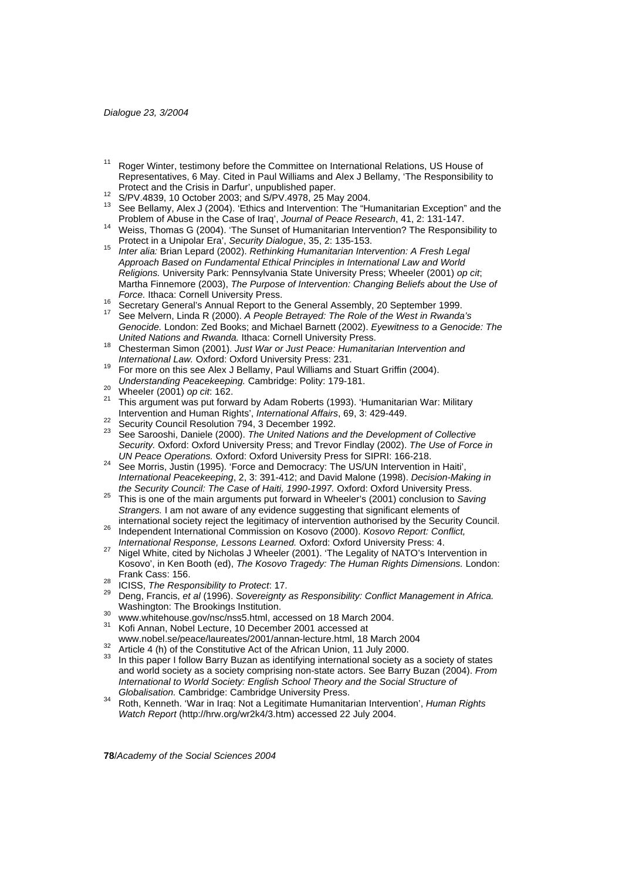- <sup>11</sup> Roger Winter, testimony before the Committee on International Relations, US House of Representatives, 6 May. Cited in Paul Williams and Alex J Bellamy, 'The Responsibility to Protect and the Crisis in Darfur', unpublished paper.
- <sup>12</sup> S/PV.4839, 10 October 2003; and S/PV.4978, 25 May 2004.
- <sup>13</sup> See Bellamy, Alex J (2004). 'Ethics and Intervention: The "Humanitarian Exception" and the Problem of Abuse in the Case of Iraq', *Journal of Peace Research*, 41, 2: 131-147.
- <sup>14</sup> Weiss, Thomas G (2004). 'The Sunset of Humanitarian Intervention? The Responsibility to Protect in a Unipolar Era', *Security Dialogue*, 35, 2: 135-153.
- <sup>15</sup> *Inter alia:* Brian Lepard (2002). *Rethinking Humanitarian Intervention: A Fresh Legal Approach Based on Fundamental Ethical Principles in International Law and World Religions.* University Park: Pennsylvania State University Press; Wheeler (2001) *op cit*; Martha Finnemore (2003), *The Purpose of Intervention: Changing Beliefs about the Use of Force.* Ithaca: Cornell University Press.
- <sup>16</sup> Secretary General's Annual Report to the General Assembly, 20 September 1999. <sup>17</sup> See Melvern, Linda R (2000). *A People Betrayed: The Role of the West in Rwanda's Genocide.* London: Zed Books; and Michael Barnett (2002). *Eyewitness to a Genocide: The United Nations and Rwanda.* Ithaca: Cornell University Press.
- <sup>18</sup> Chesterman Simon (2001). *Just War or Just Peace: Humanitarian Intervention and International Law.* Oxford: Oxford University Press: 231.
- <sup>19</sup> For more on this see Alex J Bellamy, Paul Williams and Stuart Griffin (2004). *Understanding Peacekeeping.* Cambridge: Polity: 179-181.
- <sup>20</sup> Wheeler (2001) *op cit*: 162.
- <sup>21</sup> This argument was put forward by Adam Roberts (1993). 'Humanitarian War: Military Intervention and Human Rights', *International Affairs*, 69, 3: 429-449.
- 22 Security Council Resolution 794, 3 December 1992.
- <sup>23</sup> See Sarooshi, Daniele (2000). *The United Nations and the Development of Collective Security.* Oxford: Oxford University Press; and Trevor Findlay (2002). *The Use of Force in UN Peace Operations.* Oxford: Oxford University Press for SIPRI: 166-218.
- <sup>24</sup> See Morris, Justin (1995). 'Force and Democracy: The US/UN Intervention in Haiti', *International Peacekeeping*, 2, 3: 391-412; and David Malone (1998). *Decision-Making in the Security Council: The Case of Haiti, 1990-1997.* Oxford: Oxford University Press.
- <sup>25</sup> This is one of the main arguments put forward in Wheeler's (2001) conclusion to *Saving Strangers.* I am not aware of any evidence suggesting that significant elements of international society reject the legitimacy of intervention authorised by the Security Council.
- <sup>26</sup> Independent International Commission on Kosovo (2000). *Kosovo Report: Conflict,*
- *International Response, Lessons Learned.* Oxford: Oxford University Press: 4. Nigel White, cited by Nicholas J Wheeler (2001). 'The Legality of NATO's Intervention in Kosovo', in Ken Booth (ed), *The Kosovo Tragedy: The Human Rights Dimensions.* London: Frank Cass: 156.
- <sup>28</sup> ICISS, *The Responsibility to Protect*: 17.
- <sup>29</sup> Deng, Francis, *et al* (1996). *Sovereignty as Responsibility: Conflict Management in Africa.*  Washington: The Brookings Institution.
- <sup>30</sup> www.whitehouse.gov/nsc/nss5.html, accessed on 18 March 2004.
- Kofi Annan, Nobel Lecture, 10 December 2001 accessed at www.nobel.se/peace/laureates/2001/annan-lecture.html, 18 March 2004
- <sup>32</sup> Article 4 (h) of the Constitutive Act of the African Union, 11 July 2000.
- In this paper I follow Barry Buzan as identifying international society as a society of states and world society as a society comprising non-state actors. See Barry Buzan (2004). *From International to World Society: English School Theory and the Social Structure of Globalisation.* Cambridge: Cambridge University Press.
- <sup>34</sup> Roth, Kenneth. 'War in Iraq: Not a Legitimate Humanitarian Intervention', *Human Rights Watch Report* (http://hrw.org/wr2k4/3.htm) accessed 22 July 2004.

**78**/*Academy of the Social Sciences 2004*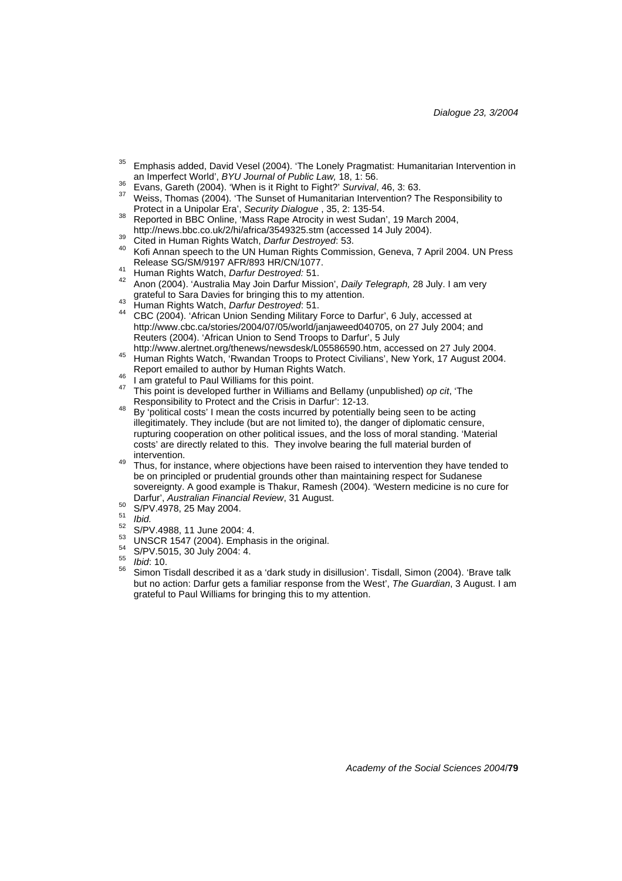- <sup>35</sup> Emphasis added, David Vesel (2004). 'The Lonely Pragmatist: Humanitarian Intervention in an Imperfect World', *BYU Journal of Public Law,* 18, 1: 56.
- <sup>36</sup> Evans, Gareth (2004). 'When is it Right to Fight?' *Survival*, 46, 3: 63.<br><sup>37</sup> Million March 1998 Million 1998 Million 1998 Million 1998
- Weiss, Thomas (2004). 'The Sunset of Humanitarian Intervention? The Responsibility to Protect in a Unipolar Era', *Security Dialogue* , 35, 2: 135-54.
- <sup>38</sup> Reported in BBC Online, 'Mass Rape Atrocity in west Sudan', 19 March 2004, http://news.bbc.co.uk/2/hi/africa/3549325.stm (accessed 14 July 2004).
- <sup>39</sup> Cited in Human Rights Watch, *Darfur Destroyed*: 53.
- <sup>40</sup> Kofi Annan speech to the UN Human Rights Commission, Geneva, 7 April 2004. UN Press Release SG/SM/9197 AFR/893 HR/CN/1077.
- <sup>41</sup> Human Rights Watch, *Darfur Destroyed:* 51.
- <sup>42</sup> Anon (2004). 'Australia May Join Darfur Mission', *Daily Telegraph,* 28 July. I am very grateful to Sara Davies for bringing this to my attention.
- <sup>43</sup> Human Rights Watch, *Darfur Destroyed*: 51.
- <sup>44</sup> CBC (2004). 'African Union Sending Military Force to Darfur', 6 July, accessed at http://www.cbc.ca/stories/2004/07/05/world/janjaweed040705, on 27 July 2004; and Reuters (2004). 'African Union to Send Troops to Darfur', 5 July
- http://www.alertnet.org/thenews/newsdesk/L05586590.htm, accessed on 27 July 2004. <sup>45</sup> Human Rights Watch, 'Rwandan Troops to Protect Civilians', New York, 17 August 2004.
- Report emailed to author by Human Rights Watch.
- $\frac{46}{47}$  I am grateful to Paul Williams for this point.
- <sup>47</sup> This point is developed further in Williams and Bellamy (unpublished) *op cit*, 'The Responsibility to Protect and the Crisis in Darfur': 12-13.
- By 'political costs' I mean the costs incurred by potentially being seen to be acting illegitimately. They include (but are not limited to), the danger of diplomatic censure, rupturing cooperation on other political issues, and the loss of moral standing. 'Material costs' are directly related to this. They involve bearing the full material burden of intervention.
- <sup>49</sup> Thus, for instance, where objections have been raised to intervention they have tended to be on principled or prudential grounds other than maintaining respect for Sudanese sovereignty. A good example is Thakur, Ramesh (2004). 'Western medicine is no cure for Darfur', *Australian Financial Review*, 31 August.
- 50 S/PV.4978, 25 May 2004.
- $\frac{51}{52}$  *Ibid.*
- <sup>52</sup> S/PV.4988, 11 June 2004: 4.
- $^{53}$  UNSCR 1547 (2004). Emphasis in the original.
- $^{54}$  S/PV.5015, 30 July 2004: 4.
- <sup>55</sup> *Ibid*: 10.
- <sup>56</sup> Simon Tisdall described it as a 'dark study in disillusion'. Tisdall, Simon (2004). 'Brave talk but no action: Darfur gets a familiar response from the West', *The Guardian*, 3 August. I am grateful to Paul Williams for bringing this to my attention.